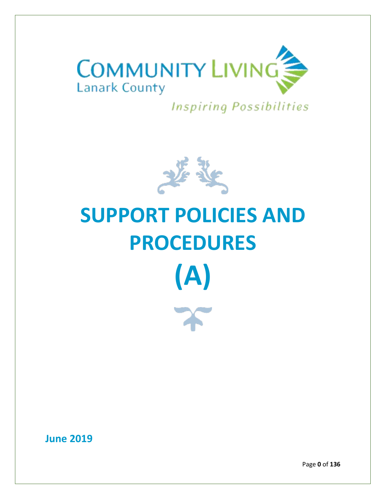

**Inspiring Possibilities** 



# **SUPPORT POLICIES AND PROCEDURES (A)**

**June 2019**

Page **0** of **136**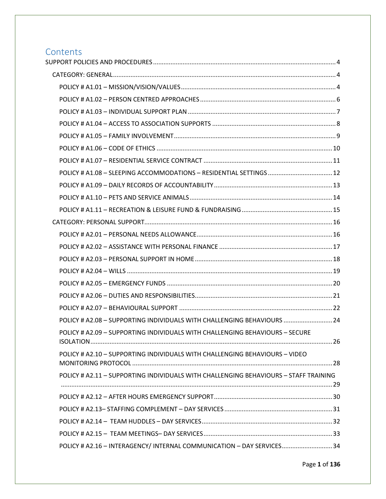# Contents<br>SUPPORT POL

| POLICY # A1.08 - SLEEPING ACCOMMODATIONS - RESIDENTIAL SETTINGS  12                  |  |
|--------------------------------------------------------------------------------------|--|
|                                                                                      |  |
|                                                                                      |  |
|                                                                                      |  |
|                                                                                      |  |
|                                                                                      |  |
|                                                                                      |  |
|                                                                                      |  |
|                                                                                      |  |
|                                                                                      |  |
|                                                                                      |  |
|                                                                                      |  |
| POLICY # A2.08 - SUPPORTING INDIVIDUALS WITH CHALLENGING BEHAVIOURS  24              |  |
| POLICY # A2.09 - SUPPORTING INDIVIDUALS WITH CHALLENGING BEHAVIOURS - SECURE         |  |
| POLICY # A2.10 - SUPPORTING INDIVIDUALS WITH CHALLENGING BEHAVIOURS - VIDEO          |  |
| POLICY # A2.11 - SUPPORTING INDIVIDUALS WITH CHALLENGING BEHAVIOURS - STAFF TRAINING |  |
|                                                                                      |  |
|                                                                                      |  |
|                                                                                      |  |
|                                                                                      |  |
| POLICY # A2.16 - INTERAGENCY/ INTERNAL COMMUNICATION - DAY SERVICES34                |  |
|                                                                                      |  |

Page **1** of **136**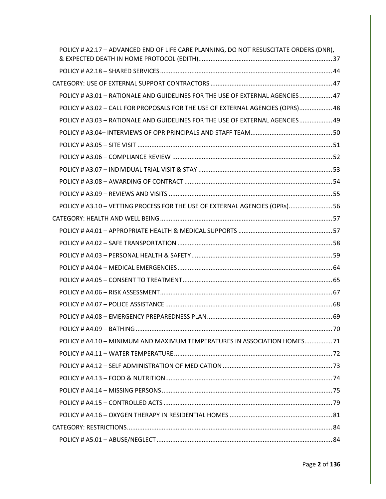| POLICY # A2.17 - ADVANCED END OF LIFE CARE PLANNING, DO NOT RESUSCITATE ORDERS (DNR), |  |
|---------------------------------------------------------------------------------------|--|
|                                                                                       |  |
|                                                                                       |  |
| POLICY # A3.01 - RATIONALE AND GUIDELINES FOR THE USE OF EXTERNAL AGENCIES 47         |  |
| POLICY # A3.02 - CALL FOR PROPOSALS FOR THE USE OF EXTERNAL AGENCIES (OPRS) 48        |  |
| POLICY # A3.03 - RATIONALE AND GUIDELINES FOR THE USE OF EXTERNAL AGENCIES 49         |  |
|                                                                                       |  |
|                                                                                       |  |
|                                                                                       |  |
|                                                                                       |  |
|                                                                                       |  |
|                                                                                       |  |
| POLICY # A3.10 - VETTING PROCESS FOR THE USE OF EXTERNAL AGENCIES (OPRs) 56           |  |
|                                                                                       |  |
|                                                                                       |  |
|                                                                                       |  |
|                                                                                       |  |
|                                                                                       |  |
|                                                                                       |  |
|                                                                                       |  |
|                                                                                       |  |
|                                                                                       |  |
|                                                                                       |  |
| POLICY # A4.10 - MINIMUM AND MAXIMUM TEMPERATURES IN ASSOCIATION HOMES 71             |  |
|                                                                                       |  |
|                                                                                       |  |
|                                                                                       |  |
|                                                                                       |  |
|                                                                                       |  |
|                                                                                       |  |
|                                                                                       |  |
|                                                                                       |  |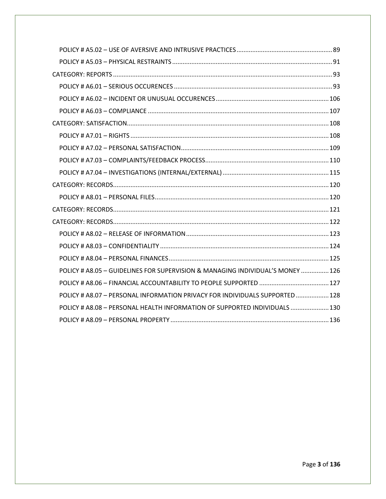| POLICY # A8.05 - GUIDELINES FOR SUPERVISION & MANAGING INDIVIDUAL'S MONEY  126 |  |
|--------------------------------------------------------------------------------|--|
|                                                                                |  |
| POLICY # A8.07 - PERSONAL INFORMATION PRIVACY FOR INDIVIDUALS SUPPORTED 128    |  |
| POLICY # A8.08 - PERSONAL HEALTH INFORMATION OF SUPPORTED INDIVIDUALS  130     |  |
|                                                                                |  |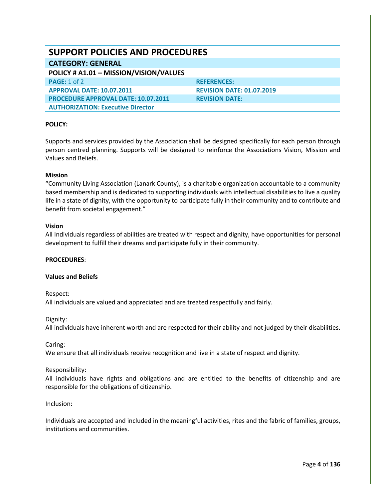# <span id="page-4-0"></span>**SUPPORT POLICIES AND PROCEDURES**

#### <span id="page-4-1"></span>**CATEGORY: GENERAL**

#### <span id="page-4-2"></span>**POLICY # A1.01 – MISSION/VISION/VALUES**

**PAGE:** 1 of 2 **REFERENCES: APPROVAL DATE: 10.07.2011 REVISION DATE: 01.07.2019 PROCEDURE APPROVAL DATE: 10.07.2011 REVISION DATE: AUTHORIZATION: Executive Director**

#### **POLICY:**

Supports and services provided by the Association shall be designed specifically for each person through person centred planning. Supports will be designed to reinforce the Associations Vision, Mission and Values and Beliefs.

#### **Mission**

"Community Living Association (Lanark County), is a charitable organization accountable to a community based membership and is dedicated to supporting individuals with intellectual disabilities to live a quality life in a state of dignity, with the opportunity to participate fully in their community and to contribute and benefit from societal engagement."

#### **Vision**

All Individuals regardless of abilities are treated with respect and dignity, have opportunities for personal development to fulfill their dreams and participate fully in their community.

#### **PROCEDURES**:

#### **Values and Beliefs**

#### Respect:

All individuals are valued and appreciated and are treated respectfully and fairly.

#### Dignity:

All individuals have inherent worth and are respected for their ability and not judged by their disabilities.

#### Caring:

We ensure that all individuals receive recognition and live in a state of respect and dignity.

#### Responsibility:

All individuals have rights and obligations and are entitled to the benefits of citizenship and are responsible for the obligations of citizenship.

#### Inclusion:

Individuals are accepted and included in the meaningful activities, rites and the fabric of families, groups, institutions and communities.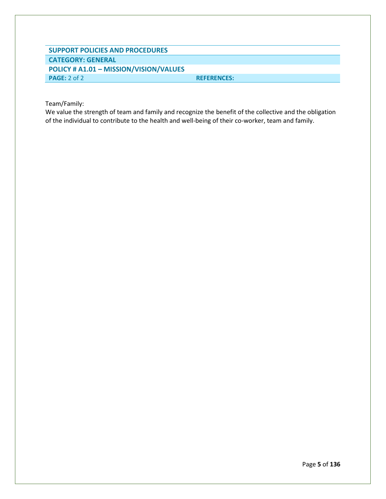## **SUPPORT POLICIES AND PROCEDURES CATEGORY: GENERAL POLICY # A1.01 – MISSION/VISION/VALUES PAGE:** 2 of 2 **REFERENCES:**

Team/Family:

We value the strength of team and family and recognize the benefit of the collective and the obligation of the individual to contribute to the health and well-being of their co-worker, team and family.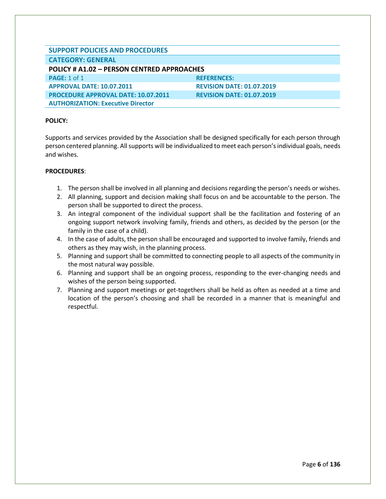<span id="page-6-0"></span>

| <b>SUPPORT POLICIES AND PROCEDURES</b>     |                                  |
|--------------------------------------------|----------------------------------|
| <b>CATEGORY: GENERAL</b>                   |                                  |
| POLICY # A1.02 - PERSON CENTRED APPROACHES |                                  |
| <b>PAGE: 1 of 1</b>                        | <b>REFERENCES:</b>               |
| <b>APPROVAL DATE: 10.07.2011</b>           | <b>REVISION DATE: 01.07.2019</b> |
| <b>PROCEDURE APPROVAL DATE: 10.07.2011</b> | <b>REVISION DATE: 01.07.2019</b> |
| <b>AUTHORIZATION: Executive Director</b>   |                                  |

Supports and services provided by the Association shall be designed specifically for each person through person centered planning. All supports will be individualized to meet each person's individual goals, needs and wishes.

- 1. The person shall be involved in all planning and decisions regarding the person's needs or wishes.
- 2. All planning, support and decision making shall focus on and be accountable to the person. The person shall be supported to direct the process.
- 3. An integral component of the individual support shall be the facilitation and fostering of an ongoing support network involving family, friends and others, as decided by the person (or the family in the case of a child).
- 4. In the case of adults, the person shall be encouraged and supported to involve family, friends and others as they may wish, in the planning process.
- 5. Planning and support shall be committed to connecting people to all aspects of the community in the most natural way possible.
- 6. Planning and support shall be an ongoing process, responding to the ever-changing needs and wishes of the person being supported.
- 7. Planning and support meetings or get-togethers shall be held as often as needed at a time and location of the person's choosing and shall be recorded in a manner that is meaningful and respectful.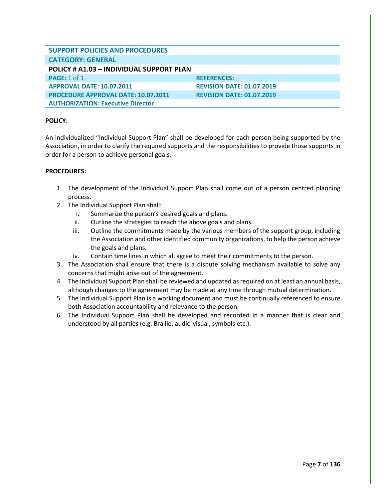<span id="page-7-0"></span>

| <b>SUPPORT POLICIES AND PROCEDURES</b>          |                                  |
|-------------------------------------------------|----------------------------------|
| <b>CATEGORY: GENERAL</b>                        |                                  |
| <b>POLICY # A1.03 - INDIVIDUAL SUPPORT PLAN</b> |                                  |
| <b>PAGE: 1 of 1</b>                             | <b>REFERENCES:</b>               |
| <b>APPROVAL DATE: 10.07.2011</b>                | <b>REVISION DATE: 01.07.2019</b> |
| <b>PROCEDURE APPROVAL DATE: 10.07.2011</b>      | <b>REVISION DATE: 01.07.2019</b> |
| <b>AUTHORIZATION: Executive Director</b>        |                                  |

An individualized "Individual Support Plan" shall be developed for each person being supported by the Association, in order to clarify the required supports and the responsibilities to provide those supports in order for a person to achieve personal goals.

- 1. The development of the Individual Support Plan shall come out of a person centred planning process.
- 2. The Individual Support Plan shall:
	- i. Summarize the person's desired goals and plans.
	- ii. Outline the strategies to reach the above goals and plans.
	- iii. Outline the commitments made by the various members of the support group, including the Association and other identified community organizations, to help the person achieve the goals and plans.
	- iv. Contain time lines in which all agree to meet their commitments to the person.
- 3. The Association shall ensure that there is a dispute solving mechanism available to solve any concerns that might arise out of the agreement.
- 4. The Individual Support Plan shall be reviewed and updated as required on at least an annual basis, although changes to the agreement may be made at any time through mutual determination.
- 5. The Individual Support Plan is a working document and must be continually referenced to ensure both Association accountability and relevance to the person.
- 6. The Individual Support Plan shall be developed and recorded in a manner that is clear and understood by all parties (e.g. Braille, audio-visual, symbols etc.).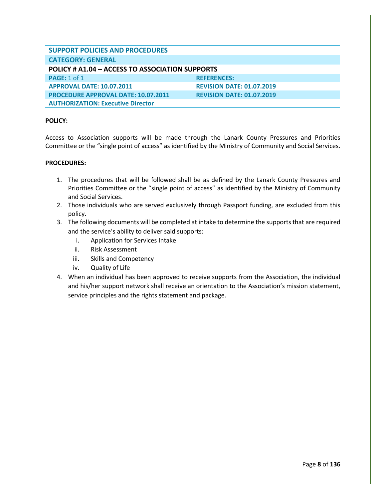<span id="page-8-0"></span>

| <b>SUPPORT POLICIES AND PROCEDURES</b>          |                                  |  |
|-------------------------------------------------|----------------------------------|--|
| <b>CATEGORY: GENERAL</b>                        |                                  |  |
| POLICY # A1.04 – ACCESS TO ASSOCIATION SUPPORTS |                                  |  |
| <b>PAGE: 1 of 1</b>                             | <b>REFERENCES:</b>               |  |
| <b>APPROVAL DATE: 10.07.2011</b>                | <b>REVISION DATE: 01.07.2019</b> |  |
| <b>PROCEDURE APPROVAL DATE: 10.07.2011</b>      | <b>REVISION DATE: 01.07.2019</b> |  |
| <b>AUTHORIZATION: Executive Director</b>        |                                  |  |

Access to Association supports will be made through the Lanark County Pressures and Priorities Committee or the "single point of access" as identified by the Ministry of Community and Social Services.

- 1. The procedures that will be followed shall be as defined by the Lanark County Pressures and Priorities Committee or the "single point of access" as identified by the Ministry of Community and Social Services.
- 2. Those individuals who are served exclusively through Passport funding, are excluded from this policy.
- 3. The following documents will be completed at intake to determine the supports that are required and the service's ability to deliver said supports:
	- i. Application for Services Intake
	- ii. Risk Assessment
	- iii. Skills and Competency
	- iv. Quality of Life
- 4. When an individual has been approved to receive supports from the Association, the individual and his/her support network shall receive an orientation to the Association's mission statement, service principles and the rights statement and package.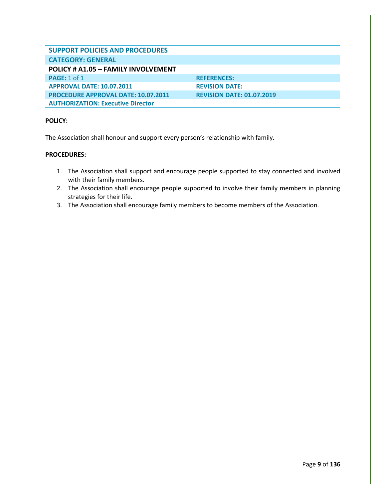<span id="page-9-0"></span>

| <b>SUPPORT POLICIES AND PROCEDURES</b>     |                                  |
|--------------------------------------------|----------------------------------|
| <b>CATEGORY: GENERAL</b>                   |                                  |
| <b>POLICY # A1.05 - FAMILY INVOLVEMENT</b> |                                  |
| <b>PAGE: 1 of 1</b>                        | <b>REFERENCES:</b>               |
| <b>APPROVAL DATE: 10.07.2011</b>           | <b>REVISION DATE:</b>            |
| <b>PROCEDURE APPROVAL DATE: 10.07.2011</b> | <b>REVISION DATE: 01.07.2019</b> |
| <b>AUTHORIZATION: Executive Director</b>   |                                  |

The Association shall honour and support every person's relationship with family.

- 1. The Association shall support and encourage people supported to stay connected and involved with their family members.
- 2. The Association shall encourage people supported to involve their family members in planning strategies for their life.
- 3. The Association shall encourage family members to become members of the Association.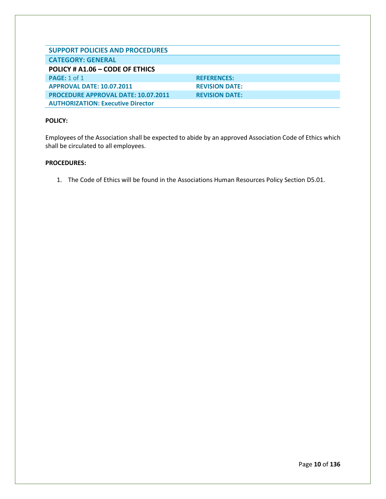<span id="page-10-0"></span>

| <b>SUPPORT POLICIES AND PROCEDURES</b>     |                       |
|--------------------------------------------|-----------------------|
| <b>CATEGORY: GENERAL</b>                   |                       |
| POLICY # A1.06 - CODE OF ETHICS            |                       |
| PAGE: $1$ of $1$                           | <b>REFERENCES:</b>    |
| <b>APPROVAL DATE: 10.07.2011</b>           | <b>REVISION DATE:</b> |
| <b>PROCEDURE APPROVAL DATE: 10.07.2011</b> | <b>REVISION DATE:</b> |
| <b>AUTHORIZATION: Executive Director</b>   |                       |

Employees of the Association shall be expected to abide by an approved Association Code of Ethics which shall be circulated to all employees.

#### **PROCEDURES:**

1. The Code of Ethics will be found in the Associations Human Resources Policy Section D5.01.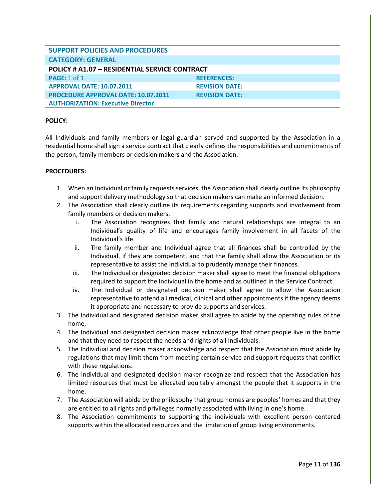<span id="page-11-0"></span>

| <b>SUPPORT POLICIES AND PROCEDURES</b>        |                       |
|-----------------------------------------------|-----------------------|
| <b>CATEGORY: GENERAL</b>                      |                       |
| POLICY # A1.07 - RESIDENTIAL SERVICE CONTRACT |                       |
| <b>PAGE: 1 of 1</b>                           | <b>REFERENCES:</b>    |
| <b>APPROVAL DATE: 10.07.2011</b>              | <b>REVISION DATE:</b> |
| <b>PROCEDURE APPROVAL DATE: 10.07.2011</b>    | <b>REVISION DATE:</b> |
| <b>AUTHORIZATION: Executive Director</b>      |                       |

All Individuals and family members or legal guardian served and supported by the Association in a residential home shall sign a service contract that clearly defines the responsibilities and commitments of the person, family members or decision makers and the Association.

- 1. When an Individual or family requests services, the Association shall clearly outline its philosophy and support delivery methodology so that decision makers can make an informed decision.
- 2. The Association shall clearly outline its requirements regarding supports and involvement from family members or decision makers.
	- i. The Association recognizes that family and natural relationships are integral to an Individual's quality of life and encourages family involvement in all facets of the Individual's life.
	- ii. The family member and Individual agree that all finances shall be controlled by the Individual, if they are competent, and that the family shall allow the Association or its representative to assist the Individual to prudently manage their finances.
	- iii. The Individual or designated decision maker shall agree to meet the financial obligations required to support the Individual in the home and as outlined in the Service Contract.
	- iv. The Individual or designated decision maker shall agree to allow the Association representative to attend all medical, clinical and other appointments if the agency deems it appropriate and necessary to provide supports and services.
- 3. The Individual and designated decision maker shall agree to abide by the operating rules of the home.
- 4. The Individual and designated decision maker acknowledge that other people live in the home and that they need to respect the needs and rights of all Individuals.
- 5. The Individual and decision maker acknowledge and respect that the Association must abide by regulations that may limit them from meeting certain service and support requests that conflict with these regulations.
- 6. The Individual and designated decision maker recognize and respect that the Association has limited resources that must be allocated equitably amongst the people that it supports in the home.
- 7. The Association will abide by the philosophy that group homes are peoples' homes and that they are entitled to all rights and privileges normally associated with living in one's home.
- 8. The Association commitments to supporting the individuals with excellent person centered supports within the allocated resources and the limitation of group living environments.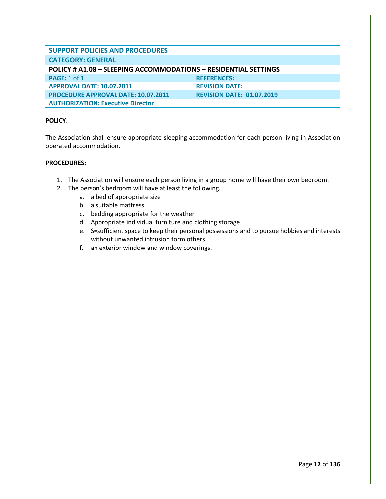<span id="page-12-0"></span>

| <b>SUPPORT POLICIES AND PROCEDURES</b>                                 |                                  |  |
|------------------------------------------------------------------------|----------------------------------|--|
| <b>CATEGORY: GENERAL</b>                                               |                                  |  |
| <b>POLICY # A1.08 - SLEEPING ACCOMMODATIONS - RESIDENTIAL SETTINGS</b> |                                  |  |
| <b>PAGE: 1 of 1</b>                                                    | <b>REFERENCES:</b>               |  |
| <b>APPROVAL DATE: 10.07.2011</b>                                       | <b>REVISION DATE:</b>            |  |
| <b>PROCEDURE APPROVAL DATE: 10.07.2011</b>                             | <b>REVISION DATE: 01.07.2019</b> |  |
| <b>AUTHORIZATION: Executive Director</b>                               |                                  |  |

The Association shall ensure appropriate sleeping accommodation for each person living in Association operated accommodation.

- 1. The Association will ensure each person living in a group home will have their own bedroom.
- 2. The person's bedroom will have at least the following.
	- a. a bed of appropriate size
	- b. a suitable mattress
	- c. bedding appropriate for the weather
	- d. Appropriate individual furniture and clothing storage
	- e. S=sufficient space to keep their personal possessions and to pursue hobbies and interests without unwanted intrusion form others.
	- f. an exterior window and window coverings.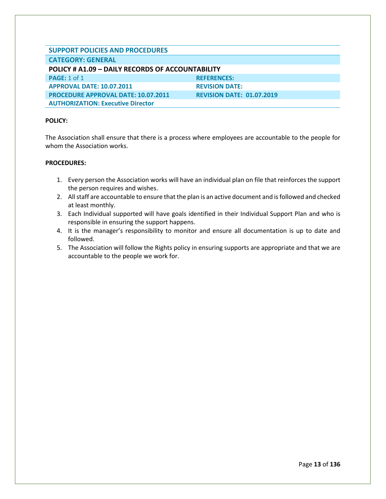<span id="page-13-0"></span>

| <b>SUPPORT POLICIES AND PROCEDURES</b>           |                                  |  |
|--------------------------------------------------|----------------------------------|--|
| <b>CATEGORY: GENERAL</b>                         |                                  |  |
| POLICY # A1.09 - DAILY RECORDS OF ACCOUNTABILITY |                                  |  |
| <b>PAGE: 1 of 1</b>                              | <b>REFERENCES:</b>               |  |
| <b>APPROVAL DATE: 10.07.2011</b>                 | <b>REVISION DATE:</b>            |  |
| <b>PROCEDURE APPROVAL DATE: 10.07.2011</b>       | <b>REVISION DATE: 01.07.2019</b> |  |
| <b>AUTHORIZATION: Executive Director</b>         |                                  |  |

The Association shall ensure that there is a process where employees are accountable to the people for whom the Association works.

- 1. Every person the Association works will have an individual plan on file that reinforces the support the person requires and wishes.
- 2. All staff are accountable to ensure that the plan is an active document and is followed and checked at least monthly.
- 3. Each Individual supported will have goals identified in their Individual Support Plan and who is responsible in ensuring the support happens.
- 4. It is the manager's responsibility to monitor and ensure all documentation is up to date and followed.
- 5. The Association will follow the Rights policy in ensuring supports are appropriate and that we are accountable to the people we work for.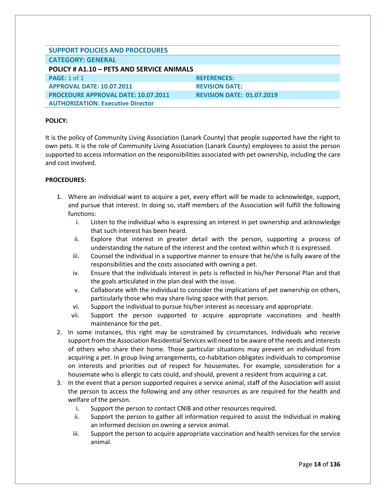<span id="page-14-0"></span>

| <b>SUPPORT POLICIES AND PROCEDURES</b>     |                                  |
|--------------------------------------------|----------------------------------|
| <b>CATEGORY: GENERAL</b>                   |                                  |
| POLICY # A1.10 - PETS AND SERVICE ANIMALS  |                                  |
| <b>PAGE: 1 of 1</b>                        | <b>REFERENCES:</b>               |
| <b>APPROVAL DATE: 10.07.2011</b>           | <b>REVISION DATE:</b>            |
| <b>PROCEDURE APPROVAL DATE: 10.07.2011</b> | <b>REVISION DATE: 01.07.2019</b> |
| <b>AUTHORIZATION: Executive Director</b>   |                                  |

It is the policy of Community Living Association (Lanark County) that people supported have the right to own pets. It is the role of Community Living Association (Lanark County) employees to assist the person supported to access information on the responsibilities associated with pet ownership, including the care and cost involved.

- 1. Where an individual want to acquire a pet, every effort will be made to acknowledge, support, and pursue that interest. In doing so, staff members of the Association will fulfill the following functions:
	- i. Listen to the individual who is expressing an interest in pet ownership and acknowledge that such interest has been heard.
	- ii. Explore that interest in greater detail with the person, supporting a process of understanding the nature of the interest and the context within which it is expressed.
	- iii. Counsel the individual in a supportive manner to ensure that he/she is fully aware of the responsibilities and the costs associated with owning a pet.
	- iv. Ensure that the individuals interest in pets is reflected in his/her Personal Plan and that the goals articulated in the plan deal with the issue.
	- v. Collaborate with the individual to consider the implications of pet ownership on others, particularly those who may share living space with that person.
	- vi. Support the individual to pursue his/her interest as necessary and appropriate.
	- vii. Support the person supported to acquire appropriate vaccinations and health maintenance for the pet.
- 2. In some instances, this right may be constrained by circumstances. Individuals who receive support from the Association Residential Services will need to be aware of the needs and interests of others who share their home. Those particular situations may prevent an individual from acquiring a pet. In group living arrangements, co-habitation obligates individuals to compromise on interests and priorities out of respect for housemates. For example, consideration for a housemate who is allergic to cats could, and should, prevent a resident from acquiring a cat.
- 3. In the event that a person supported requires a service animal, staff of the Association will assist the person to access the following and any other resources as are required for the health and welfare of the person.
	- i. Support the person to contact CNIB and other resources required.
	- ii. Support the person to gather all information required to assist the Individual in making an informed decision on owning a service animal.
	- iii. Support the person to acquire appropriate vaccination and health services for the service animal.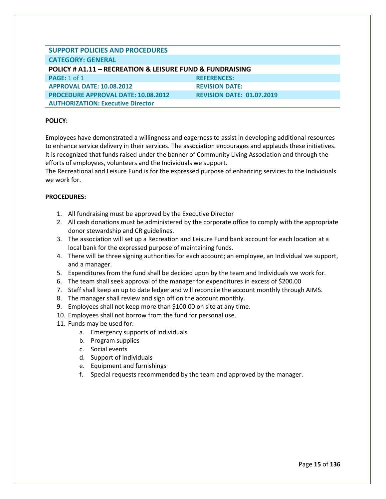<span id="page-15-0"></span>

| <b>SUPPORT POLICIES AND PROCEDURES</b>                   |                                  |  |
|----------------------------------------------------------|----------------------------------|--|
| <b>CATEGORY: GENERAL</b>                                 |                                  |  |
| POLICY # A1.11 - RECREATION & LEISURE FUND & FUNDRAISING |                                  |  |
| <b>PAGE: 1 of 1</b>                                      | <b>REFERENCES:</b>               |  |
| <b>APPROVAL DATE: 10.08.2012</b>                         | <b>REVISION DATE:</b>            |  |
| <b>PROCEDURE APPROVAL DATE: 10.08.2012</b>               | <b>REVISION DATE: 01.07.2019</b> |  |
| <b>AUTHORIZATION: Executive Director</b>                 |                                  |  |

Employees have demonstrated a willingness and eagerness to assist in developing additional resources to enhance service delivery in their services. The association encourages and applauds these initiatives. It is recognized that funds raised under the banner of Community Living Association and through the efforts of employees, volunteers and the Individuals we support.

The Recreational and Leisure Fund is for the expressed purpose of enhancing services to the Individuals we work for.

- 1. All fundraising must be approved by the Executive Director
- 2. All cash donations must be administered by the corporate office to comply with the appropriate donor stewardship and CR guidelines.
- 3. The association will set up a Recreation and Leisure Fund bank account for each location at a local bank for the expressed purpose of maintaining funds.
- 4. There will be three signing authorities for each account; an employee, an Individual we support, and a manager.
- 5. Expenditures from the fund shall be decided upon by the team and Individuals we work for.
- 6. The team shall seek approval of the manager for expenditures in excess of \$200.00
- 7. Staff shall keep an up to date ledger and will reconcile the account monthly through AIMS.
- 8. The manager shall review and sign off on the account monthly.
- 9. Employees shall not keep more than \$100.00 on site at any time.
- 10. Employees shall not borrow from the fund for personal use.
- 11. Funds may be used for:
	- a. Emergency supports of Individuals
	- b. Program supplies
	- c. Social events
	- d. Support of Individuals
	- e. Equipment and furnishings
	- f. Special requests recommended by the team and approved by the manager.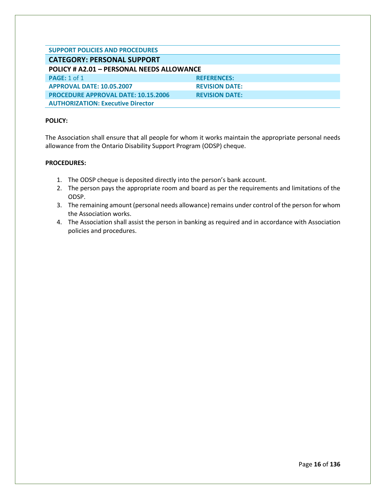<span id="page-16-1"></span><span id="page-16-0"></span>

| <b>SUPPORT POLICIES AND PROCEDURES</b>           |                       |  |
|--------------------------------------------------|-----------------------|--|
| <b>CATEGORY: PERSONAL SUPPORT</b>                |                       |  |
| <b>POLICY # A2.01 - PERSONAL NEEDS ALLOWANCE</b> |                       |  |
| <b>PAGE: 1 of 1</b>                              | <b>REFERENCES:</b>    |  |
| <b>APPROVAL DATE: 10.05.2007</b>                 | <b>REVISION DATE:</b> |  |
| <b>PROCEDURE APPROVAL DATE: 10.15.2006</b>       | <b>REVISION DATE:</b> |  |
| <b>AUTHORIZATION: Executive Director</b>         |                       |  |

The Association shall ensure that all people for whom it works maintain the appropriate personal needs allowance from the Ontario Disability Support Program (ODSP) cheque.

- 1. The ODSP cheque is deposited directly into the person's bank account.
- 2. The person pays the appropriate room and board as per the requirements and limitations of the ODSP.
- 3. The remaining amount (personal needs allowance) remains under control of the person for whom the Association works.
- 4. The Association shall assist the person in banking as required and in accordance with Association policies and procedures.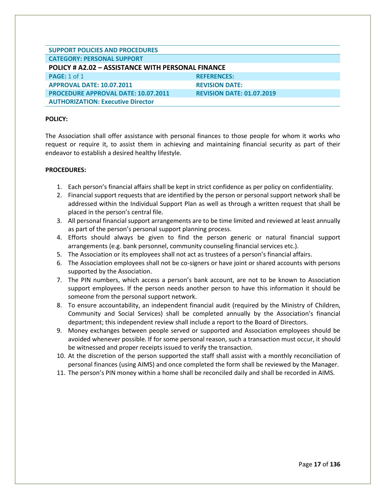<span id="page-17-0"></span>

| <b>SUPPORT POLICIES AND PROCEDURES</b>                   |                                  |  |
|----------------------------------------------------------|----------------------------------|--|
| <b>CATEGORY: PERSONAL SUPPORT</b>                        |                                  |  |
| <b>POLICY # A2.02 - ASSISTANCE WITH PERSONAL FINANCE</b> |                                  |  |
| <b>PAGE: 1 of 1</b>                                      | <b>REFERENCES:</b>               |  |
| <b>APPROVAL DATE: 10.07.2011</b>                         | <b>REVISION DATE:</b>            |  |
| <b>PROCEDURE APPROVAL DATE: 10.07.2011</b>               | <b>REVISION DATE: 01.07.2019</b> |  |
| <b>AUTHORIZATION: Executive Director</b>                 |                                  |  |

The Association shall offer assistance with personal finances to those people for whom it works who request or require it, to assist them in achieving and maintaining financial security as part of their endeavor to establish a desired healthy lifestyle.

- 1. Each person's financial affairs shall be kept in strict confidence as per policy on confidentiality.
- 2. Financial support requests that are identified by the person or personal support network shall be addressed within the Individual Support Plan as well as through a written request that shall be placed in the person's central file.
- 3. All personal financial support arrangements are to be time limited and reviewed at least annually as part of the person's personal support planning process.
- 4. Efforts should always be given to find the person generic or natural financial support arrangements (e.g. bank personnel, community counseling financial services etc.).
- 5. The Association or its employees shall not act as trustees of a person's financial affairs.
- 6. The Association employees shall not be co-signers or have joint or shared accounts with persons supported by the Association.
- 7. The PIN numbers, which access a person's bank account, are not to be known to Association support employees. If the person needs another person to have this information it should be someone from the personal support network.
- 8. To ensure accountability, an independent financial audit (required by the Ministry of Children, Community and Social Services) shall be completed annually by the Association's financial department; this independent review shall include a report to the Board of Directors.
- 9. Money exchanges between people served or supported and Association employees should be avoided whenever possible. If for some personal reason, such a transaction must occur, it should be witnessed and proper receipts issued to verify the transaction.
- 10. At the discretion of the person supported the staff shall assist with a monthly reconciliation of personal finances (using AIMS) and once completed the form shall be reviewed by the Manager.
- 11. The person's PIN money within a home shall be reconciled daily and shall be recorded in AIMS.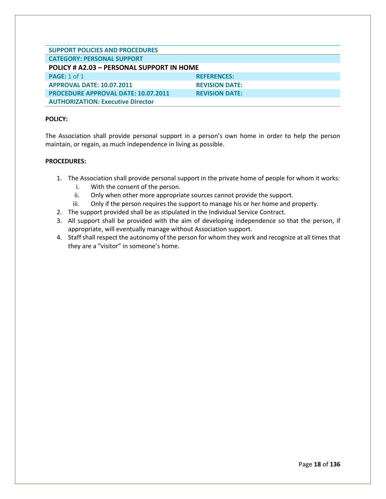<span id="page-18-0"></span>

| <b>SUPPORT POLICIES AND PROCEDURES</b>     |                       |  |
|--------------------------------------------|-----------------------|--|
| <b>CATEGORY: PERSONAL SUPPORT</b>          |                       |  |
| POLICY # A2.03 - PERSONAL SUPPORT IN HOME  |                       |  |
| <b>PAGE: 1 of 1</b>                        | <b>REFERENCES:</b>    |  |
| <b>APPROVAL DATE: 10.07.2011</b>           | <b>REVISION DATE:</b> |  |
| <b>PROCEDURE APPROVAL DATE: 10.07.2011</b> | <b>REVISION DATE:</b> |  |
| <b>AUTHORIZATION: Executive Director</b>   |                       |  |

The Association shall provide personal support in a person's own home in order to help the person maintain, or regain, as much independence in living as possible.

- 1. The Association shall provide personal support in the private home of people for whom it works:
	- i. With the consent of the person.
	- ii. Only when other more appropriate sources cannot provide the support.
	- iii. Only if the person requires the support to manage his or her home and property.
- 2. The support provided shall be as stipulated in the Individual Service Contract.
- 3. All support shall be provided with the aim of developing independence so that the person, if appropriate, will eventually manage without Association support.
- 4. Staff shall respect the autonomy of the person for whom they work and recognize at all times that they are a "visitor" in someone's home.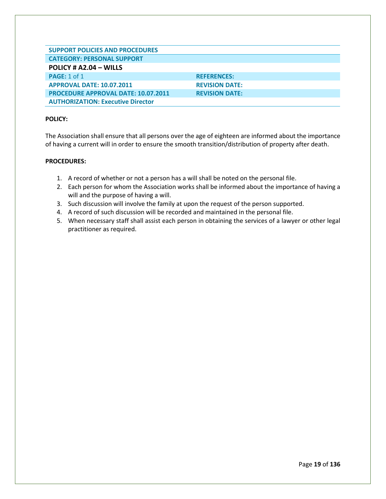<span id="page-19-0"></span>

| <b>SUPPORT POLICIES AND PROCEDURES</b>     |                       |
|--------------------------------------------|-----------------------|
| <b>CATEGORY: PERSONAL SUPPORT</b>          |                       |
| POLICY # $A2.04 - WILLS$                   |                       |
| <b>PAGE: 1 of 1</b>                        | <b>REFERENCES:</b>    |
| <b>APPROVAL DATE: 10.07.2011</b>           | <b>REVISION DATE:</b> |
| <b>PROCEDURE APPROVAL DATE: 10.07.2011</b> | <b>REVISION DATE:</b> |
| <b>AUTHORIZATION: Executive Director</b>   |                       |

The Association shall ensure that all persons over the age of eighteen are informed about the importance of having a current will in order to ensure the smooth transition/distribution of property after death.

- 1. A record of whether or not a person has a will shall be noted on the personal file.
- 2. Each person for whom the Association works shall be informed about the importance of having a will and the purpose of having a will.
- 3. Such discussion will involve the family at upon the request of the person supported.
- 4. A record of such discussion will be recorded and maintained in the personal file.
- 5. When necessary staff shall assist each person in obtaining the services of a lawyer or other legal practitioner as required.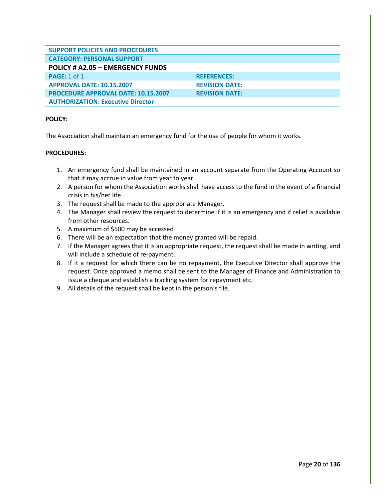<span id="page-20-0"></span>

| <b>SUPPORT POLICIES AND PROCEDURES</b>     |                       |
|--------------------------------------------|-----------------------|
| <b>CATEGORY: PERSONAL SUPPORT</b>          |                       |
| POLICY # A2.05 - EMERGENCY FUNDS           |                       |
| <b>PAGE: 1 of 1</b>                        | <b>REFERENCES:</b>    |
| <b>APPROVAL DATE: 10.15.2007</b>           | <b>REVISION DATE:</b> |
| <b>PROCEDURE APPROVAL DATE: 10.15.2007</b> | <b>REVISION DATE:</b> |
| <b>AUTHORIZATION: Executive Director</b>   |                       |

The Association shall maintain an emergency fund for the use of people for whom it works.

- 1. An emergency fund shall be maintained in an account separate from the Operating Account so that it may accrue in value from year to year.
- 2. A person for whom the Association works shall have access to the fund in the event of a financial crisis in his/her life.
- 3. The request shall be made to the appropriate Manager.
- 4. The Manager shall review the request to determine if it is an emergency and if relief is available from other resources.
- 5. A maximum of \$500 may be accessed
- 6. There will be an expectation that the money granted will be repaid.
- 7. If the Manager agrees that it is an appropriate request, the request shall be made in writing, and will include a schedule of re-payment.
- 8. If it a request for which there can be no repayment, the Executive Director shall approve the request. Once approved a memo shall be sent to the Manager of Finance and Administration to issue a cheque and establish a tracking system for repayment etc.
- 9. All details of the request shall be kept in the person's file.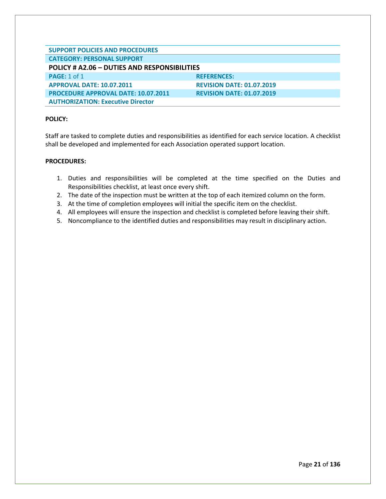<span id="page-21-0"></span>

| <b>SUPPORT POLICIES AND PROCEDURES</b>       |                                  |  |
|----------------------------------------------|----------------------------------|--|
| <b>CATEGORY: PERSONAL SUPPORT</b>            |                                  |  |
| POLICY # A2.06 - DUTIES AND RESPONSIBILITIES |                                  |  |
| <b>PAGE: 1 of 1</b>                          | <b>REFERENCES:</b>               |  |
| <b>APPROVAL DATE: 10.07.2011</b>             | <b>REVISION DATE: 01.07.2019</b> |  |
| <b>PROCEDURE APPROVAL DATE: 10.07.2011</b>   | <b>REVISION DATE: 01.07.2019</b> |  |
| <b>AUTHORIZATION: Executive Director</b>     |                                  |  |

Staff are tasked to complete duties and responsibilities as identified for each service location. A checklist shall be developed and implemented for each Association operated support location.

- 1. Duties and responsibilities will be completed at the time specified on the Duties and Responsibilities checklist, at least once every shift.
- 2. The date of the inspection must be written at the top of each itemized column on the form.
- 3. At the time of completion employees will initial the specific item on the checklist.
- 4. All employees will ensure the inspection and checklist is completed before leaving their shift.
- 5. Noncompliance to the identified duties and responsibilities may result in disciplinary action.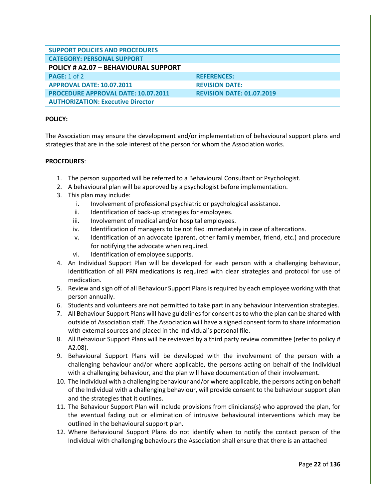<span id="page-22-0"></span>

| <b>SUPPORT POLICIES AND PROCEDURES</b>      |                                  |
|---------------------------------------------|----------------------------------|
| <b>CATEGORY: PERSONAL SUPPORT</b>           |                                  |
| <b>POLICY # A2.07 - BEHAVIOURAL SUPPORT</b> |                                  |
| <b>PAGE: 1 of 2</b>                         | <b>REFERENCES:</b>               |
| <b>APPROVAL DATE: 10.07.2011</b>            | <b>REVISION DATE:</b>            |
| <b>PROCEDURE APPROVAL DATE: 10.07.2011</b>  | <b>REVISION DATE: 01.07.2019</b> |
| <b>AUTHORIZATION: Executive Director</b>    |                                  |

The Association may ensure the development and/or implementation of behavioural support plans and strategies that are in the sole interest of the person for whom the Association works.

- 1. The person supported will be referred to a Behavioural Consultant or Psychologist.
- 2. A behavioural plan will be approved by a psychologist before implementation.
- 3. This plan may include:
	- i. Involvement of professional psychiatric or psychological assistance.
	- ii. Identification of back-up strategies for employees.
	- iii. Involvement of medical and/or hospital employees.
	- iv. Identification of managers to be notified immediately in case of altercations.
	- v. Identification of an advocate (parent, other family member, friend, etc.) and procedure for notifying the advocate when required.
	- vi. Identification of employee supports.
- 4. An Individual Support Plan will be developed for each person with a challenging behaviour, Identification of all PRN medications is required with clear strategies and protocol for use of medication.
- 5. Review and sign off of all Behaviour Support Plans is required by each employee working with that person annually.
- 6. Students and volunteers are not permitted to take part in any behaviour Intervention strategies.
- 7. All Behaviour Support Plans will have guidelines for consent as to who the plan can be shared with outside of Association staff. The Association will have a signed consent form to share information with external sources and placed in the Individual's personal file.
- 8. All Behaviour Support Plans will be reviewed by a third party review committee (refer to policy # A2.08).
- 9. Behavioural Support Plans will be developed with the involvement of the person with a challenging behaviour and/or where applicable, the persons acting on behalf of the Individual with a challenging behaviour, and the plan will have documentation of their involvement.
- 10. The Individual with a challenging behaviour and/or where applicable, the persons acting on behalf of the Individual with a challenging behaviour, will provide consent to the behaviour support plan and the strategies that it outlines.
- 11. The Behaviour Support Plan will include provisions from clinicians(s) who approved the plan, for the eventual fading out or elimination of intrusive behavioural interventions which may be outlined in the behavioural support plan.
- 12. Where Behavioural Support Plans do not identify when to notify the contact person of the Individual with challenging behaviours the Association shall ensure that there is an attached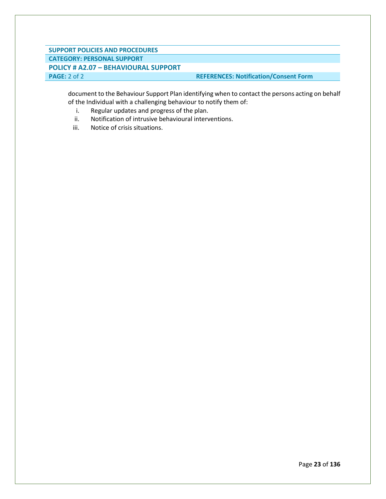#### **SUPPORT POLICIES AND PROCEDURES CATEGORY: PERSONAL SUPPORT POLICY # A2.07 – BEHAVIOURAL SUPPORT PAGE:** 2 of 2 **REFERENCES: Notification/Consent Form**

document to the Behaviour Support Plan identifying when to contact the persons acting on behalf

- of the Individual with a challenging behaviour to notify them of:
	- i. Regular updates and progress of the plan.
	- ii. Notification of intrusive behavioural interventions.
	- iii. Notice of crisis situations.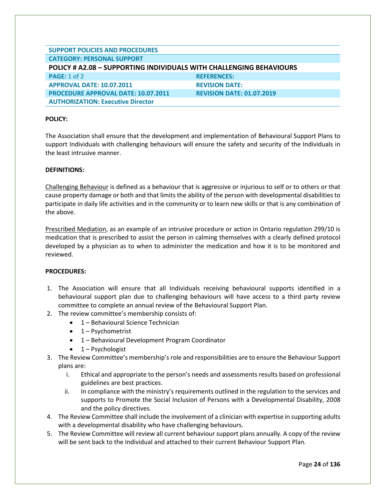<span id="page-24-0"></span>

| <b>SUPPORT POLICIES AND PROCEDURES</b>                                     |                                  |  |
|----------------------------------------------------------------------------|----------------------------------|--|
| <b>CATEGORY: PERSONAL SUPPORT</b>                                          |                                  |  |
| <b>POLICY # A2.08 - SUPPORTING INDIVIDUALS WITH CHALLENGING BEHAVIOURS</b> |                                  |  |
| <b>PAGE: 1 of 2</b>                                                        | <b>REFERENCES:</b>               |  |
| <b>APPROVAL DATE: 10.07.2011</b>                                           | <b>REVISION DATE:</b>            |  |
| <b>PROCEDURE APPROVAL DATE: 10.07.2011</b>                                 | <b>REVISION DATE: 01.07.2019</b> |  |
| <b>AUTHORIZATION: Executive Director</b>                                   |                                  |  |

The Association shall ensure that the development and implementation of Behavioural Support Plans to support Individuals with challenging behaviours will ensure the safety and security of the Individuals in the least intrusive manner.

#### **DEFINITIONS:**

Challenging Behaviour is defined as a behaviour that is aggressive or injurious to self or to others or that cause property damage or both and that limits the ability of the person with developmental disabilities to participate in daily life activities and in the community or to learn new skills or that is any combination of the above.

Prescribed Mediation, as an example of an intrusive procedure or action in Ontario regulation 299/10 is medication that is prescribed to assist the person in calming themselves with a clearly defined protocol developed by a physician as to when to administer the medication and how it is to be monitored and reviewed.

- 1. The Association will ensure that all Individuals receiving behavioural supports identified in a behavioural support plan due to challenging behaviours will have access to a third party review committee to complete an annual review of the Behavioural Support Plan.
- 2. The review committee's membership consists of:
	- 1 Behavioural Science Technician
	- $\bullet$  1 Psychometrist
	- 1 Behavioural Development Program Coordinator
	- 1 Psychologist
- 3. The Review Committee's membership's role and responsibilities are to ensure the Behaviour Support plans are:
	- i. Ethical and appropriate to the person's needs and assessments results based on professional guidelines are best practices.
	- ii. In compliance with the ministry's requirements outlined in the regulation to the services and supports to Promote the Social Inclusion of Persons with a Developmental Disability, 2008 and the policy directives.
- 4. The Review Committee shall include the involvement of a clinician with expertise in supporting adults with a developmental disability who have challenging behaviours.
- 5. The Review Committee will review all current behaviour support plans annually. A copy of the review will be sent back to the Individual and attached to their current Behaviour Support Plan.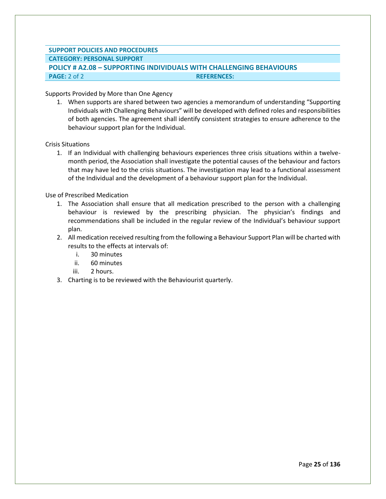#### **SUPPORT POLICIES AND PROCEDURES CATEGORY: PERSONAL SUPPORT POLICY # A2.08 – SUPPORTING INDIVIDUALS WITH CHALLENGING BEHAVIOURS PAGE:** 2 of 2 **REFERENCES: REFERENCES:**

Supports Provided by More than One Agency

1. When supports are shared between two agencies a memorandum of understanding "Supporting Individuals with Challenging Behaviours" will be developed with defined roles and responsibilities of both agencies. The agreement shall identify consistent strategies to ensure adherence to the behaviour support plan for the Individual.

Crisis Situations

1. If an Individual with challenging behaviours experiences three crisis situations within a twelvemonth period, the Association shall investigate the potential causes of the behaviour and factors that may have led to the crisis situations. The investigation may lead to a functional assessment of the Individual and the development of a behaviour support plan for the Individual.

Use of Prescribed Medication

- 1. The Association shall ensure that all medication prescribed to the person with a challenging behaviour is reviewed by the prescribing physician. The physician's findings and recommendations shall be included in the regular review of the Individual's behaviour support plan.
- 2. All medication received resulting from the following a Behaviour Support Plan will be charted with results to the effects at intervals of:
	- i. 30 minutes
	- ii. 60 minutes
	- iii. 2 hours.
- 3. Charting is to be reviewed with the Behaviourist quarterly.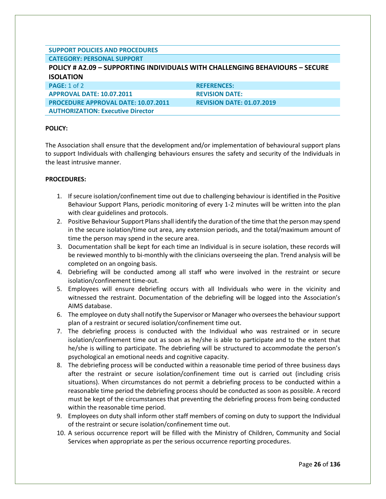#### **SUPPORT POLICIES AND PROCEDURES CATEGORY: PERSONAL SUPPORT**

<span id="page-26-0"></span>

| <b>POLICY # A2.09 - SUPPORTING INDIVIDUALS WITH CHALLENGING BEHAVIOURS - SECURE</b> |                                  |  |
|-------------------------------------------------------------------------------------|----------------------------------|--|
| <b>ISOLATION</b>                                                                    |                                  |  |
| PAGE: 1 of 2                                                                        | <b>REFERENCES:</b>               |  |
| <b>APPROVAL DATE: 10.07.2011</b>                                                    | <b>REVISION DATE:</b>            |  |
| <b>PROCEDURE APPROVAL DATE: 10.07.2011</b>                                          | <b>REVISION DATE: 01.07.2019</b> |  |
| <b>AUTHORIZATION: Executive Director</b>                                            |                                  |  |

#### **POLICY:**

The Association shall ensure that the development and/or implementation of behavioural support plans to support Individuals with challenging behaviours ensures the safety and security of the Individuals in the least intrusive manner.

- 1. If secure isolation/confinement time out due to challenging behaviour is identified in the Positive Behaviour Support Plans, periodic monitoring of every 1-2 minutes will be written into the plan with clear guidelines and protocols.
- 2. Positive Behaviour Support Plans shall identify the duration of the time that the person may spend in the secure isolation/time out area, any extension periods, and the total/maximum amount of time the person may spend in the secure area.
- 3. Documentation shall be kept for each time an Individual is in secure isolation, these records will be reviewed monthly to bi-monthly with the clinicians overseeing the plan. Trend analysis will be completed on an ongoing basis.
- 4. Debriefing will be conducted among all staff who were involved in the restraint or secure isolation/confinement time-out.
- 5. Employees will ensure debriefing occurs with all Individuals who were in the vicinity and witnessed the restraint. Documentation of the debriefing will be logged into the Association's AIMS database.
- 6. The employee on duty shall notify the Supervisor or Manager who oversees the behaviour support plan of a restraint or secured isolation/confinement time out.
- 7. The debriefing process is conducted with the Individual who was restrained or in secure isolation/confinement time out as soon as he/she is able to participate and to the extent that he/she is willing to participate. The debriefing will be structured to accommodate the person's psychological an emotional needs and cognitive capacity.
- 8. The debriefing process will be conducted within a reasonable time period of three business days after the restraint or secure isolation/confinement time out is carried out (including crisis situations). When circumstances do not permit a debriefing process to be conducted within a reasonable time period the debriefing process should be conducted as soon as possible. A record must be kept of the circumstances that preventing the debriefing process from being conducted within the reasonable time period.
- 9. Employees on duty shall inform other staff members of coming on duty to support the Individual of the restraint or secure isolation/confinement time out.
- 10. A serious occurrence report will be filled with the Ministry of Children, Community and Social Services when appropriate as per the serious occurrence reporting procedures.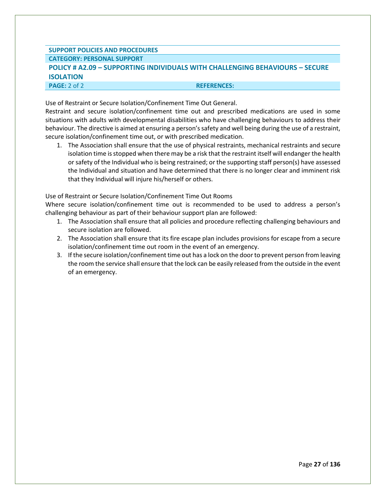#### **SUPPORT POLICIES AND PROCEDURES CATEGORY: PERSONAL SUPPORT POLICY # A2.09 – SUPPORTING INDIVIDUALS WITH CHALLENGING BEHAVIOURS – SECURE ISOLATION PAGE:** 2 of 2 **REFERENCES:**

Use of Restraint or Secure Isolation/Confinement Time Out General.

Restraint and secure isolation/confinement time out and prescribed medications are used in some situations with adults with developmental disabilities who have challenging behaviours to address their behaviour. The directive is aimed at ensuring a person's safety and well being during the use of a restraint, secure isolation/confinement time out, or with prescribed medication.

1. The Association shall ensure that the use of physical restraints, mechanical restraints and secure isolation time is stopped when there may be a risk that the restraint itself will endanger the health or safety of the Individual who is being restrained; or the supporting staff person(s) have assessed the Individual and situation and have determined that there is no longer clear and imminent risk that they Individual will injure his/herself or others.

Use of Restraint or Secure Isolation/Confinement Time Out Rooms

Where secure isolation/confinement time out is recommended to be used to address a person's challenging behaviour as part of their behaviour support plan are followed:

- 1. The Association shall ensure that all policies and procedure reflecting challenging behaviours and secure isolation are followed.
- 2. The Association shall ensure that its fire escape plan includes provisions for escape from a secure isolation/confinement time out room in the event of an emergency.
- 3. If the secure isolation/confinement time out has a lock on the door to prevent person from leaving the room the service shall ensure that the lock can be easily released from the outside in the event of an emergency.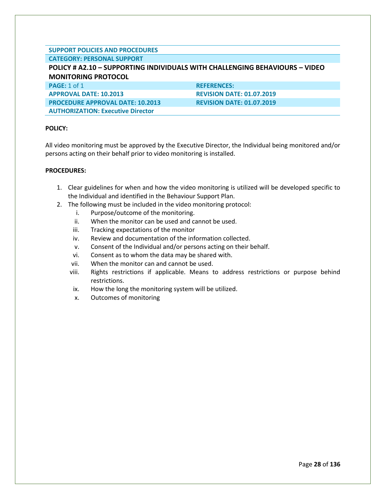#### **SUPPORT POLICIES AND PROCEDURES CATEGORY: PERSONAL SUPPORT**

<span id="page-28-0"></span>

| <b>CATEGORY: PERSUNAL SUPPORT</b>                                           |                                  |  |
|-----------------------------------------------------------------------------|----------------------------------|--|
| POLICY # A2.10 - SUPPORTING INDIVIDUALS WITH CHALLENGING BEHAVIOURS - VIDEO |                                  |  |
| <b>MONITORING PROTOCOL</b>                                                  |                                  |  |
| <b>PAGE:</b> 1 of 1                                                         | <b>REFERENCES:</b>               |  |
| <b>APPROVAL DATE: 10.2013</b>                                               | <b>REVISION DATE: 01.07.2019</b> |  |
| <b>PROCEDURE APPROVAL DATE: 10.2013</b>                                     | <b>REVISION DATE: 01.07.2019</b> |  |
|                                                                             |                                  |  |

**AUTHORIZATION: Executive Director**

#### **POLICY:**

All video monitoring must be approved by the Executive Director, the Individual being monitored and/or persons acting on their behalf prior to video monitoring is installed.

- 1. Clear guidelines for when and how the video monitoring is utilized will be developed specific to the Individual and identified in the Behaviour Support Plan.
- 2. The following must be included in the video monitoring protocol:
	- i. Purpose/outcome of the monitoring.
	- ii. When the monitor can be used and cannot be used.
	- iii. Tracking expectations of the monitor
	- iv. Review and documentation of the information collected.
	- v. Consent of the Individual and/or persons acting on their behalf.
	- vi. Consent as to whom the data may be shared with.
	- vii. When the monitor can and cannot be used.
	- viii. Rights restrictions if applicable. Means to address restrictions or purpose behind restrictions.
	- ix. How the long the monitoring system will be utilized.
	- x. Outcomes of monitoring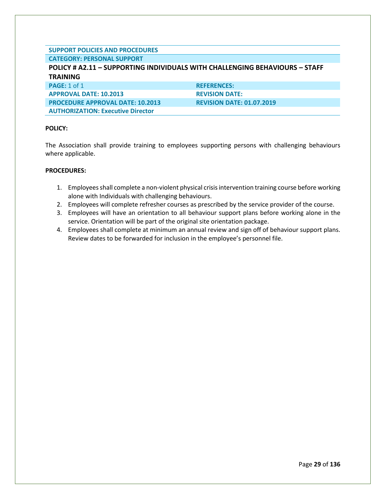#### **SUPPORT POLICIES AND PROCEDURES CATEGORY: PERSONAL SUPPORT**

**AUTHORIZATION: Executive Director**

### <span id="page-29-0"></span>**POLICY # A2.11 – SUPPORTING INDIVIDUALS WITH CHALLENGING BEHAVIOURS – STAFF TRAINING PAGE:** 1 of 1 **REFERENCES: APPROVAL DATE: 10.2013 REVISION DATE: PROCEDURE APPROVAL DATE: 10.2013 REVISION DATE: 01.07.2019**

#### **POLICY:**

The Association shall provide training to employees supporting persons with challenging behaviours where applicable.

- 1. Employees shall complete a non-violent physical crisis intervention training course before working alone with Individuals with challenging behaviours.
- 2. Employees will complete refresher courses as prescribed by the service provider of the course.
- 3. Employees will have an orientation to all behaviour support plans before working alone in the service. Orientation will be part of the original site orientation package.
- 4. Employees shall complete at minimum an annual review and sign off of behaviour support plans. Review dates to be forwarded for inclusion in the employee's personnel file.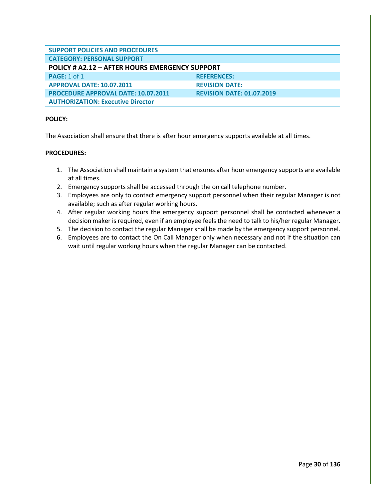<span id="page-30-0"></span>

| <b>SUPPORT POLICIES AND PROCEDURES</b>         |                                  |  |
|------------------------------------------------|----------------------------------|--|
| <b>CATEGORY: PERSONAL SUPPORT</b>              |                                  |  |
| POLICY # A2.12 - AFTER HOURS EMERGENCY SUPPORT |                                  |  |
| <b>PAGE: 1 of 1</b>                            | <b>REFERENCES:</b>               |  |
| <b>APPROVAL DATE: 10.07.2011</b>               | <b>REVISION DATE:</b>            |  |
| <b>PROCEDURE APPROVAL DATE: 10.07.2011</b>     | <b>REVISION DATE: 01.07.2019</b> |  |
| <b>AUTHORIZATION: Executive Director</b>       |                                  |  |

The Association shall ensure that there is after hour emergency supports available at all times.

- 1. The Association shall maintain a system that ensures after hour emergency supports are available at all times.
- 2. Emergency supports shall be accessed through the on call telephone number.
- 3. Employees are only to contact emergency support personnel when their regular Manager is not available; such as after regular working hours.
- 4. After regular working hours the emergency support personnel shall be contacted whenever a decision maker is required, even if an employee feels the need to talk to his/her regular Manager.
- 5. The decision to contact the regular Manager shall be made by the emergency support personnel.
- 6. Employees are to contact the On Call Manager only when necessary and not if the situation can wait until regular working hours when the regular Manager can be contacted.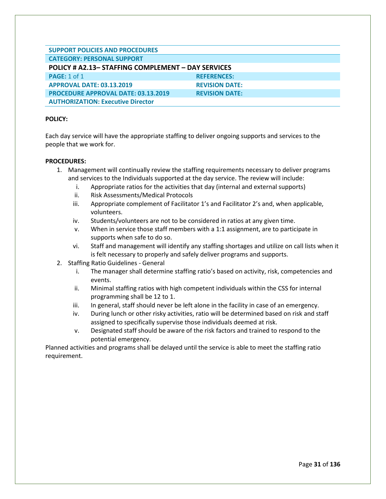<span id="page-31-0"></span>

| <b>SUPPORT POLICIES AND PROCEDURES</b>             |                       |  |
|----------------------------------------------------|-----------------------|--|
| <b>CATEGORY: PERSONAL SUPPORT</b>                  |                       |  |
| POLICY # A2.13- STAFFING COMPLEMENT - DAY SERVICES |                       |  |
| <b>PAGE: 1 of 1</b>                                | <b>REFERENCES:</b>    |  |
| <b>APPROVAL DATE: 03.13.2019</b>                   | <b>REVISION DATE:</b> |  |
| <b>PROCEDURE APPROVAL DATE: 03.13.2019</b>         | <b>REVISION DATE:</b> |  |
| <b>AUTHORIZATION: Executive Director</b>           |                       |  |

Each day service will have the appropriate staffing to deliver ongoing supports and services to the people that we work for.

#### **PROCEDURES:**

- 1. Management will continually review the staffing requirements necessary to deliver programs and services to the Individuals supported at the day service. The review will include:
	- i. Appropriate ratios for the activities that day (internal and external supports)
	- ii. Risk Assessments/Medical Protocols
	- iii. Appropriate complement of Facilitator 1's and Facilitator 2's and, when applicable, volunteers.
	- iv. Students/volunteers are not to be considered in ratios at any given time.
	- v. When in service those staff members with a 1:1 assignment, are to participate in supports when safe to do so.
	- vi. Staff and management will identify any staffing shortages and utilize on call lists when it is felt necessary to properly and safely deliver programs and supports.
- 2. Staffing Ratio Guidelines General
	- i. The manager shall determine staffing ratio's based on activity, risk, competencies and events.
	- ii. Minimal staffing ratios with high competent individuals within the CSS for internal programming shall be 12 to 1.
	- iii. In general, staff should never be left alone in the facility in case of an emergency.
	- iv. During lunch or other risky activities, ratio will be determined based on risk and staff assigned to specifically supervise those individuals deemed at risk.
	- v. Designated staff should be aware of the risk factors and trained to respond to the potential emergency.

Planned activities and programs shall be delayed until the service is able to meet the staffing ratio requirement.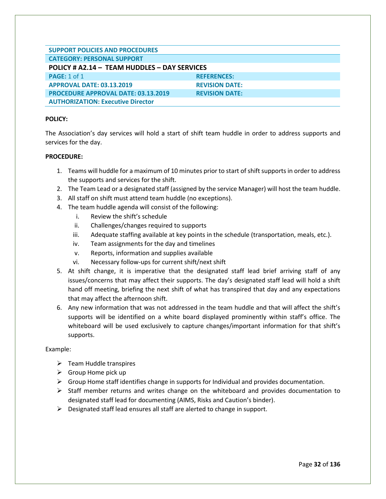<span id="page-32-0"></span>

| <b>SUPPORT POLICIES AND PROCEDURES</b>       |                       |
|----------------------------------------------|-----------------------|
|                                              |                       |
| <b>CATEGORY: PERSONAL SUPPORT</b>            |                       |
|                                              |                       |
| POLICY # A2.14 - TEAM HUDDLES - DAY SERVICES |                       |
| <b>PAGE: 1 of 1</b>                          | <b>REFERENCES:</b>    |
|                                              |                       |
| <b>APPROVAL DATE: 03.13.2019</b>             | <b>REVISION DATE:</b> |
|                                              |                       |
| <b>PROCEDURE APPROVAL DATE: 03.13.2019</b>   | <b>REVISION DATE:</b> |
|                                              |                       |
| <b>AUTHORIZATION: Executive Director</b>     |                       |
|                                              |                       |

The Association's day services will hold a start of shift team huddle in order to address supports and services for the day.

#### **PROCEDURE:**

- 1. Teams will huddle for a maximum of 10 minutes prior to start of shift supports in order to address the supports and services for the shift.
- 2. The Team Lead or a designated staff (assigned by the service Manager) will host the team huddle.
- 3. All staff on shift must attend team huddle (no exceptions).
- 4. The team huddle agenda will consist of the following:
	- i. Review the shift's schedule
	- ii. Challenges/changes required to supports
	- iii. Adequate staffing available at key points in the schedule (transportation, meals, etc.).
	- iv. Team assignments for the day and timelines
	- v. Reports, information and supplies available
	- vi. Necessary follow-ups for current shift/next shift
- 5. At shift change, it is imperative that the designated staff lead brief arriving staff of any issues/concerns that may affect their supports. The day's designated staff lead will hold a shift hand off meeting, briefing the next shift of what has transpired that day and any expectations that may affect the afternoon shift.
- 6. Any new information that was not addressed in the team huddle and that will affect the shift's supports will be identified on a white board displayed prominently within staff's office. The whiteboard will be used exclusively to capture changes/important information for that shift's supports.

#### Example:

- ➢ Team Huddle transpires
- $\triangleright$  Group Home pick up
- $\triangleright$  Group Home staff identifies change in supports for Individual and provides documentation.
- $\triangleright$  Staff member returns and writes change on the whiteboard and provides documentation to designated staff lead for documenting (AIMS, Risks and Caution's binder).
- $\triangleright$  Designated staff lead ensures all staff are alerted to change in support.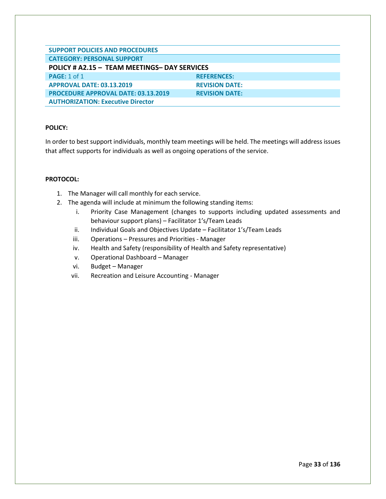<span id="page-33-0"></span>

| <b>SUPPORT POLICIES AND PROCEDURES</b>                                                                        |                                             |
|---------------------------------------------------------------------------------------------------------------|---------------------------------------------|
|                                                                                                               |                                             |
| <b>CATEGORY: PERSONAL SUPPORT</b>                                                                             |                                             |
| POLICY # A2.15 - TEAM MEETINGS- DAY SERVICES                                                                  |                                             |
|                                                                                                               |                                             |
|                                                                                                               |                                             |
| <b>APPROVAL DATE: 03.13.2019</b>                                                                              | <b>REVISION DATE:</b>                       |
|                                                                                                               |                                             |
|                                                                                                               |                                             |
|                                                                                                               |                                             |
| <b>PAGE: 1 of 1</b><br><b>PROCEDURE APPROVAL DATE: 03.13.2019</b><br><b>AUTHORIZATION: Executive Director</b> | <b>REFERENCES:</b><br><b>REVISION DATE:</b> |

In order to best support individuals, monthly team meetings will be held. The meetings will address issues that affect supports for individuals as well as ongoing operations of the service.

#### **PROTOCOL:**

- 1. The Manager will call monthly for each service.
- 2. The agenda will include at minimum the following standing items:
	- i. Priority Case Management (changes to supports including updated assessments and behaviour support plans) – Facilitator 1's/Team Leads
	- ii. Individual Goals and Objectives Update Facilitator 1's/Team Leads
	- iii. Operations Pressures and Priorities Manager
	- iv. Health and Safety (responsibility of Health and Safety representative)
	- v. Operational Dashboard Manager
	- vi. Budget Manager
	- vii. Recreation and Leisure Accounting Manager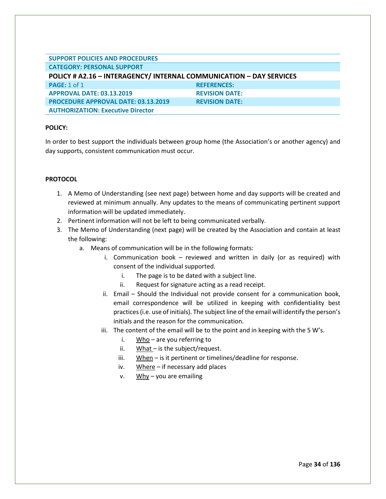<span id="page-34-0"></span>

| <b>SUPPORT POLICIES AND PROCEDURES</b>                              |                       |
|---------------------------------------------------------------------|-----------------------|
| <b>CATEGORY: PERSONAL SUPPORT</b>                                   |                       |
| POLICY # A2.16 - INTERAGENCY/ INTERNAL COMMUNICATION - DAY SERVICES |                       |
| <b>PAGE: 1 of 1</b>                                                 | <b>REFERENCES:</b>    |
| <b>APPROVAL DATE: 03.13.2019</b>                                    | <b>REVISION DATE:</b> |
| <b>PROCEDURE APPROVAL DATE: 03.13.2019</b>                          | <b>REVISION DATE:</b> |
| <b>AUTHORIZATION: Executive Director</b>                            |                       |

In order to best support the individuals between group home (the Association's or another agency) and day supports, consistent communication must occur.

#### **PROTOCOL**

- 1. A Memo of Understanding (see next page) between home and day supports will be created and reviewed at minimum annually. Any updates to the means of communicating pertinent support information will be updated immediately.
- 2. Pertinent information will not be left to being communicated verbally.
- 3. The Memo of Understanding (next page) will be created by the Association and contain at least the following:
	- a. Means of communication will be in the following formats:
		- i. Communication book reviewed and written in daily (or as required) with consent of the individual supported.
			- i. The page is to be dated with a subject line.
			- ii. Request for signature acting as a read receipt.
		- ii. Email Should the Individual not provide consent for a communication book, email correspondence will be utilized in keeping with confidentiality best practices (i.e. use of initials). The subject line of the email will identify the person's initials and the reason for the communication.
		- iii. The content of the email will be to the point and in keeping with the 5 W's.
			- i.  $Who$  are you referring to
			- ii. What is the subject/request.
			- iii. When is it pertinent or timelines/deadline for response.
			- iv. Where if necessary add places
			- v. Why you are emailing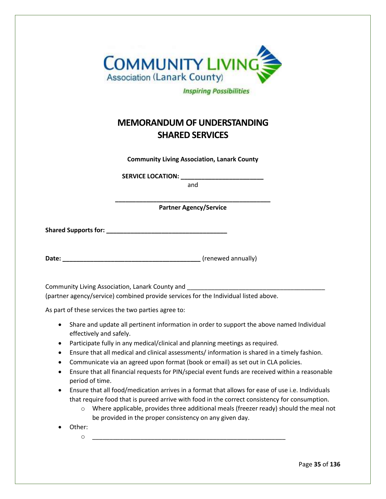| <b>COMMUNITY LIVING</b>            |
|------------------------------------|
| <b>Association (Lanark County)</b> |
| <b>Inspiring Possibilities</b>     |

# **MEMORANDUM OF UNDERSTANDING SHARED SERVICES**

**Community Living Association, Lanark County**

**SERVICE LOCATION: \_\_\_\_\_\_\_\_\_\_\_\_\_\_\_\_\_\_\_\_\_\_\_\_**

and

**\_\_\_\_\_\_\_\_\_\_\_\_\_\_\_\_\_\_\_\_\_\_\_\_\_\_\_\_\_\_\_\_\_\_\_\_\_\_\_\_\_\_\_\_\_ Partner Agency/Service**

**Shared Supports for: \_\_\_\_\_\_\_\_\_\_\_\_\_\_\_\_\_\_\_\_\_\_\_\_\_\_\_\_\_\_\_\_\_\_\_**

Date: **Date: Date: CONSISTENT ACCOUNT ACCOUNT ACCOUNT ACCOUNT ACCOUNT ACCOUNT ACCOUNT ACCOUNT ACCOUNT ACCOUNT ACCOUNT ACCOUNT ACCOUNT ACCOUNT ACCOUNT ACCOUNT ACCOUNT ACCOUNT ACCOUNT ACCOUNT ACCOUNT ACCOUNT ACCOUNT ACCO** 

Community Living Association, Lanark County and (partner agency/service) combined provide services for the Individual listed above.

As part of these services the two parties agree to:

- Share and update all pertinent information in order to support the above named Individual effectively and safely.
- Participate fully in any medical/clinical and planning meetings as required.
- Ensure that all medical and clinical assessments/ information is shared in a timely fashion.
- Communicate via an agreed upon format (book or email) as set out in CLA policies.
- Ensure that all financial requests for PIN/special event funds are received within a reasonable period of time.
- Ensure that all food/medication arrives in a format that allows for ease of use i.e. Individuals that require food that is pureed arrive with food in the correct consistency for consumption.
	- $\circ$  Where applicable, provides three additional meals (freezer ready) should the meal not be provided in the proper consistency on any given day.
- Other:
	- o \_\_\_\_\_\_\_\_\_\_\_\_\_\_\_\_\_\_\_\_\_\_\_\_\_\_\_\_\_\_\_\_\_\_\_\_\_\_\_\_\_\_\_\_\_\_\_\_\_\_\_\_\_\_\_\_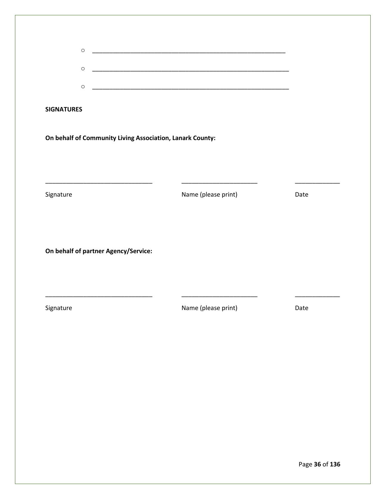| $\circ$<br>$\circ$                   |                                                                                                                                              |      |
|--------------------------------------|----------------------------------------------------------------------------------------------------------------------------------------------|------|
| $\circ$                              |                                                                                                                                              |      |
| <b>SIGNATURES</b>                    |                                                                                                                                              |      |
|                                      | On behalf of Community Living Association, Lanark County:                                                                                    |      |
|                                      |                                                                                                                                              |      |
|                                      |                                                                                                                                              |      |
| Signature                            | <u> 2002 - Johann John Stone, mars and de la partie de la partie de la partie de la partie de la partie de la par</u><br>Name (please print) | Date |
|                                      |                                                                                                                                              |      |
|                                      |                                                                                                                                              |      |
| On behalf of partner Agency/Service: |                                                                                                                                              |      |
|                                      |                                                                                                                                              |      |
|                                      |                                                                                                                                              |      |
| Signature                            | Name (please print)                                                                                                                          | Date |
|                                      |                                                                                                                                              |      |
|                                      |                                                                                                                                              |      |
|                                      |                                                                                                                                              |      |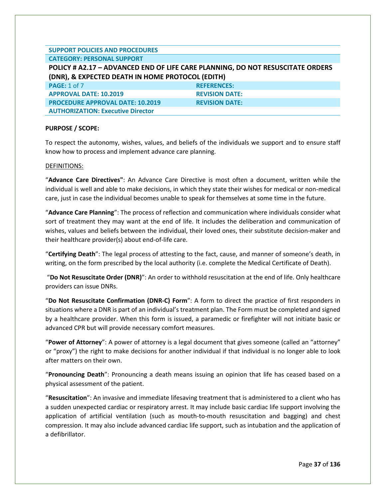#### **SUPPORT POLICIES AND PROCEDURES CATEGORY: PERSONAL SUPPORT**

# **POLICY # A2.17 – ADVANCED END OF LIFE CARE PLANNING, DO NOT RESUSCITATE ORDERS (DNR), & EXPECTED DEATH IN HOME PROTOCOL (EDITH) PAGE:** 1 of 7 **REFERENCES: APPROVAL DATE: 10.2019 REVISION DATE: PROCEDURE APPROVAL DATE: 10.2019 REVISION DATE: AUTHORIZATION: Executive Director**

# **PURPOSE / SCOPE:**

To respect the autonomy, wishes, values, and beliefs of the individuals we support and to ensure staff know how to process and implement advance care planning.

# DEFINITIONS:

"**Advance Care Directives"**: An Advance Care Directive is most often a document, written while the individual is well and able to make decisions, in which they state their wishes for medical or non-medical care, just in case the individual becomes unable to speak for themselves at some time in the future.

"**Advance Care Planning**": The process of reflection and communication where individuals consider what sort of treatment they may want at the end of life. It includes the deliberation and communication of wishes, values and beliefs between the individual, their loved ones, their substitute decision-maker and their healthcare provider(s) about end-of-life care.

"**Certifying Death**": The legal process of attesting to the fact, cause, and manner of someone's death, in writing, on the form prescribed by the local authority (i.e. complete the Medical Certificate of Death).

"**Do Not Resuscitate Order (DNR)**": An order to withhold resuscitation at the end of life. Only healthcare providers can issue DNRs.

"**Do Not Resuscitate Confirmation (DNR-C) Form**": A form to direct the practice of first responders in situations where a DNR is part of an individual's treatment plan. The Form must be completed and signed by a healthcare provider. When this form is issued, a paramedic or firefighter will not initiate basic or advanced CPR but will provide necessary comfort measures.

"**Power of Attorney**": A power of attorney is a legal document that gives someone (called an "attorney" or "proxy") the right to make decisions for another individual if that individual is no longer able to look after matters on their own.

"**Pronouncing Death**": Pronouncing a death means issuing an opinion that life has ceased based on a physical assessment of the patient.

"**Resuscitation**": An invasive and immediate lifesaving treatment that is administered to a client who has a sudden unexpected cardiac or respiratory arrest. It may include basic cardiac life support involving the application of artificial ventilation (such as mouth-to-mouth resuscitation and bagging) and chest compression. It may also include advanced cardiac life support, such as intubation and the application of a defibrillator.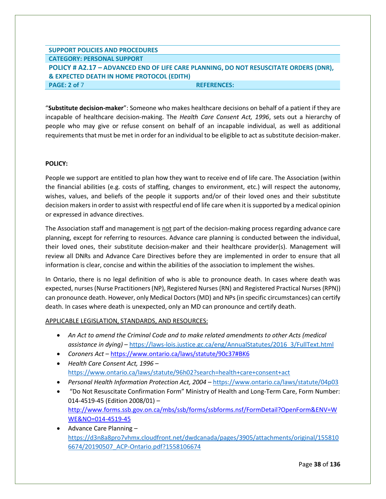# **SUPPORT POLICIES AND PROCEDURES CATEGORY: PERSONAL SUPPORT POLICY # A2.17 – ADVANCED END OF LIFE CARE PLANNING, DO NOT RESUSCITATE ORDERS (DNR), & EXPECTED DEATH IN HOME PROTOCOL (EDITH) PAGE: 2 of** 7 **REFERENCES:**

"**Substitute decision-maker**": Someone who makes healthcare decisions on behalf of a patient if they are incapable of healthcare decision-making. The *Health Care Consent Act, 1996*, sets out a hierarchy of people who may give or refuse consent on behalf of an incapable individual, as well as additional requirements that must be met in order for an individual to be eligible to act as substitute decision-maker.

# **POLICY:**

People we support are entitled to plan how they want to receive end of life care. The Association (within the financial abilities (e.g. costs of staffing, changes to environment, etc.) will respect the autonomy, wishes, values, and beliefs of the people it supports and/or of their loved ones and their substitute decision makersin order to assist with respectful end of life care when it is supported by a medical opinion or expressed in advance directives.

The Association staff and management is not part of the decision-making process regarding advance care planning, except for referring to resources. Advance care planning is conducted between the individual, their loved ones, their substitute decision-maker and their healthcare provider(s). Management will review all DNRs and Advance Care Directives before they are implemented in order to ensure that all information is clear, concise and within the abilities of the association to implement the wishes.

In Ontario, there is no legal definition of who is able to pronounce death. In cases where death was expected, nurses (Nurse Practitioners (NP), Registered Nurses (RN) and Registered Practical Nurses (RPN)) can pronounce death. However, only Medical Doctors (MD) and NPs (in specific circumstances) can certify death. In cases where death is unexpected, only an MD can pronounce and certify death.

# APPLICABLE LEGISLATION, STANDARDS, AND RESOURCES:

- *An Act to amend the Criminal Code and to make related amendments to other Acts (medical assistance in dying)* – [https://laws-lois.justice.gc.ca/eng/AnnualStatutes/2016\\_3/FullText.html](https://laws-lois.justice.gc.ca/eng/AnnualStatutes/2016_3/FullText.html)
- *Coroners Act* <https://www.ontario.ca/laws/statute/90c37#BK6>
- *Health Care Consent Act, 1996* <https://www.ontario.ca/laws/statute/96h02?search=health+care+consent+act>
- *Personal Health Information Protection Act, 2004* <https://www.ontario.ca/laws/statute/04p03>
- "Do Not Resuscitate Confirmation Form" Ministry of Health and Long-Term Care, Form Number: 014-4519-45 (Edition 2008/01) – [http://www.forms.ssb.gov.on.ca/mbs/ssb/forms/ssbforms.nsf/FormDetail?OpenForm&ENV=W](http://www.forms.ssb.gov.on.ca/mbs/ssb/forms/ssbforms.nsf/FormDetail?OpenForm&ENV=WWE&NO=014-4519-45) [WE&NO=014-4519-45](http://www.forms.ssb.gov.on.ca/mbs/ssb/forms/ssbforms.nsf/FormDetail?OpenForm&ENV=WWE&NO=014-4519-45)
- Advance Care Planning [https://d3n8a8pro7vhmx.cloudfront.net/dwdcanada/pages/3905/attachments/original/155810](https://d3n8a8pro7vhmx.cloudfront.net/dwdcanada/pages/3905/attachments/original/1558106674/20190507_ACP-Ontario.pdf?1558106674) [6674/20190507\\_ACP-Ontario.pdf?1558106674](https://d3n8a8pro7vhmx.cloudfront.net/dwdcanada/pages/3905/attachments/original/1558106674/20190507_ACP-Ontario.pdf?1558106674)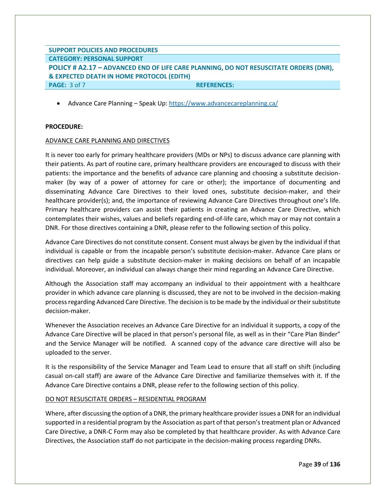# **SUPPORT POLICIES AND PROCEDURES CATEGORY: PERSONAL SUPPORT POLICY # A2.17 – ADVANCED END OF LIFE CARE PLANNING, DO NOT RESUSCITATE ORDERS (DNR), & EXPECTED DEATH IN HOME PROTOCOL (EDITH) PAGE:** 3 of 7 **REFERENCES: REFERENCES:**

• Advance Care Planning – Speak Up:<https://www.advancecareplanning.ca/>

## **PROCEDURE:**

#### ADVANCE CARE PLANNING AND DIRECTIVES

It is never too early for primary healthcare providers (MDs or NPs) to discuss advance care planning with their patients. As part of routine care, primary healthcare providers are encouraged to discuss with their patients: the importance and the benefits of advance care planning and choosing a substitute decisionmaker (by way of a power of attorney for care or other); the importance of documenting and disseminating Advance Care Directives to their loved ones, substitute decision-maker, and their healthcare provider(s); and, the importance of reviewing Advance Care Directives throughout one's life. Primary healthcare providers can assist their patients in creating an Advance Care Directive, which contemplates their wishes, values and beliefs regarding end-of-life care, which may or may not contain a DNR. For those directives containing a DNR, please refer to the following section of this policy.

Advance Care Directives do not constitute consent. Consent must always be given by the individual if that individual is capable or from the incapable person's substitute decision-maker. Advance Care plans or directives can help guide a substitute decision-maker in making decisions on behalf of an incapable individual. Moreover, an individual can always change their mind regarding an Advance Care Directive.

Although the Association staff may accompany an individual to their appointment with a healthcare provider in which advance care planning is discussed, they are not to be involved in the decision-making process regarding Advanced Care Directive. The decision is to be made by the individual or their substitute decision-maker.

Whenever the Association receives an Advance Care Directive for an individual it supports, a copy of the Advance Care Directive will be placed in that person's personal file, as well as in their "Care Plan Binder" and the Service Manager will be notified. A scanned copy of the advance care directive will also be uploaded to the server.

It is the responsibility of the Service Manager and Team Lead to ensure that all staff on shift (including casual on-call staff) are aware of the Advance Care Directive and familiarize themselves with it. If the Advance Care Directive contains a DNR, please refer to the following section of this policy.

#### DO NOT RESUSCITATE ORDERS – RESIDENTIAL PROGRAM

Where, after discussing the option of a DNR, the primary healthcare provider issues a DNR for an individual supported in a residential program by the Association as part of that person's treatment plan or Advanced Care Directive, a DNR-C Form may also be completed by that healthcare provider. As with Advance Care Directives, the Association staff do not participate in the decision-making process regarding DNRs.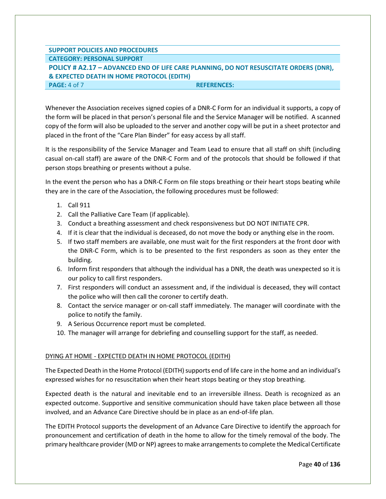# **SUPPORT POLICIES AND PROCEDURES CATEGORY: PERSONAL SUPPORT POLICY # A2.17 – ADVANCED END OF LIFE CARE PLANNING, DO NOT RESUSCITATE ORDERS (DNR), & EXPECTED DEATH IN HOME PROTOCOL (EDITH) PAGE:** 4 of 7 **REFERENCES: REFERENCES:**

Whenever the Association receives signed copies of a DNR-C Form for an individual it supports, a copy of the form will be placed in that person's personal file and the Service Manager will be notified. A scanned copy of the form will also be uploaded to the server and another copy will be put in a sheet protector and placed in the front of the "Care Plan Binder" for easy access by all staff.

It is the responsibility of the Service Manager and Team Lead to ensure that all staff on shift (including casual on-call staff) are aware of the DNR-C Form and of the protocols that should be followed if that person stops breathing or presents without a pulse.

In the event the person who has a DNR-C Form on file stops breathing or their heart stops beating while they are in the care of the Association, the following procedures must be followed:

- 1. Call 911
- 2. Call the Palliative Care Team (if applicable).
- 3. Conduct a breathing assessment and check responsiveness but DO NOT INITIATE CPR.
- 4. If it is clear that the individual is deceased, do not move the body or anything else in the room.
- 5. If two staff members are available, one must wait for the first responders at the front door with the DNR-C Form, which is to be presented to the first responders as soon as they enter the building.
- 6. Inform first responders that although the individual has a DNR, the death was unexpected so it is our policy to call first responders.
- 7. First responders will conduct an assessment and, if the individual is deceased, they will contact the police who will then call the coroner to certify death.
- 8. Contact the service manager or on-call staff immediately. The manager will coordinate with the police to notify the family.
- 9. A Serious Occurrence report must be completed.
- 10. The manager will arrange for debriefing and counselling support for the staff, as needed.

# DYING AT HOME - EXPECTED DEATH IN HOME PROTOCOL (EDITH)

The Expected Death in the Home Protocol (EDITH) supports end of life care in the home and an individual's expressed wishes for no resuscitation when their heart stops beating or they stop breathing.

Expected death is the natural and inevitable end to an irreversible illness. Death is recognized as an expected outcome. Supportive and sensitive communication should have taken place between all those involved, and an Advance Care Directive should be in place as an end-of-life plan.

The EDITH Protocol supports the development of an Advance Care Directive to identify the approach for pronouncement and certification of death in the home to allow for the timely removal of the body. The primary healthcare provider (MD or NP) agrees to make arrangements to complete the Medical Certificate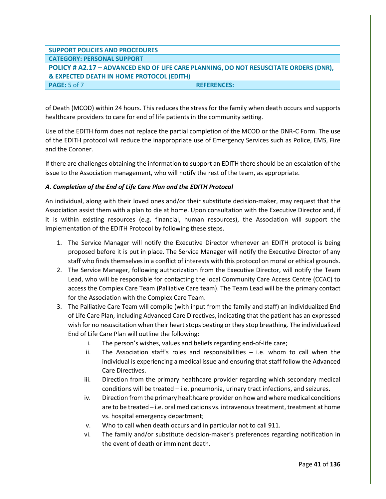# **SUPPORT POLICIES AND PROCEDURES CATEGORY: PERSONAL SUPPORT POLICY # A2.17 – ADVANCED END OF LIFE CARE PLANNING, DO NOT RESUSCITATE ORDERS (DNR), & EXPECTED DEATH IN HOME PROTOCOL (EDITH) PAGE:**  $5$  of 7 **REFERENCES: REFERENCES:**

of Death (MCOD) within 24 hours. This reduces the stress for the family when death occurs and supports healthcare providers to care for end of life patients in the community setting.

Use of the EDITH form does not replace the partial completion of the MCOD or the DNR-C Form. The use of the EDITH protocol will reduce the inappropriate use of Emergency Services such as Police, EMS, Fire and the Coroner.

If there are challenges obtaining the information to support an EDITH there should be an escalation of the issue to the Association management, who will notify the rest of the team, as appropriate.

# *A. Completion of the End of Life Care Plan and the EDITH Protocol*

An individual, along with their loved ones and/or their substitute decision-maker, may request that the Association assist them with a plan to die at home. Upon consultation with the Executive Director and, if it is within existing resources (e.g. financial, human resources), the Association will support the implementation of the EDITH Protocol by following these steps.

- 1. The Service Manager will notify the Executive Director whenever an EDITH protocol is being proposed before it is put in place. The Service Manager will notify the Executive Director of any staff who finds themselves in a conflict of interests with this protocol on moral or ethical grounds.
- 2. The Service Manager, following authorization from the Executive Director, will notify the Team Lead, who will be responsible for contacting the local Community Care Access Centre (CCAC) to access the Complex Care Team (Palliative Care team). The Team Lead will be the primary contact for the Association with the Complex Care Team.
- 3. The Palliative Care Team will compile (with input from the family and staff) an individualized End of Life Care Plan, including Advanced Care Directives, indicating that the patient has an expressed wish for no resuscitation when their heart stops beating or they stop breathing. The individualized End of Life Care Plan will outline the following:
	- i. The person's wishes, values and beliefs regarding end-of-life care;
	- ii. The Association staff's roles and responsibilities  $-$  i.e. whom to call when the individual is experiencing a medical issue and ensuring that staff follow the Advanced Care Directives.
	- iii. Direction from the primary healthcare provider regarding which secondary medical conditions will be treated – i.e. pneumonia, urinary tract infections, and seizures.
	- iv. Direction from the primary healthcare provider on how and where medical conditions are to be treated – i.e. oral medications vs. intravenous treatment, treatment at home vs. hospital emergency department;
	- v. Who to call when death occurs and in particular not to call 911.
	- vi. The family and/or substitute decision-maker's preferences regarding notification in the event of death or imminent death.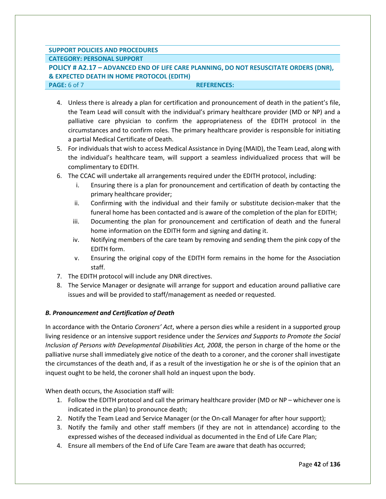# **SUPPORT POLICIES AND PROCEDURES**

# **CATEGORY: PERSONAL SUPPORT**

# **POLICY # A2.17 – ADVANCED END OF LIFE CARE PLANNING, DO NOT RESUSCITATE ORDERS (DNR), & EXPECTED DEATH IN HOME PROTOCOL (EDITH)**

#### **PAGE:** 6 of 7 **REFERENCES:**

- 4. Unless there is already a plan for certification and pronouncement of death in the patient's file, the Team Lead will consult with the individual's primary healthcare provider (MD or NP) and a palliative care physician to confirm the appropriateness of the EDITH protocol in the circumstances and to confirm roles. The primary healthcare provider is responsible for initiating a partial Medical Certificate of Death.
- 5. For individuals that wish to access Medical Assistance in Dying (MAID), the Team Lead, along with the individual's healthcare team, will support a seamless individualized process that will be complimentary to EDITH.
- 6. The CCAC will undertake all arrangements required under the EDITH protocol, including:
	- i. Ensuring there is a plan for pronouncement and certification of death by contacting the primary healthcare provider;
	- ii. Confirming with the individual and their family or substitute decision-maker that the funeral home has been contacted and is aware of the completion of the plan for EDITH;
	- iii. Documenting the plan for pronouncement and certification of death and the funeral home information on the EDITH form and signing and dating it.
	- iv. Notifying members of the care team by removing and sending them the pink copy of the EDITH form.
	- v. Ensuring the original copy of the EDITH form remains in the home for the Association staff.
- 7. The EDITH protocol will include any DNR directives.
- 8. The Service Manager or designate will arrange for support and education around palliative care issues and will be provided to staff/management as needed or requested.

# *B. Pronouncement and Certification of Death*

In accordance with the Ontario *Coroners' Act*, where a person dies while a resident in a supported group living residence or an intensive support residence under the *Services and Supports to Promote the Social Inclusion of Persons with Developmental Disabilities Act, 2008*, the person in charge of the home or the palliative nurse shall immediately give notice of the death to a coroner, and the coroner shall investigate the circumstances of the death and, if as a result of the investigation he or she is of the opinion that an inquest ought to be held, the coroner shall hold an inquest upon the body.

When death occurs, the Association staff will:

- 1. Follow the EDITH protocol and call the primary healthcare provider (MD or NP whichever one is indicated in the plan) to pronounce death;
- 2. Notify the Team Lead and Service Manager (or the On-call Manager for after hour support);
- 3. Notify the family and other staff members (if they are not in attendance) according to the expressed wishes of the deceased individual as documented in the End of Life Care Plan;
- 4. Ensure all members of the End of Life Care Team are aware that death has occurred;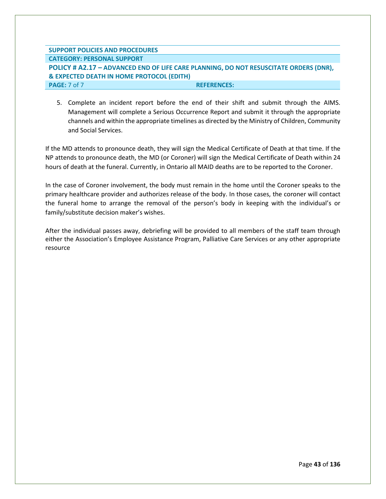| <b>SUPPORT POLICIES AND PROCEDURES</b>                                                |                    |
|---------------------------------------------------------------------------------------|--------------------|
| <b>CATEGORY: PERSONAL SUPPORT</b>                                                     |                    |
| POLICY # A2.17 - ADVANCED END OF LIFE CARE PLANNING, DO NOT RESUSCITATE ORDERS (DNR), |                    |
| & EXPECTED DEATH IN HOME PROTOCOL (EDITH)                                             |                    |
| <b>PAGE:</b> 7 of 7                                                                   | <b>REFERENCES:</b> |

5. Complete an incident report before the end of their shift and submit through the AIMS. Management will complete a Serious Occurrence Report and submit it through the appropriate channels and within the appropriate timelines as directed by the Ministry of Children, Community and Social Services.

If the MD attends to pronounce death, they will sign the Medical Certificate of Death at that time. If the NP attends to pronounce death, the MD (or Coroner) will sign the Medical Certificate of Death within 24 hours of death at the funeral. Currently, in Ontario all MAID deaths are to be reported to the Coroner.

In the case of Coroner involvement, the body must remain in the home until the Coroner speaks to the primary healthcare provider and authorizes release of the body. In those cases, the coroner will contact the funeral home to arrange the removal of the person's body in keeping with the individual's or family/substitute decision maker's wishes.

After the individual passes away, debriefing will be provided to all members of the staff team through either the Association's Employee Assistance Program, Palliative Care Services or any other appropriate resource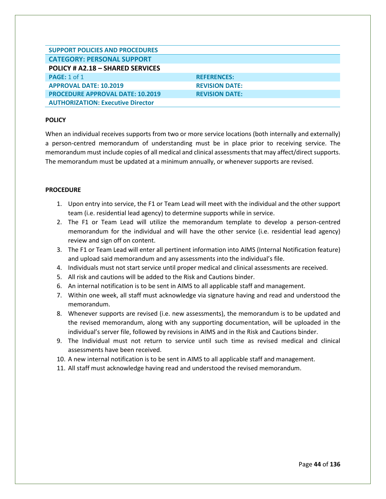| <b>SUPPORT POLICIES AND PROCEDURES</b>   |                       |
|------------------------------------------|-----------------------|
| <b>CATEGORY: PERSONAL SUPPORT</b>        |                       |
| <b>POLICY # A2.18 - SHARED SERVICES</b>  |                       |
| <b>PAGE: 1 of 1</b>                      | <b>REFERENCES:</b>    |
| <b>APPROVAL DATE: 10.2019</b>            | <b>REVISION DATE:</b> |
| <b>PROCEDURE APPROVAL DATE: 10.2019</b>  | <b>REVISION DATE:</b> |
| <b>AUTHORIZATION: Executive Director</b> |                       |

When an individual receives supports from two or more service locations (both internally and externally) a person-centred memorandum of understanding must be in place prior to receiving service. The memorandum must include copies of all medical and clinical assessments that may affect/direct supports. The memorandum must be updated at a minimum annually, or whenever supports are revised.

#### **PROCEDURE**

- 1. Upon entry into service, the F1 or Team Lead will meet with the individual and the other support team (i.e. residential lead agency) to determine supports while in service.
- 2. The F1 or Team Lead will utilize the memorandum template to develop a person-centred memorandum for the individual and will have the other service (i.e. residential lead agency) review and sign off on content.
- 3. The F1 or Team Lead will enter all pertinent information into AIMS (Internal Notification feature) and upload said memorandum and any assessments into the individual's file.
- 4. Individuals must not start service until proper medical and clinical assessments are received.
- 5. All risk and cautions will be added to the Risk and Cautions binder.
- 6. An internal notification is to be sent in AIMS to all applicable staff and management.
- 7. Within one week, all staff must acknowledge via signature having and read and understood the memorandum.
- 8. Whenever supports are revised (i.e. new assessments), the memorandum is to be updated and the revised memorandum, along with any supporting documentation, will be uploaded in the individual's server file, followed by revisions in AIMS and in the Risk and Cautions binder.
- 9. The Individual must not return to service until such time as revised medical and clinical assessments have been received.
- 10. A new internal notification is to be sent in AIMS to all applicable staff and management.
- 11. All staff must acknowledge having read and understood the revised memorandum.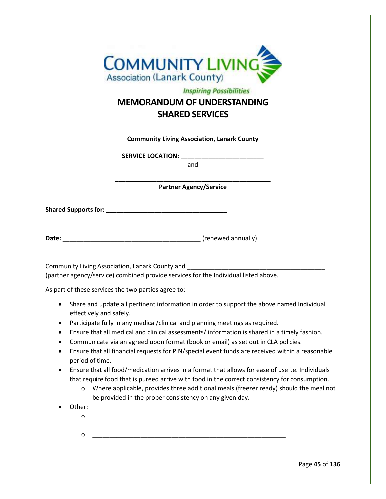

# **Inspiring Possibilities MEMORANDUM OF UNDERSTANDING SHARED SERVICES**

**Community Living Association, Lanark County**

**SERVICE LOCATION: \_\_\_\_\_\_\_\_\_\_\_\_\_\_\_\_\_\_\_\_\_\_\_\_**

and

**\_\_\_\_\_\_\_\_\_\_\_\_\_\_\_\_\_\_\_\_\_\_\_\_\_\_\_\_\_\_\_\_\_\_\_\_\_\_\_\_\_\_\_\_\_ Partner Agency/Service**

**Shared Supports for:** *CONDER 2004* 

| Date: | (renewed annually) |  |
|-------|--------------------|--|
|       |                    |  |

Community Living Association, Lanark County and (partner agency/service) combined provide services for the Individual listed above.

As part of these services the two parties agree to:

- Share and update all pertinent information in order to support the above named Individual effectively and safely.
- Participate fully in any medical/clinical and planning meetings as required.
- Ensure that all medical and clinical assessments/ information is shared in a timely fashion.
- Communicate via an agreed upon format (book or email) as set out in CLA policies.
- Ensure that all financial requests for PIN/special event funds are received within a reasonable period of time.
- Ensure that all food/medication arrives in a format that allows for ease of use i.e. Individuals that require food that is pureed arrive with food in the correct consistency for consumption.
	- $\circ$  Where applicable, provides three additional meals (freezer ready) should the meal not be provided in the proper consistency on any given day.
- Other:
	- o \_\_\_\_\_\_\_\_\_\_\_\_\_\_\_\_\_\_\_\_\_\_\_\_\_\_\_\_\_\_\_\_\_\_\_\_\_\_\_\_\_\_\_\_\_\_\_\_\_\_\_\_\_\_\_\_
	- o \_\_\_\_\_\_\_\_\_\_\_\_\_\_\_\_\_\_\_\_\_\_\_\_\_\_\_\_\_\_\_\_\_\_\_\_\_\_\_\_\_\_\_\_\_\_\_\_\_\_\_\_\_\_\_\_

Page **45** of **136**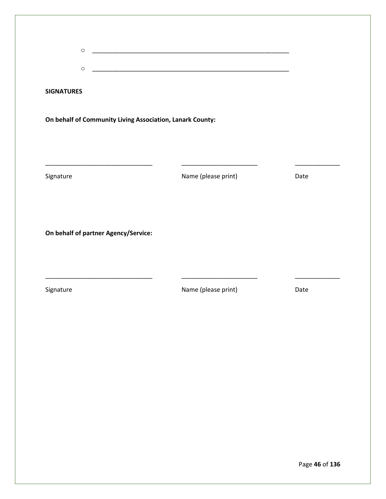| $\circ$                              |                                                           |      |
|--------------------------------------|-----------------------------------------------------------|------|
| $\circ$                              |                                                           |      |
| <b>SIGNATURES</b>                    |                                                           |      |
|                                      | On behalf of Community Living Association, Lanark County: |      |
|                                      |                                                           |      |
|                                      |                                                           |      |
|                                      | <u> 1989 - Johann Barn, mars ann an t-</u>                |      |
| Signature                            | Name (please print)                                       | Date |
|                                      |                                                           |      |
|                                      |                                                           |      |
| On behalf of partner Agency/Service: |                                                           |      |
|                                      |                                                           |      |
|                                      |                                                           |      |
|                                      |                                                           |      |
| Signature                            | Name (please print)                                       | Date |
|                                      |                                                           |      |
|                                      |                                                           |      |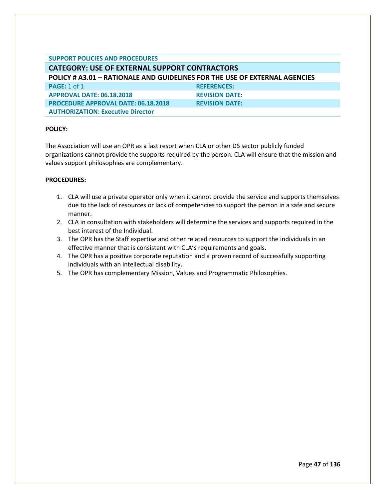# **SUPPORT POLICIES AND PROCEDURES**

**AUTHORIZATION: Executive Director**

**CATEGORY: USE OF EXTERNAL SUPPORT CONTRACTORS POLICY # A3.01 – RATIONALE AND GUIDELINES FOR THE USE OF EXTERNAL AGENCIES PAGE:** 1 of 1 **REFERENCES: APPROVAL DATE: 06.18.2018 REVISION DATE: PROCEDURE APPROVAL DATE: 06.18.2018 REVISION DATE:** 

## **POLICY:**

The Association will use an OPR as a last resort when CLA or other DS sector publicly funded organizations cannot provide the supports required by the person. CLA will ensure that the mission and values support philosophies are complementary.

- 1. CLA will use a private operator only when it cannot provide the service and supports themselves due to the lack of resources or lack of competencies to support the person in a safe and secure manner.
- 2. CLA in consultation with stakeholders will determine the services and supports required in the best interest of the Individual.
- 3. The OPR has the Staff expertise and other related resources to support the individuals in an effective manner that is consistent with CLA's requirements and goals.
- 4. The OPR has a positive corporate reputation and a proven record of successfully supporting individuals with an intellectual disability.
- 5. The OPR has complementary Mission, Values and Programmatic Philosophies.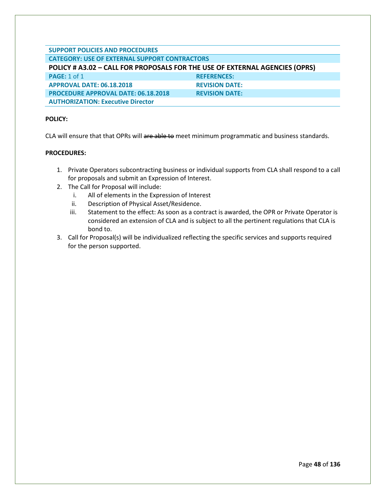# **SUPPORT POLICIES AND PROCEDURES CATEGORY: USE OF EXTERNAL SUPPORT CONTRACTORS POLICY # A3.02 – CALL FOR PROPOSALS FOR THE USE OF EXTERNAL AGENCIES (OPRS) PAGE:** 1 of 1 **REFERENCES: APPROVAL DATE: 06.18.2018 REVISION DATE: PROCEDURE APPROVAL DATE: 06.18.2018 REVISION DATE: AUTHORIZATION: Executive Director**

# **POLICY:**

CLA will ensure that that OPRs will are able to meet minimum programmatic and business standards.

- 1. Private Operators subcontracting business or individual supports from CLA shall respond to a call for proposals and submit an Expression of Interest.
- 2. The Call for Proposal will include:
	- i. All of elements in the Expression of Interest
	- ii. Description of Physical Asset/Residence.
	- iii. Statement to the effect: As soon as a contract is awarded, the OPR or Private Operator is considered an extension of CLA and is subject to all the pertinent regulations that CLA is bond to.
- 3. Call for Proposal(s) will be individualized reflecting the specific services and supports required for the person supported.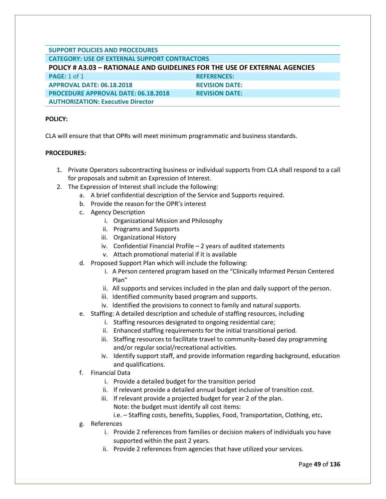#### **SUPPORT POLICIES AND PROCEDURES CATEGORY: USE OF EXTERNAL SUPPORT CONTRACTORS**

# **POLICY # A3.03 – RATIONALE AND GUIDELINES FOR THE USE OF EXTERNAL AGENCIES**

| <b>PAGE:</b> 1 of 1                        | <b>REFERENCES:</b>    |
|--------------------------------------------|-----------------------|
| APPROVAL DATE: 06.18.2018                  | <b>REVISION DATE:</b> |
| <b>PROCEDURE APPROVAL DATE: 06.18.2018</b> | <b>REVISION DATE:</b> |
| <b>AUTHORIZATION: Executive Director</b>   |                       |

# **POLICY:**

CLA will ensure that that OPRs will meet minimum programmatic and business standards.

# **PROCEDURES:**

- 1. Private Operators subcontracting business or individual supports from CLA shall respond to a call for proposals and submit an Expression of Interest.
- 2. The Expression of Interest shall include the following:
	- a. A brief confidential description of the Service and Supports required.
	- b. Provide the reason for the OPR's interest
	- c. Agency Description
		- i. Organizational Mission and Philosophy
		- ii. Programs and Supports
		- iii. Organizational History
		- iv. Confidential Financial Profile 2 years of audited statements
		- v. Attach promotional material if it is available
	- d. Proposed Support Plan which will include the following:
		- i. A Person centered program based on the "Clinically Informed Person Centered Plan"
		- ii. All supports and services included in the plan and daily support of the person.
		- iii. Identified community based program and supports.
		- iv. Identified the provisions to connect to family and natural supports.
	- e. Staffing: A detailed description and schedule of staffing resources, including
		- i. Staffing resources designated to ongoing residential care;
		- ii. Enhanced staffing requirements for the initial transitional period.
		- iii. Staffing resources to facilitate travel to community-based day programming and/or regular social/recreational activities.
		- iv. Identify support staff, and provide information regarding background, education and qualifications.
	- f. Financial Data
		- i. Provide a detailed budget for the transition period
		- ii. If relevant provide a detailed annual budget inclusive of transition cost.
		- iii. If relevant provide a projected budget for year 2 of the plan. Note: the budget must identify all cost items:

i.e. – Staffing costs, benefits, Supplies, Food, Transportation, Clothing, etc**.**

- g. References
	- i. Provide 2 references from families or decision makers of individuals you have supported within the past 2 years.
	- ii. Provide 2 references from agencies that have utilized your services.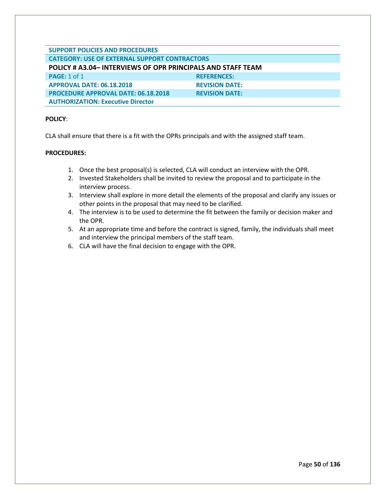# **SUPPORT POLICIES AND PROCEDURES CATEGORY: USE OF EXTERNAL SUPPORT CONTRACTORS POLICY # A3.04– INTERVIEWS OF OPR PRINCIPALS AND STAFF TEAM PAGE:** 1 of 1 **REFERENCES: APPROVAL DATE: 06.18.2018 REVISION DATE: PROCEDURE APPROVAL DATE: 06.18.2018 REVISION DATE: AUTHORIZATION: Executive Director**

# **POLICY**:

CLA shall ensure that there is a fit with the OPRs principals and with the assigned staff team.

- 1. Once the best proposal(s) is selected, CLA will conduct an interview with the OPR.
- 2. Invested Stakeholders shall be invited to review the proposal and to participate in the interview process.
- 3. Interview shall explore in more detail the elements of the proposal and clarify any issues or other points in the proposal that may need to be clarified.
- 4. The interview is to be used to determine the fit between the family or decision maker and the OPR.
- 5. At an appropriate time and before the contract is signed, family, the individuals shall meet and interview the principal members of the staff team.
- 6. CLA will have the final decision to engage with the OPR.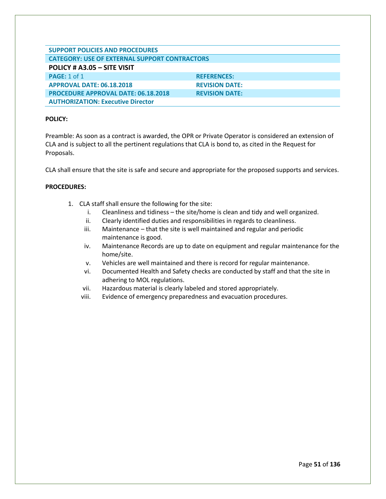| <b>SUPPORT POLICIES AND PROCEDURES</b>               |                       |  |
|------------------------------------------------------|-----------------------|--|
| <b>CATEGORY: USE OF EXTERNAL SUPPORT CONTRACTORS</b> |                       |  |
| POLICY # A3.05 - SITE VISIT                          |                       |  |
| <b>PAGE: 1 of 1</b>                                  | <b>REFERENCES:</b>    |  |
| <b>APPROVAL DATE: 06.18.2018</b>                     | <b>REVISION DATE:</b> |  |
| <b>PROCEDURE APPROVAL DATE: 06.18.2018</b>           | <b>REVISION DATE:</b> |  |
| <b>AUTHORIZATION: Executive Director</b>             |                       |  |

Preamble: As soon as a contract is awarded, the OPR or Private Operator is considered an extension of CLA and is subject to all the pertinent regulations that CLA is bond to, as cited in the Request for Proposals.

CLA shall ensure that the site is safe and secure and appropriate for the proposed supports and services.

- 1. CLA staff shall ensure the following for the site:
	- i. Cleanliness and tidiness the site/home is clean and tidy and well organized.
	- ii. Clearly identified duties and responsibilities in regards to cleanliness.
	- iii. Maintenance that the site is well maintained and regular and periodic maintenance is good.
	- iv. Maintenance Records are up to date on equipment and regular maintenance for the home/site.
	- v. Vehicles are well maintained and there is record for regular maintenance.
	- vi. Documented Health and Safety checks are conducted by staff and that the site in adhering to MOL regulations.
	- vii. Hazardous material is clearly labeled and stored appropriately.
	- viii. Evidence of emergency preparedness and evacuation procedures.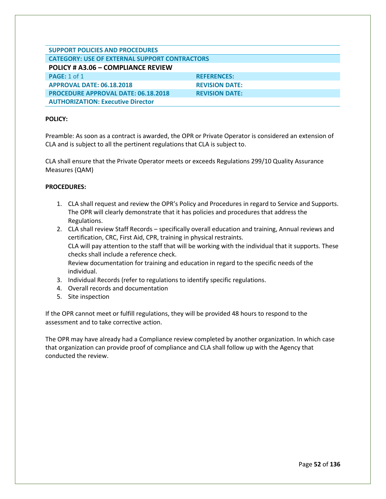| <b>SUPPORT POLICIES AND PROCEDURES</b>               |                       |  |
|------------------------------------------------------|-----------------------|--|
| <b>CATEGORY: USE OF EXTERNAL SUPPORT CONTRACTORS</b> |                       |  |
| POLICY # A3.06 - COMPLIANCE REVIEW                   |                       |  |
| <b>PAGE: 1 of 1</b>                                  | <b>REFERENCES:</b>    |  |
| <b>APPROVAL DATE: 06.18.2018</b>                     | <b>REVISION DATE:</b> |  |
| <b>PROCEDURE APPROVAL DATE: 06.18.2018</b>           | <b>REVISION DATE:</b> |  |
| <b>AUTHORIZATION: Executive Director</b>             |                       |  |

Preamble: As soon as a contract is awarded, the OPR or Private Operator is considered an extension of CLA and is subject to all the pertinent regulations that CLA is subject to.

CLA shall ensure that the Private Operator meets or exceeds Regulations 299/10 Quality Assurance Measures (QAM)

## **PROCEDURES:**

- 1. CLA shall request and review the OPR's Policy and Procedures in regard to Service and Supports. The OPR will clearly demonstrate that it has policies and procedures that address the Regulations.
- 2. CLA shall review Staff Records specifically overall education and training, Annual reviews and certification, CRC, First Aid, CPR, training in physical restraints. CLA will pay attention to the staff that will be working with the individual that it supports. These checks shall include a reference check. Review documentation for training and education in regard to the specific needs of the individual.
- 3. Individual Records (refer to regulations to identify specific regulations.
- 4. Overall records and documentation
- 5. Site inspection

If the OPR cannot meet or fulfill regulations, they will be provided 48 hours to respond to the assessment and to take corrective action.

The OPR may have already had a Compliance review completed by another organization. In which case that organization can provide proof of compliance and CLA shall follow up with the Agency that conducted the review.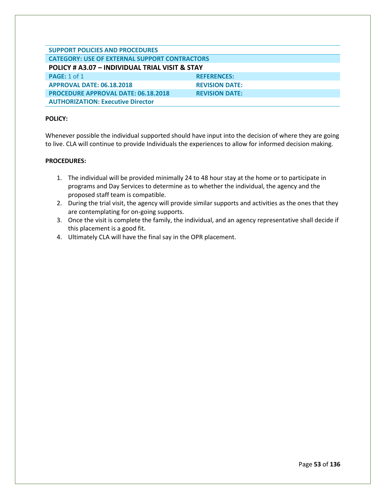| <b>SUPPORT POLICIES AND PROCEDURES</b>               |                       |  |
|------------------------------------------------------|-----------------------|--|
| <b>CATEGORY: USE OF EXTERNAL SUPPORT CONTRACTORS</b> |                       |  |
| POLICY # A3.07 - INDIVIDUAL TRIAL VISIT & STAY       |                       |  |
| <b>PAGE: 1 of 1</b>                                  | <b>REFERENCES:</b>    |  |
| <b>APPROVAL DATE: 06.18.2018</b>                     | <b>REVISION DATE:</b> |  |
| <b>PROCEDURE APPROVAL DATE: 06.18.2018</b>           | <b>REVISION DATE:</b> |  |
| <b>AUTHORIZATION: Executive Director</b>             |                       |  |

Whenever possible the individual supported should have input into the decision of where they are going to live. CLA will continue to provide Individuals the experiences to allow for informed decision making.

- 1. The individual will be provided minimally 24 to 48 hour stay at the home or to participate in programs and Day Services to determine as to whether the individual, the agency and the proposed staff team is compatible.
- 2. During the trial visit, the agency will provide similar supports and activities as the ones that they are contemplating for on-going supports.
- 3. Once the visit is complete the family, the individual, and an agency representative shall decide if this placement is a good fit.
- 4. Ultimately CLA will have the final say in the OPR placement.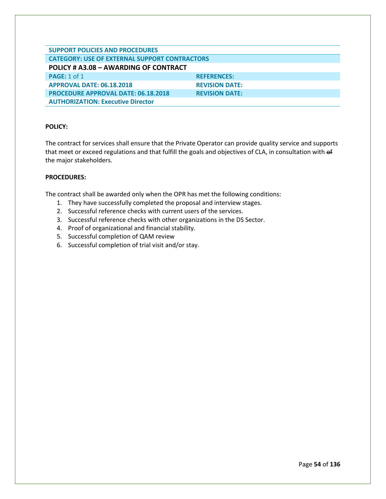| <b>SUPPORT POLICIES AND PROCEDURES</b>               |                       |  |
|------------------------------------------------------|-----------------------|--|
| <b>CATEGORY: USE OF EXTERNAL SUPPORT CONTRACTORS</b> |                       |  |
| POLICY # A3.08 - AWARDING OF CONTRACT                |                       |  |
| <b>PAGE: 1 of 1</b>                                  | <b>REFERENCES:</b>    |  |
| <b>APPROVAL DATE: 06.18.2018</b>                     | <b>REVISION DATE:</b> |  |
| <b>PROCEDURE APPROVAL DATE: 06.18.2018</b>           | <b>REVISION DATE:</b> |  |
| <b>AUTHORIZATION: Executive Director</b>             |                       |  |

The contract for services shall ensure that the Private Operator can provide quality service and supports that meet or exceed regulations and that fulfill the goals and objectives of CLA, in consultation with of the major stakeholders.

# **PROCEDURES:**

The contract shall be awarded only when the OPR has met the following conditions:

- 1. They have successfully completed the proposal and interview stages.
- 2. Successful reference checks with current users of the services.
- 3. Successful reference checks with other organizations in the DS Sector.
- 4. Proof of organizational and financial stability.
- 5. Successful completion of QAM review
- 6. Successful completion of trial visit and/or stay.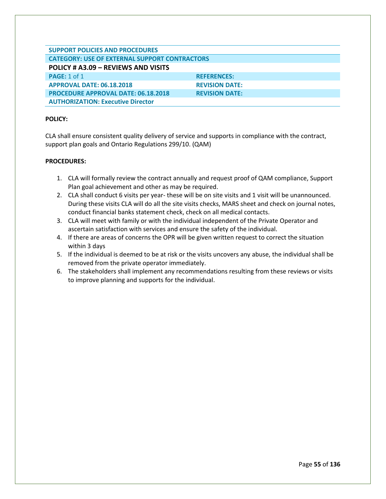| <b>SUPPORT POLICIES AND PROCEDURES</b>               |                       |  |
|------------------------------------------------------|-----------------------|--|
| <b>CATEGORY: USE OF EXTERNAL SUPPORT CONTRACTORS</b> |                       |  |
| POLICY # A3.09 - REVIEWS AND VISITS                  |                       |  |
| <b>PAGE: 1 of 1</b>                                  | <b>REFERENCES:</b>    |  |
| <b>APPROVAL DATE: 06.18.2018</b>                     | <b>REVISION DATE:</b> |  |
| <b>PROCEDURE APPROVAL DATE: 06.18.2018</b>           | <b>REVISION DATE:</b> |  |
| <b>AUTHORIZATION: Executive Director</b>             |                       |  |

CLA shall ensure consistent quality delivery of service and supports in compliance with the contract, support plan goals and Ontario Regulations 299/10. (QAM)

- 1. CLA will formally review the contract annually and request proof of QAM compliance, Support Plan goal achievement and other as may be required.
- 2. CLA shall conduct 6 visits per year- these will be on site visits and 1 visit will be unannounced. During these visits CLA will do all the site visits checks, MARS sheet and check on journal notes, conduct financial banks statement check, check on all medical contacts.
- 3. CLA will meet with family or with the individual independent of the Private Operator and ascertain satisfaction with services and ensure the safety of the individual.
- 4. If there are areas of concerns the OPR will be given written request to correct the situation within 3 days
- 5. If the individual is deemed to be at risk or the visits uncovers any abuse, the individual shall be removed from the private operator immediately.
- 6. The stakeholders shall implement any recommendations resulting from these reviews or visits to improve planning and supports for the individual.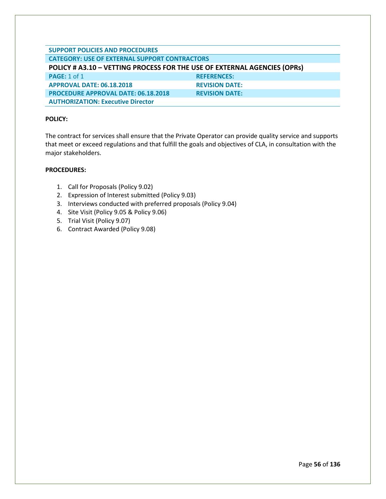| <b>SUPPORT POLICIES AND PROCEDURES</b>                                   |                       |  |
|--------------------------------------------------------------------------|-----------------------|--|
| <b>CATEGORY: USE OF EXTERNAL SUPPORT CONTRACTORS</b>                     |                       |  |
| POLICY # A3.10 - VETTING PROCESS FOR THE USE OF EXTERNAL AGENCIES (OPRs) |                       |  |
| <b>PAGE: 1 of 1</b>                                                      | <b>REFERENCES:</b>    |  |
| <b>APPROVAL DATE: 06.18.2018</b>                                         | <b>REVISION DATE:</b> |  |
| <b>PROCEDURE APPROVAL DATE: 06.18.2018</b>                               | <b>REVISION DATE:</b> |  |
| <b>AUTHORIZATION: Executive Director</b>                                 |                       |  |

The contract for services shall ensure that the Private Operator can provide quality service and supports that meet or exceed regulations and that fulfill the goals and objectives of CLA, in consultation with the major stakeholders.

- 1. Call for Proposals (Policy 9.02)
- 2. Expression of Interest submitted (Policy 9.03)
- 3. Interviews conducted with preferred proposals (Policy 9.04)
- 4. Site Visit (Policy 9.05 & Policy 9.06)
- 5. Trial Visit (Policy 9.07)
- 6. Contract Awarded (Policy 9.08)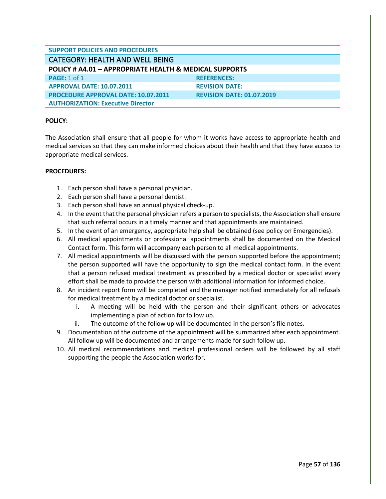| <b>SUPPORT POLICIES AND PROCEDURES</b>                            |                                  |
|-------------------------------------------------------------------|----------------------------------|
| <b>CATEGORY: HEALTH AND WELL BEING</b>                            |                                  |
| <b>POLICY # A4.01 - APPROPRIATE HEALTH &amp; MEDICAL SUPPORTS</b> |                                  |
| <b>PAGE: 1 of 1</b>                                               | <b>REFERENCES:</b>               |
| <b>APPROVAL DATE: 10.07.2011</b>                                  | <b>REVISION DATE:</b>            |
| <b>PROCEDURE APPROVAL DATE: 10.07.2011</b>                        | <b>REVISION DATE: 01.07.2019</b> |
| <b>AUTHORIZATION: Executive Director</b>                          |                                  |

The Association shall ensure that all people for whom it works have access to appropriate health and medical services so that they can make informed choices about their health and that they have access to appropriate medical services.

- 1. Each person shall have a personal physician.
- 2. Each person shall have a personal dentist.
- 3. Each person shall have an annual physical check-up.
- 4. In the event that the personal physician refers a person to specialists, the Association shall ensure that such referral occurs in a timely manner and that appointments are maintained.
- 5. In the event of an emergency, appropriate help shall be obtained (see policy on Emergencies).
- 6. All medical appointments or professional appointments shall be documented on the Medical Contact form. This form will accompany each person to all medical appointments.
- 7. All medical appointments will be discussed with the person supported before the appointment; the person supported will have the opportunity to sign the medical contact form. In the event that a person refused medical treatment as prescribed by a medical doctor or specialist every effort shall be made to provide the person with additional information for informed choice.
- 8. An incident report form will be completed and the manager notified immediately for all refusals for medical treatment by a medical doctor or specialist.
	- i. A meeting will be held with the person and their significant others or advocates implementing a plan of action for follow up.
	- ii. The outcome of the follow up will be documented in the person's file notes.
- 9. Documentation of the outcome of the appointment will be summarized after each appointment. All follow up will be documented and arrangements made for such follow up.
- 10. All medical recommendations and medical professional orders will be followed by all staff supporting the people the Association works for.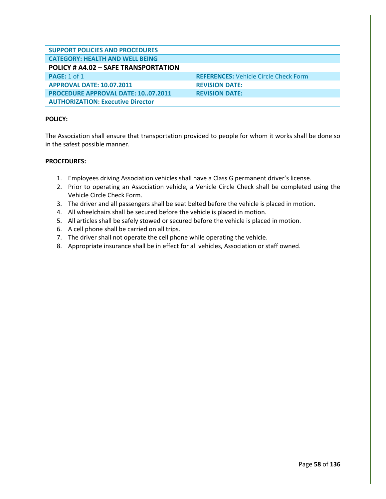| <b>SUPPORT POLICIES AND PROCEDURES</b>    |                                              |
|-------------------------------------------|----------------------------------------------|
| <b>CATEGORY: HEALTH AND WELL BEING</b>    |                                              |
| POLICY # A4.02 - SAFE TRANSPORTATION      |                                              |
| <b>PAGE: 1 of 1</b>                       | <b>REFERENCES: Vehicle Circle Check Form</b> |
| <b>APPROVAL DATE: 10.07.2011</b>          | <b>REVISION DATE:</b>                        |
| <b>PROCEDURE APPROVAL DATE: 1007.2011</b> | <b>REVISION DATE:</b>                        |
| <b>AUTHORIZATION: Executive Director</b>  |                                              |

The Association shall ensure that transportation provided to people for whom it works shall be done so in the safest possible manner.

- 1. Employees driving Association vehicles shall have a Class G permanent driver's license.
- 2. Prior to operating an Association vehicle, a Vehicle Circle Check shall be completed using the Vehicle Circle Check Form.
- 3. The driver and all passengers shall be seat belted before the vehicle is placed in motion.
- 4. All wheelchairs shall be secured before the vehicle is placed in motion.
- 5. All articles shall be safely stowed or secured before the vehicle is placed in motion.
- 6. A cell phone shall be carried on all trips.
- 7. The driver shall not operate the cell phone while operating the vehicle.
- 8. Appropriate insurance shall be in effect for all vehicles, Association or staff owned.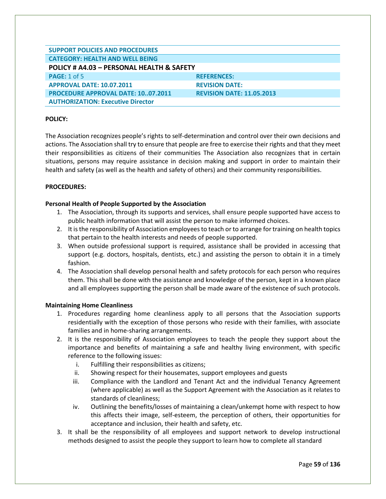| <b>SUPPORT POLICIES AND PROCEDURES</b>    |                                  |
|-------------------------------------------|----------------------------------|
| <b>CATEGORY: HEALTH AND WELL BEING</b>    |                                  |
| POLICY # A4.03 - PERSONAL HEALTH & SAFETY |                                  |
| <b>PAGE: 1 of 5</b>                       | <b>REFERENCES:</b>               |
| <b>APPROVAL DATE: 10.07.2011</b>          | <b>REVISION DATE:</b>            |
| <b>PROCEDURE APPROVAL DATE: 1007.2011</b> | <b>REVISION DATE: 11.05.2013</b> |
| <b>AUTHORIZATION: Executive Director</b>  |                                  |

The Association recognizes people's rights to self-determination and control over their own decisions and actions. The Association shall try to ensure that people are free to exercise their rights and that they meet their responsibilities as citizens of their communities The Association also recognizes that in certain situations, persons may require assistance in decision making and support in order to maintain their health and safety (as well as the health and safety of others) and their community responsibilities.

## **PROCEDURES:**

## **Personal Health of People Supported by the Association**

- 1. The Association, through its supports and services, shall ensure people supported have access to public health information that will assist the person to make informed choices.
- 2. It is the responsibility of Association employees to teach or to arrange for training on health topics that pertain to the health interests and needs of people supported.
- 3. When outside professional support is required, assistance shall be provided in accessing that support (e.g. doctors, hospitals, dentists, etc.) and assisting the person to obtain it in a timely fashion.
- 4. The Association shall develop personal health and safety protocols for each person who requires them. This shall be done with the assistance and knowledge of the person, kept in a known place and all employees supporting the person shall be made aware of the existence of such protocols.

#### **Maintaining Home Cleanliness**

- 1. Procedures regarding home cleanliness apply to all persons that the Association supports residentially with the exception of those persons who reside with their families, with associate families and in home-sharing arrangements.
- 2. It is the responsibility of Association employees to teach the people they support about the importance and benefits of maintaining a safe and healthy living environment, with specific reference to the following issues:
	- i. Fulfilling their responsibilities as citizens;
	- ii. Showing respect for their housemates, support employees and guests
	- iii. Compliance with the Landlord and Tenant Act and the individual Tenancy Agreement (where applicable) as well as the Support Agreement with the Association as it relates to standards of cleanliness;
	- iv. Outlining the benefits/losses of maintaining a clean/unkempt home with respect to how this affects their image, self-esteem, the perception of others, their opportunities for acceptance and inclusion, their health and safety, etc.
- 3. It shall be the responsibility of all employees and support network to develop instructional methods designed to assist the people they support to learn how to complete all standard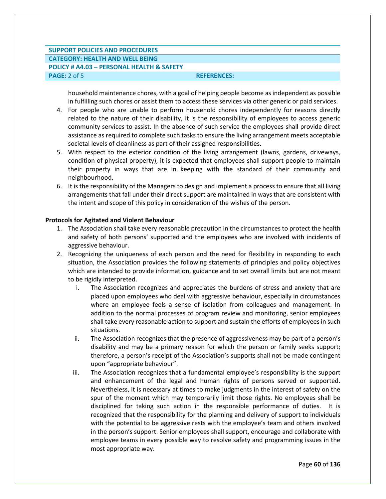# **SUPPORT POLICIES AND PROCEDURES CATEGORY: HEALTH AND WELL BEING POLICY # A4.03 – PERSONAL HEALTH & SAFETY PAGE:** 2 of 5 **REFERENCES: REFERENCES:**

household maintenance chores, with a goal of helping people become as independent as possible in fulfilling such chores or assist them to access these services via other generic or paid services.

- 4. For people who are unable to perform household chores independently for reasons directly related to the nature of their disability, it is the responsibility of employees to access generic community services to assist. In the absence of such service the employees shall provide direct assistance as required to complete such tasks to ensure the living arrangement meets acceptable societal levels of cleanliness as part of their assigned responsibilities.
- 5. With respect to the exterior condition of the living arrangement (lawns, gardens, driveways, condition of physical property), it is expected that employees shall support people to maintain their property in ways that are in keeping with the standard of their community and neighbourhood.
- 6. It is the responsibility of the Managers to design and implement a process to ensure that all living arrangements that fall under their direct support are maintained in ways that are consistent with the intent and scope of this policy in consideration of the wishes of the person.

#### **Protocols for Agitated and Violent Behaviour**

- 1. The Association shall take every reasonable precaution in the circumstances to protect the health and safety of both persons' supported and the employees who are involved with incidents of aggressive behaviour.
- 2. Recognizing the uniqueness of each person and the need for flexibility in responding to each situation, the Association provides the following statements of principles and policy objectives which are intended to provide information, guidance and to set overall limits but are not meant to be rigidly interpreted.
	- i. The Association recognizes and appreciates the burdens of stress and anxiety that are placed upon employees who deal with aggressive behaviour, especially in circumstances where an employee feels a sense of isolation from colleagues and management. In addition to the normal processes of program review and monitoring, senior employees shall take every reasonable action to support and sustain the efforts of employees in such situations.
	- ii. The Association recognizes that the presence of aggressiveness may be part of a person's disability and may be a primary reason for which the person or family seeks support; therefore, a person's receipt of the Association's supports shall not be made contingent upon "appropriate behaviour".
	- iii. The Association recognizes that a fundamental employee's responsibility is the support and enhancement of the legal and human rights of persons served or supported. Nevertheless, it is necessary at times to make judgments in the interest of safety on the spur of the moment which may temporarily limit those rights. No employees shall be disciplined for taking such action in the responsible performance of duties. It is recognized that the responsibility for the planning and delivery of support to individuals with the potential to be aggressive rests with the employee's team and others involved in the person's support. Senior employees shall support, encourage and collaborate with employee teams in every possible way to resolve safety and programming issues in the most appropriate way.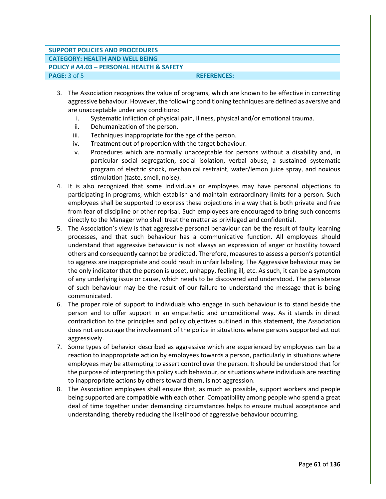# **SUPPORT POLICIES AND PROCEDURES CATEGORY: HEALTH AND WELL BEING POLICY # A4.03 – PERSONAL HEALTH & SAFETY PAGE:** 3 of 5 **REFERENCES:**

- 3. The Association recognizes the value of programs, which are known to be effective in correcting aggressive behaviour. However, the following conditioning techniques are defined as aversive and are unacceptable under any conditions:
	- i. Systematic infliction of physical pain, illness, physical and/or emotional trauma.
	- ii. Dehumanization of the person.
	- iii. Techniques inappropriate for the age of the person.
	- iv. Treatment out of proportion with the target behaviour.
	- v. Procedures which are normally unacceptable for persons without a disability and, in particular social segregation, social isolation, verbal abuse, a sustained systematic program of electric shock, mechanical restraint, water/lemon juice spray, and noxious stimulation (taste, smell, noise).
- 4. It is also recognized that some Individuals or employees may have personal objections to participating in programs, which establish and maintain extraordinary limits for a person. Such employees shall be supported to express these objections in a way that is both private and free from fear of discipline or other reprisal. Such employees are encouraged to bring such concerns directly to the Manager who shall treat the matter as privileged and confidential.
- 5. The Association's view is that aggressive personal behaviour can be the result of faulty learning processes, and that such behaviour has a communicative function. All employees should understand that aggressive behaviour is not always an expression of anger or hostility toward others and consequently cannot be predicted. Therefore, measures to assess a person's potential to aggress are inappropriate and could result in unfair labeling. The Aggressive behaviour may be the only indicator that the person is upset, unhappy, feeling ill, etc. As such, it can be a symptom of any underlying issue or cause, which needs to be discovered and understood. The persistence of such behaviour may be the result of our failure to understand the message that is being communicated.
- 6. The proper role of support to individuals who engage in such behaviour is to stand beside the person and to offer support in an empathetic and unconditional way. As it stands in direct contradiction to the principles and policy objectives outlined in this statement, the Association does not encourage the involvement of the police in situations where persons supported act out aggressively.
- 7. Some types of behavior described as aggressive which are experienced by employees can be a reaction to inappropriate action by employees towards a person, particularly in situations where employees may be attempting to assert control over the person. It should be understood that for the purpose of interpreting this policy such behaviour, or situations where individuals are reacting to inappropriate actions by others toward them, is not aggression.
- 8. The Association employees shall ensure that, as much as possible, support workers and people being supported are compatible with each other. Compatibility among people who spend a great deal of time together under demanding circumstances helps to ensure mutual acceptance and understanding, thereby reducing the likelihood of aggressive behaviour occurring.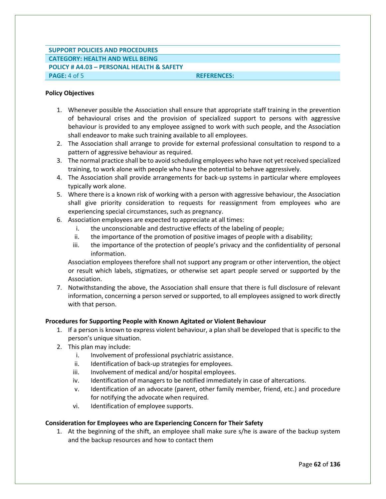# **SUPPORT POLICIES AND PROCEDURES CATEGORY: HEALTH AND WELL BEING POLICY # A4.03 – PERSONAL HEALTH & SAFETY PAGE:** 4 of 5 **REFERENCES:**

## **Policy Objectives**

- 1. Whenever possible the Association shall ensure that appropriate staff training in the prevention of behavioural crises and the provision of specialized support to persons with aggressive behaviour is provided to any employee assigned to work with such people, and the Association shall endeavor to make such training available to all employees.
- 2. The Association shall arrange to provide for external professional consultation to respond to a pattern of aggressive behaviour as required.
- 3. The normal practice shall be to avoid scheduling employees who have not yet received specialized training, to work alone with people who have the potential to behave aggressively.
- 4. The Association shall provide arrangements for back-up systems in particular where employees typically work alone.
- 5. Where there is a known risk of working with a person with aggressive behaviour, the Association shall give priority consideration to requests for reassignment from employees who are experiencing special circumstances, such as pregnancy.
- 6. Association employees are expected to appreciate at all times:
	- i. the unconscionable and destructive effects of the labeling of people;
	- ii. the importance of the promotion of positive images of people with a disability;
	- iii. the importance of the protection of people's privacy and the confidentiality of personal information.

Association employees therefore shall not support any program or other intervention, the object or result which labels, stigmatizes, or otherwise set apart people served or supported by the Association.

7. Notwithstanding the above, the Association shall ensure that there is full disclosure of relevant information, concerning a person served or supported, to all employees assigned to work directly with that person.

# **Procedures for Supporting People with Known Agitated or Violent Behaviour**

- 1. If a person is known to express violent behaviour, a plan shall be developed that is specific to the person's unique situation.
- 2. This plan may include:
	- i. Involvement of professional psychiatric assistance.
	- ii. Identification of back-up strategies for employees.
	- iii. Involvement of medical and/or hospital employees.
	- iv. Identification of managers to be notified immediately in case of altercations.
	- v. Identification of an advocate (parent, other family member, friend, etc.) and procedure for notifying the advocate when required.
	- vi. Identification of employee supports.

# **Consideration for Employees who are Experiencing Concern for Their Safety**

1. At the beginning of the shift, an employee shall make sure s/he is aware of the backup system and the backup resources and how to contact them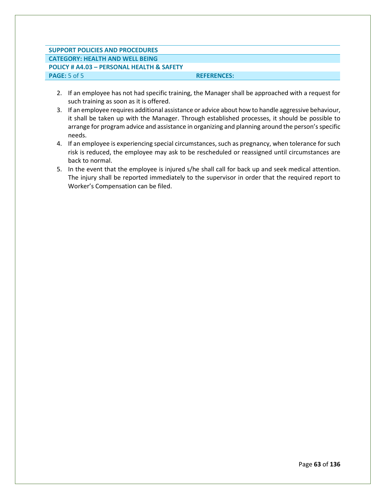# **SUPPORT POLICIES AND PROCEDURES CATEGORY: HEALTH AND WELL BEING POLICY # A4.03 – PERSONAL HEALTH & SAFETY PAGE:** 5 of 5 **REFERENCES:**

- 2. If an employee has not had specific training, the Manager shall be approached with a request for such training as soon as it is offered.
- 3. If an employee requires additional assistance or advice about how to handle aggressive behaviour, it shall be taken up with the Manager. Through established processes, it should be possible to arrange for program advice and assistance in organizing and planning around the person's specific needs.
- 4. If an employee is experiencing special circumstances, such as pregnancy, when tolerance for such risk is reduced, the employee may ask to be rescheduled or reassigned until circumstances are back to normal.
- 5. In the event that the employee is injured s/he shall call for back up and seek medical attention. The injury shall be reported immediately to the supervisor in order that the required report to Worker's Compensation can be filed.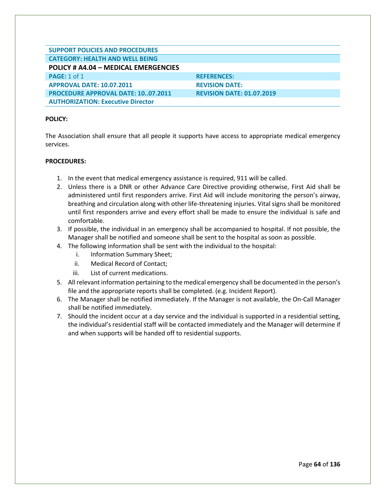| <b>SUPPORT POLICIES AND PROCEDURES</b>    |                                  |
|-------------------------------------------|----------------------------------|
| <b>CATEGORY: HEALTH AND WELL BEING</b>    |                                  |
| POLICY # A4.04 - MEDICAL EMERGENCIES      |                                  |
| <b>PAGE: 1 of 1</b>                       | <b>REFERENCES:</b>               |
| <b>APPROVAL DATE: 10.07.2011</b>          | <b>REVISION DATE:</b>            |
| <b>PROCEDURE APPROVAL DATE: 1007.2011</b> | <b>REVISION DATE: 01.07.2019</b> |
| <b>AUTHORIZATION: Executive Director</b>  |                                  |

The Association shall ensure that all people it supports have access to appropriate medical emergency services.

- 1. In the event that medical emergency assistance is required, 911 will be called.
- 2. Unless there is a DNR or other Advance Care Directive providing otherwise, First Aid shall be administered until first responders arrive. First Aid will include monitoring the person's airway, breathing and circulation along with other life-threatening injuries. Vital signs shall be monitored until first responders arrive and every effort shall be made to ensure the individual is safe and comfortable.
- 3. If possible, the individual in an emergency shall be accompanied to hospital. If not possible, the Manager shall be notified and someone shall be sent to the hospital as soon as possible.
- 4. The following information shall be sent with the individual to the hospital:
	- i. Information Summary Sheet;
	- ii. Medical Record of Contact;
	- iii. List of current medications.
- 5. All relevant information pertaining to the medical emergency shall be documented in the person's file and the appropriate reports shall be completed. (e.g. Incident Report).
- 6. The Manager shall be notified immediately. If the Manager is not available, the On-Call Manager shall be notified immediately.
- 7. Should the incident occur at a day service and the individual is supported in a residential setting, the individual's residential staff will be contacted immediately and the Manager will determine if and when supports will be handed off to residential supports.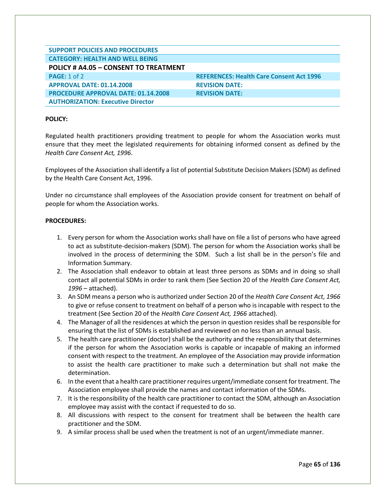| <b>SUPPORT POLICIES AND PROCEDURES</b>     |                                                 |
|--------------------------------------------|-------------------------------------------------|
| <b>CATEGORY: HEALTH AND WELL BEING</b>     |                                                 |
| POLICY # A4.05 - CONSENT TO TREATMENT      |                                                 |
| <b>PAGE: 1 of 2</b>                        | <b>REFERENCES: Health Care Consent Act 1996</b> |
| <b>APPROVAL DATE: 01.14.2008</b>           | <b>REVISION DATE:</b>                           |
| <b>PROCEDURE APPROVAL DATE: 01.14.2008</b> | <b>REVISION DATE:</b>                           |
| <b>AUTHORIZATION: Executive Director</b>   |                                                 |

Regulated health practitioners providing treatment to people for whom the Association works must ensure that they meet the legislated requirements for obtaining informed consent as defined by the *Health Care Consent Act, 1996*.

Employees of the Association shall identify a list of potential Substitute Decision Makers (SDM) as defined by the Health Care Consent Act, 1996.

Under no circumstance shall employees of the Association provide consent for treatment on behalf of people for whom the Association works.

- 1. Every person for whom the Association works shall have on file a list of persons who have agreed to act as substitute-decision-makers (SDM). The person for whom the Association works shall be involved in the process of determining the SDM. Such a list shall be in the person's file and Information Summary.
- 2. The Association shall endeavor to obtain at least three persons as SDMs and in doing so shall contact all potential SDMs in order to rank them (See Section 20 of the *Health Care Consent Act, 1996* – attached).
- 3. An SDM means a person who is authorized under Section 20 of the *Health Care Consent Act, 1966*  to give or refuse consent to treatment on behalf of a person who is incapable with respect to the treatment (See Section 20 of the *Health Care Consent Act, 1966* attached).
- 4. The Manager of all the residences at which the person in question resides shall be responsible for ensuring that the list of SDMs is established and reviewed on no less than an annual basis.
- 5. The health care practitioner (doctor) shall be the authority and the responsibility that determines if the person for whom the Association works is capable or incapable of making an informed consent with respect to the treatment. An employee of the Association may provide information to assist the health care practitioner to make such a determination but shall not make the determination.
- 6. In the event that a health care practitioner requires urgent/immediate consent for treatment. The Association employee shall provide the names and contact information of the SDMs.
- 7. It is the responsibility of the health care practitioner to contact the SDM, although an Association employee may assist with the contact if requested to do so.
- 8. All discussions with respect to the consent for treatment shall be between the health care practitioner and the SDM.
- 9. A similar process shall be used when the treatment is not of an urgent/immediate manner.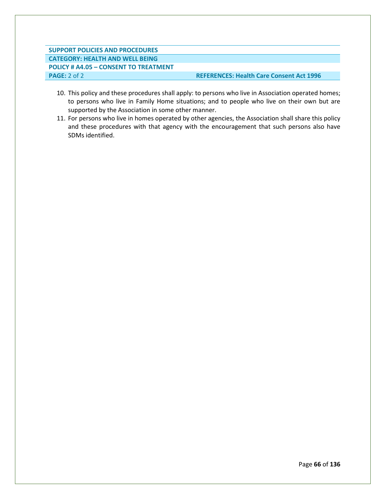# **SUPPORT POLICIES AND PROCEDURES CATEGORY: HEALTH AND WELL BEING POLICY # A4.05 – CONSENT TO TREATMENT PAGE:** 2 of 2 **REFERENCES: Health Care Consent Act 1996**

- 10. This policy and these procedures shall apply: to persons who live in Association operated homes; to persons who live in Family Home situations; and to people who live on their own but are supported by the Association in some other manner.
- 11. For persons who live in homes operated by other agencies, the Association shall share this policy and these procedures with that agency with the encouragement that such persons also have SDMs identified.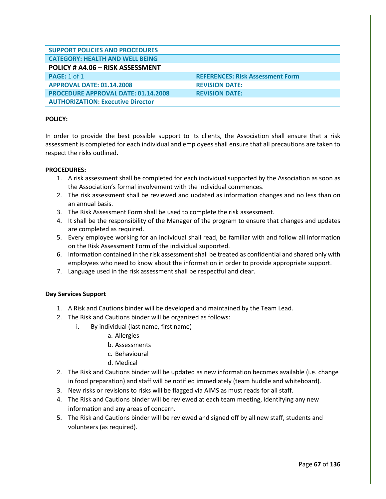| <b>SUPPORT POLICIES AND PROCEDURES</b>     |                                         |
|--------------------------------------------|-----------------------------------------|
|                                            |                                         |
| <b>CATEGORY: HEALTH AND WELL BEING</b>     |                                         |
|                                            |                                         |
| POLICY # A4.06 - RISK ASSESSMENT           |                                         |
|                                            |                                         |
| <b>PAGE: 1 of 1</b>                        | <b>REFERENCES: Risk Assessment Form</b> |
| <b>APPROVAL DATE: 01.14.2008</b>           | <b>REVISION DATE:</b>                   |
|                                            |                                         |
|                                            |                                         |
| <b>PROCEDURE APPROVAL DATE: 01.14.2008</b> | <b>REVISION DATE:</b>                   |
|                                            |                                         |
| <b>AUTHORIZATION: Executive Director</b>   |                                         |

In order to provide the best possible support to its clients, the Association shall ensure that a risk assessment is completed for each individual and employees shall ensure that all precautions are taken to respect the risks outlined.

## **PROCEDURES:**

- 1. A risk assessment shall be completed for each individual supported by the Association as soon as the Association's formal involvement with the individual commences.
- 2. The risk assessment shall be reviewed and updated as information changes and no less than on an annual basis.
- 3. The Risk Assessment Form shall be used to complete the risk assessment.
- 4. It shall be the responsibility of the Manager of the program to ensure that changes and updates are completed as required.
- 5. Every employee working for an individual shall read, be familiar with and follow all information on the Risk Assessment Form of the individual supported.
- 6. Information contained in the risk assessment shall be treated as confidential and shared only with employees who need to know about the information in order to provide appropriate support.
- 7. Language used in the risk assessment shall be respectful and clear.

# **Day Services Support**

- 1. A Risk and Cautions binder will be developed and maintained by the Team Lead.
- 2. The Risk and Cautions binder will be organized as follows:
	- i. By individual (last name, first name)
		- a. Allergies
		- b. Assessments
		- c. Behavioural
		- d. Medical
- 2. The Risk and Cautions binder will be updated as new information becomes available (i.e. change in food preparation) and staff will be notified immediately (team huddle and whiteboard).
- 3. New risks or revisions to risks will be flagged via AIMS as must reads for all staff.
- 4. The Risk and Cautions binder will be reviewed at each team meeting, identifying any new information and any areas of concern.
- 5. The Risk and Cautions binder will be reviewed and signed off by all new staff, students and volunteers (as required).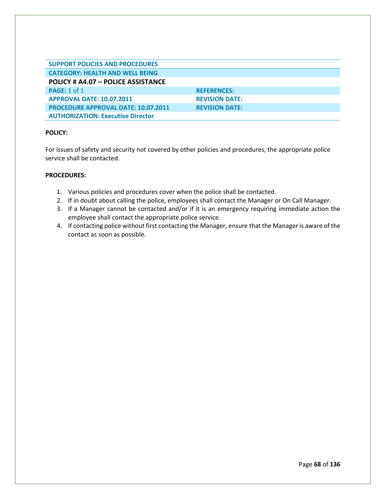| <b>SUPPORT POLICIES AND PROCEDURES</b>     |                       |
|--------------------------------------------|-----------------------|
| <b>CATEGORY: HEALTH AND WELL BEING</b>     |                       |
| POLICY # A4.07 - POLICE ASSISTANCE         |                       |
| <b>PAGE:</b> 1 of 1                        | <b>REFERENCES:</b>    |
| <b>APPROVAL DATE: 10.07.2011</b>           | <b>REVISION DATE:</b> |
| <b>PROCEDURE APPROVAL DATE: 10.07.2011</b> | <b>REVISION DATE:</b> |
| <b>AUTHORIZATION: Executive Director</b>   |                       |

For issues of safety and security not covered by other policies and procedures, the appropriate police service shall be contacted.

- 1. Various policies and procedures cover when the police shall be contacted.
- 2. If in doubt about calling the police, employees shall contact the Manager or On Call Manager.
- 3. If a Manager cannot be contacted and/or if it is an emergency requiring immediate action the employee shall contact the appropriate police service.
- 4. If contacting police without first contacting the Manager, ensure that the Manager is aware of the contact as soon as possible.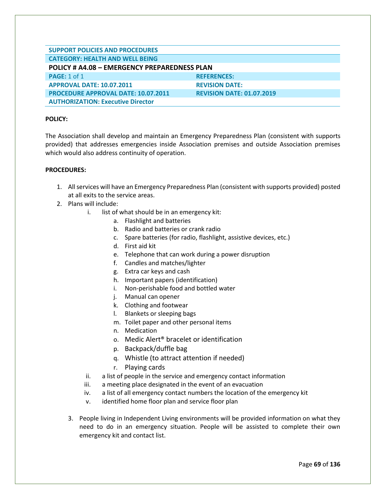| <b>SUPPORT POLICIES AND PROCEDURES</b>       |                                  |
|----------------------------------------------|----------------------------------|
| <b>CATEGORY: HEALTH AND WELL BEING</b>       |                                  |
| POLICY # A4.08 - EMERGENCY PREPAREDNESS PLAN |                                  |
| <b>PAGE: 1 of 1</b>                          | <b>REFERENCES:</b>               |
| <b>APPROVAL DATE: 10.07.2011</b>             | <b>REVISION DATE:</b>            |
| <b>PROCEDURE APPROVAL DATE: 10.07.2011</b>   | <b>REVISION DATE: 01.07.2019</b> |
| <b>AUTHORIZATION: Executive Director</b>     |                                  |

The Association shall develop and maintain an Emergency Preparedness Plan (consistent with supports provided) that addresses emergencies inside Association premises and outside Association premises which would also address continuity of operation.

- 1. All services will have an Emergency Preparedness Plan (consistent with supports provided) posted at all exits to the service areas.
- 2. Plans will include:
	- i. list of what should be in an emergency kit:
		- a. Flashlight and batteries
		- b. Radio and batteries or crank radio
		- c. Spare batteries (for radio, flashlight, assistive devices, etc.)
		- d. First aid kit
		- e. Telephone that can work during a power disruption
		- f. Candles and matches/lighter
		- g. Extra car keys and cash
		- h. Important papers (identification)
		- i. Non-perishable food and bottled water
		- j. Manual can opener
		- k. Clothing and footwear
		- l. Blankets or sleeping bags
		- m. Toilet paper and other personal items
		- n. Medication
		- o. Medic Alert® bracelet or identification
		- p. Backpack/duffle bag
		- q. Whistle (to attract attention if needed)
		- r. Playing cards
	- ii. a list of people in the service and emergency contact information
	- iii. a meeting place designated in the event of an evacuation
	- iv. a list of all emergency contact numbers the location of the emergency kit
	- v. identified home floor plan and service floor plan
	- 3. People living in Independent Living environments will be provided information on what they need to do in an emergency situation. People will be assisted to complete their own emergency kit and contact list.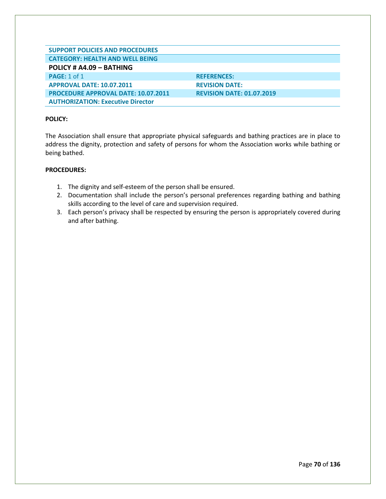| <b>SUPPORT POLICIES AND PROCEDURES</b>     |                                  |
|--------------------------------------------|----------------------------------|
| <b>CATEGORY: HEALTH AND WELL BEING</b>     |                                  |
| POLICY # A4.09 - BATHING                   |                                  |
| <b>PAGE: 1 of 1</b>                        | <b>REFERENCES:</b>               |
| <b>APPROVAL DATE: 10.07.2011</b>           | <b>REVISION DATE:</b>            |
| <b>PROCEDURE APPROVAL DATE: 10.07.2011</b> | <b>REVISION DATE: 01.07.2019</b> |
| <b>AUTHORIZATION: Executive Director</b>   |                                  |

The Association shall ensure that appropriate physical safeguards and bathing practices are in place to address the dignity, protection and safety of persons for whom the Association works while bathing or being bathed.

- 1. The dignity and self-esteem of the person shall be ensured.
- 2. Documentation shall include the person's personal preferences regarding bathing and bathing skills according to the level of care and supervision required.
- 3. Each person's privacy shall be respected by ensuring the person is appropriately covered during and after bathing.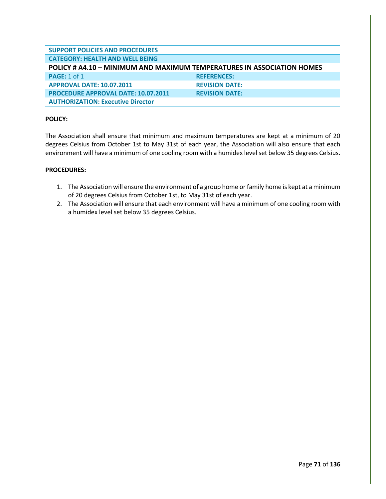| <b>SUPPORT POLICIES AND PROCEDURES</b>                                        |                       |
|-------------------------------------------------------------------------------|-----------------------|
| <b>CATEGORY: HEALTH AND WELL BEING</b>                                        |                       |
| <b>POLICY # A4.10 - MINIMUM AND MAXIMUM TEMPERATURES IN ASSOCIATION HOMES</b> |                       |
| <b>PAGE: 1 of 1</b>                                                           | <b>REFERENCES:</b>    |
| <b>APPROVAL DATE: 10.07.2011</b>                                              | <b>REVISION DATE:</b> |
| <b>PROCEDURE APPROVAL DATE: 10.07.2011</b>                                    | <b>REVISION DATE:</b> |
| <b>AUTHORIZATION: Executive Director</b>                                      |                       |

The Association shall ensure that minimum and maximum temperatures are kept at a minimum of 20 degrees Celsius from October 1st to May 31st of each year, the Association will also ensure that each environment will have a minimum of one cooling room with a humidex level set below 35 degrees Celsius.

- 1. The Association will ensure the environment of a group home or family home is kept at a minimum of 20 degrees Celsius from October 1st, to May 31st of each year.
- 2. The Association will ensure that each environment will have a minimum of one cooling room with a humidex level set below 35 degrees Celsius.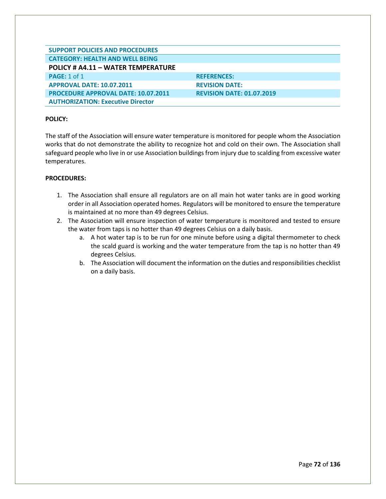| <b>SUPPORT POLICIES AND PROCEDURES</b>     |                                  |
|--------------------------------------------|----------------------------------|
| <b>CATEGORY: HEALTH AND WELL BEING</b>     |                                  |
| POLICY # A4.11 - WATER TEMPERATURE         |                                  |
| <b>PAGE: 1 of 1</b>                        | <b>REFERENCES:</b>               |
| <b>APPROVAL DATE: 10.07.2011</b>           | <b>REVISION DATE:</b>            |
| <b>PROCEDURE APPROVAL DATE: 10.07.2011</b> | <b>REVISION DATE: 01.07.2019</b> |
| <b>AUTHORIZATION: Executive Director</b>   |                                  |

The staff of the Association will ensure water temperature is monitored for people whom the Association works that do not demonstrate the ability to recognize hot and cold on their own. The Association shall safeguard people who live in or use Association buildings from injury due to scalding from excessive water temperatures.

- 1. The Association shall ensure all regulators are on all main hot water tanks are in good working order in all Association operated homes. Regulators will be monitored to ensure the temperature is maintained at no more than 49 degrees Celsius.
- 2. The Association will ensure inspection of water temperature is monitored and tested to ensure the water from taps is no hotter than 49 degrees Celsius on a daily basis.
	- a. A hot water tap is to be run for one minute before using a digital thermometer to check the scald guard is working and the water temperature from the tap is no hotter than 49 degrees Celsius.
	- b. The Association will document the information on the duties and responsibilities checklist on a daily basis.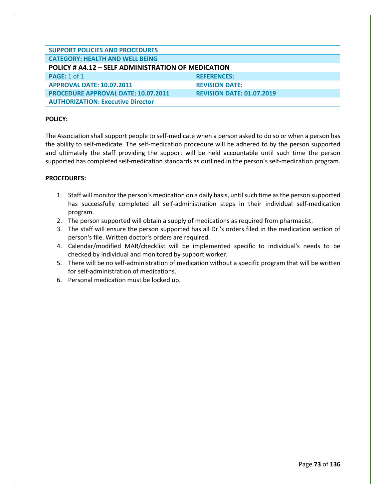| <b>SUPPORT POLICIES AND PROCEDURES</b>                    |                                  |  |
|-----------------------------------------------------------|----------------------------------|--|
| <b>CATEGORY: HEALTH AND WELL BEING</b>                    |                                  |  |
| <b>POLICY # A4.12 - SELF ADMINISTRATION OF MEDICATION</b> |                                  |  |
| <b>PAGE: 1 of 1</b>                                       | <b>REFERENCES:</b>               |  |
| <b>APPROVAL DATE: 10.07.2011</b>                          | <b>REVISION DATE:</b>            |  |
| <b>PROCEDURE APPROVAL DATE: 10.07.2011</b>                | <b>REVISION DATE: 01.07.2019</b> |  |
| <b>AUTHORIZATION: Executive Director</b>                  |                                  |  |

The Association shall support people to self-medicate when a person asked to do so or when a person has the ability to self-medicate. The self-medication procedure will be adhered to by the person supported and ultimately the staff providing the support will be held accountable until such time the person supported has completed self-medication standards as outlined in the person's self-medication program.

- 1. Staff will monitor the person's medication on a daily basis, until such time as the person supported has successfully completed all self-administration steps in their individual self-medication program.
- 2. The person supported will obtain a supply of medications as required from pharmacist.
- 3. The staff will ensure the person supported has all Dr.'s orders filed in the medication section of person's file. Written doctor's orders are required.
- 4. Calendar/modified MAR/checklist will be implemented specific to individual's needs to be checked by individual and monitored by support worker.
- 5. There will be no self-administration of medication without a specific program that will be written for self-administration of medications.
- 6. Personal medication must be locked up.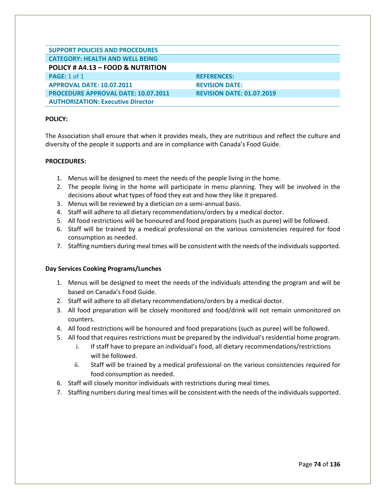| <b>SUPPORT POLICIES AND PROCEDURES</b>     |                                  |
|--------------------------------------------|----------------------------------|
| <b>CATEGORY: HEALTH AND WELL BEING</b>     |                                  |
| POLICY # A4.13 - FOOD & NUTRITION          |                                  |
| <b>PAGE:</b> $1$ of $1$                    | <b>REFERENCES:</b>               |
| <b>APPROVAL DATE: 10.07.2011</b>           | <b>REVISION DATE:</b>            |
| <b>PROCEDURE APPROVAL DATE: 10.07.2011</b> | <b>REVISION DATE: 01.07.2019</b> |
| <b>AUTHORIZATION: Executive Director</b>   |                                  |

The Association shall ensure that when it provides meals, they are nutritious and reflect the culture and diversity of the people it supports and are in compliance with Canada's Food Guide.

#### **PROCEDURES:**

- 1. Menus will be designed to meet the needs of the people living in the home.
- 2. The people living in the home will participate in menu planning. They will be involved in the decisions about what types of food they eat and how they like it prepared.
- 3. Menus will be reviewed by a dietician on a semi-annual basis.
- 4. Staff will adhere to all dietary recommendations/orders by a medical doctor.
- 5. All food restrictions will be honoured and food preparations (such as puree) will be followed.
- 6. Staff will be trained by a medical professional on the various consistencies required for food consumption as needed.
- 7. Staffing numbers during meal times will be consistent with the needs of the individuals supported.

#### **Day Services Cooking Programs/Lunches**

- 1. Menus will be designed to meet the needs of the individuals attending the program and will be based on Canada's Food Guide.
- 2. Staff will adhere to all dietary recommendations/orders by a medical doctor.
- 3. All food preparation will be closely monitored and food/drink will not remain unmonitored on counters.
- 4. All food restrictions will be honoured and food preparations (such as puree) will be followed.
- 5. All food that requires restrictions must be prepared by the individual's residential home program.
	- i. If staff have to prepare an individual's food, all dietary recommendations/restrictions will be followed.
	- ii. Staff will be trained by a medical professional on the various consistencies required for food consumption as needed.
- 6. Staff will closely monitor individuals with restrictions during meal times.
- 7. Staffing numbers during meal times will be consistent with the needs of the individuals supported.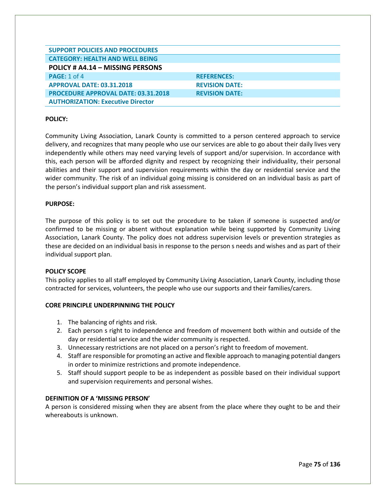| <b>SUPPORT POLICIES AND PROCEDURES</b>     |                       |
|--------------------------------------------|-----------------------|
| <b>CATEGORY: HEALTH AND WELL BEING</b>     |                       |
|                                            |                       |
| POLICY # A4.14 - MISSING PERSONS           |                       |
| <b>PAGE: 1 of 4</b>                        | <b>REFERENCES:</b>    |
| <b>APPROVAL DATE: 03.31.2018</b>           | <b>REVISION DATE:</b> |
| <b>PROCEDURE APPROVAL DATE: 03.31.2018</b> | <b>REVISION DATE:</b> |
| <b>AUTHORIZATION: Executive Director</b>   |                       |

Community Living Association, Lanark County is committed to a person centered approach to service delivery, and recognizes that many people who use our services are able to go about their daily lives very independently while others may need varying levels of support and/or supervision. In accordance with this, each person will be afforded dignity and respect by recognizing their individuality, their personal abilities and their support and supervision requirements within the day or residential service and the wider community. The risk of an individual going missing is considered on an individual basis as part of the person's individual support plan and risk assessment.

#### **PURPOSE:**

The purpose of this policy is to set out the procedure to be taken if someone is suspected and/or confirmed to be missing or absent without explanation while being supported by Community Living Association, Lanark County. The policy does not address supervision levels or prevention strategies as these are decided on an individual basis in response to the person s needs and wishes and as part of their individual support plan.

#### **POLICY SCOPE**

This policy applies to all staff employed by Community Living Association, Lanark County, including those contracted for services, volunteers, the people who use our supports and their families/carers.

## **CORE PRINCIPLE UNDERPINNING THE POLICY**

- 1. The balancing of rights and risk.
- 2. Each person s right to independence and freedom of movement both within and outside of the day or residential service and the wider community is respected.
- 3. Unnecessary restrictions are not placed on a person's right to freedom of movement.
- 4. Staff are responsible for promoting an active and flexible approach to managing potential dangers in order to minimize restrictions and promote independence.
- 5. Staff should support people to be as independent as possible based on their individual support and supervision requirements and personal wishes.

## **DEFINITION OF A 'MISSING PERSON'**

A person is considered missing when they are absent from the place where they ought to be and their whereabouts is unknown.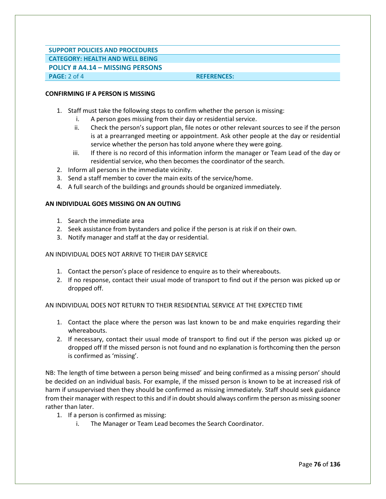## **SUPPORT POLICIES AND PROCEDURES CATEGORY: HEALTH AND WELL BEING POLICY # A4.14 – MISSING PERSONS**

**PAGE:** 2 of 4 **REFERENCES:** 

## **CONFIRMING IF A PERSON IS MISSING**

- 1. Staff must take the following steps to confirm whether the person is missing:
	- i. A person goes missing from their day or residential service.
	- ii. Check the person's support plan, file notes or other relevant sources to see if the person is at a prearranged meeting or appointment. Ask other people at the day or residential service whether the person has told anyone where they were going.
	- iii. If there is no record of this information inform the manager or Team Lead of the day or residential service, who then becomes the coordinator of the search.
- 2. Inform all persons in the immediate vicinity.
- 3. Send a staff member to cover the main exits of the service/home.
- 4. A full search of the buildings and grounds should be organized immediately.

#### **AN INDIVIDUAL GOES MISSING ON AN OUTING**

- 1. Search the immediate area
- 2. Seek assistance from bystanders and police if the person is at risk if on their own.
- 3. Notify manager and staff at the day or residential.

#### AN INDIVIDUAL DOES NOT ARRIVE TO THEIR DAY SERVICE

- 1. Contact the person's place of residence to enquire as to their whereabouts.
- 2. If no response, contact their usual mode of transport to find out if the person was picked up or dropped off.

#### AN INDIVIDUAL DOES NOT RETURN TO THEIR RESIDENTIAL SERVICE AT THE EXPECTED TIME

- 1. Contact the place where the person was last known to be and make enquiries regarding their whereabouts.
- 2. If necessary, contact their usual mode of transport to find out if the person was picked up or dropped off If the missed person is not found and no explanation is forthcoming then the person is confirmed as 'missing'.

NB: The length of time between a person being missed' and being confirmed as a missing person' should be decided on an individual basis. For example, if the missed person is known to be at increased risk of harm if unsupervised then they should be confirmed as missing immediately. Staff should seek guidance from their manager with respect to this and if in doubt should always confirm the person as missing sooner rather than later.

- 1. If a person is confirmed as missing:
	- i. The Manager or Team Lead becomes the Search Coordinator.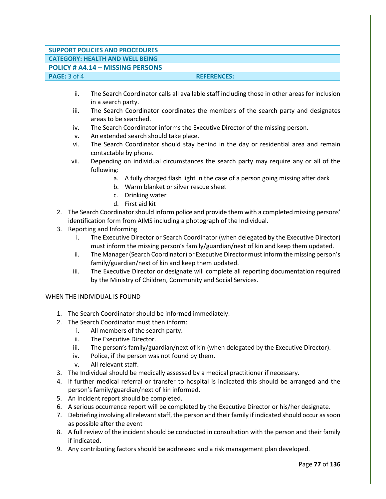# **SUPPORT POLICIES AND PROCEDURES CATEGORY: HEALTH AND WELL BEING**

**POLICY # A4.14 – MISSING PERSONS**

## **PAGE:**  $3$  of 4 **REFERENCES:**

- ii. The Search Coordinator calls all available staff including those in other areas for inclusion in a search party.
- iii. The Search Coordinator coordinates the members of the search party and designates areas to be searched.
- iv. The Search Coordinator informs the Executive Director of the missing person.
- v. An extended search should take place.
- vi. The Search Coordinator should stay behind in the day or residential area and remain contactable by phone.
- vii. Depending on individual circumstances the search party may require any or all of the following:
	- a. A fully charged flash light in the case of a person going missing after dark
	- b. Warm blanket or silver rescue sheet
	- c. Drinking water
	- d. First aid kit
- 2. The Search Coordinator should inform police and provide them with a completed missing persons' identification form from AIMS including a photograph of the Individual.
- 3. Reporting and Informing
	- i. The Executive Director or Search Coordinator (when delegated by the Executive Director) must inform the missing person's family/guardian/next of kin and keep them updated.
	- ii. The Manager (Search Coordinator) or Executive Director must inform the missing person's family/guardian/next of kin and keep them updated.
	- iii. The Executive Director or designate will complete all reporting documentation required by the Ministry of Children, Community and Social Services.

## WHEN THE INDIVIDUAL IS FOUND

- 1. The Search Coordinator should be informed immediately.
- 2. The Search Coordinator must then inform:
	- i. All members of the search party.
	- ii. The Executive Director.
	- iii. The person's family/guardian/next of kin (when delegated by the Executive Director).
	- iv. Police, if the person was not found by them.
	- v. All relevant staff.
- 3. The Individual should be medically assessed by a medical practitioner if necessary.
- 4. If further medical referral or transfer to hospital is indicated this should be arranged and the person's family/guardian/next of kin informed.
- 5. An Incident report should be completed.
- 6. A serious occurrence report will be completed by the Executive Director or his/her designate.
- 7. Debriefing involving all relevant staff, the person and their family if indicated should occur as soon as possible after the event
- 8. A full review of the incident should be conducted in consultation with the person and their family if indicated.
- 9. Any contributing factors should be addressed and a risk management plan developed.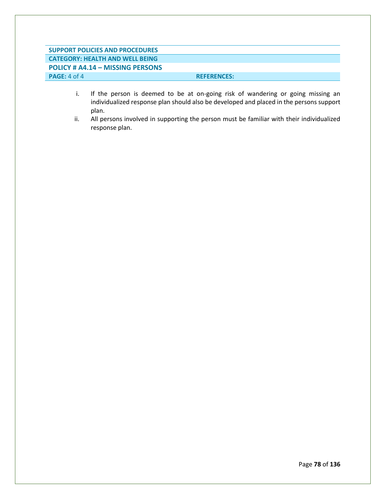# **SUPPORT POLICIES AND PROCEDURES CATEGORY: HEALTH AND WELL BEING POLICY # A4.14 – MISSING PERSONS PAGE:** 4 of 4 **REFERENCES:**

- i. If the person is deemed to be at on-going risk of wandering or going missing an individualized response plan should also be developed and placed in the persons support plan.
- ii. All persons involved in supporting the person must be familiar with their individualized response plan.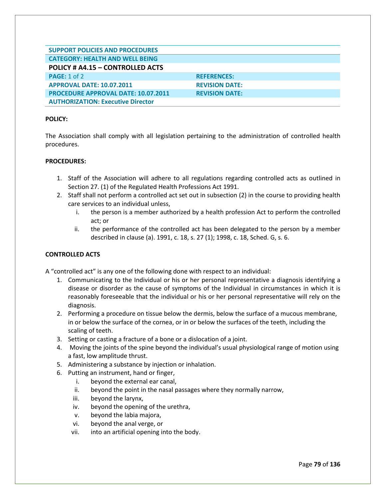| <b>SUPPORT POLICIES AND PROCEDURES</b>     |                       |
|--------------------------------------------|-----------------------|
| <b>CATEGORY: HEALTH AND WELL BEING</b>     |                       |
| POLICY # A4.15 - CONTROLLED ACTS           |                       |
| PAGE: 1 of 2                               | <b>REFERENCES:</b>    |
| <b>APPROVAL DATE: 10.07.2011</b>           | <b>REVISION DATE:</b> |
| <b>PROCEDURE APPROVAL DATE: 10.07.2011</b> | <b>REVISION DATE:</b> |
| <b>AUTHORIZATION: Executive Director</b>   |                       |

The Association shall comply with all legislation pertaining to the administration of controlled health procedures.

#### **PROCEDURES:**

- 1. Staff of the Association will adhere to all regulations regarding controlled acts as outlined in Section 27. (1) of the Regulated Health Professions Act 1991.
- 2. Staff shall not perform a controlled act set out in subsection (2) in the course to providing health care services to an individual unless,
	- i. the person is a member authorized by a health profession Act to perform the controlled act; or
	- ii. the performance of the controlled act has been delegated to the person by a member described in clause (a). 1991, c. 18, s. 27 (1); 1998, c. 18, Sched. G, s. 6.

## **CONTROLLED ACTS**

A "controlled act" is any one of the following done with respect to an individual:

- 1. Communicating to the Individual or his or her personal representative a diagnosis identifying a disease or disorder as the cause of symptoms of the Individual in circumstances in which it is reasonably foreseeable that the individual or his or her personal representative will rely on the diagnosis.
- 2. Performing a procedure on tissue below the dermis, below the surface of a mucous membrane, in or below the surface of the cornea, or in or below the surfaces of the teeth, including the scaling of teeth.
- 3. Setting or casting a fracture of a bone or a dislocation of a joint.
- 4. Moving the joints of the spine beyond the individual's usual physiological range of motion using a fast, low amplitude thrust.
- 5. Administering a substance by injection or inhalation.
- 6. Putting an instrument, hand or finger,
	- i. beyond the external ear canal,
	- ii. beyond the point in the nasal passages where they normally narrow,
	- iii. beyond the larynx,
	- iv. beyond the opening of the urethra,
	- v. beyond the labia majora,
	- vi. beyond the anal verge, or
	- vii. into an artificial opening into the body.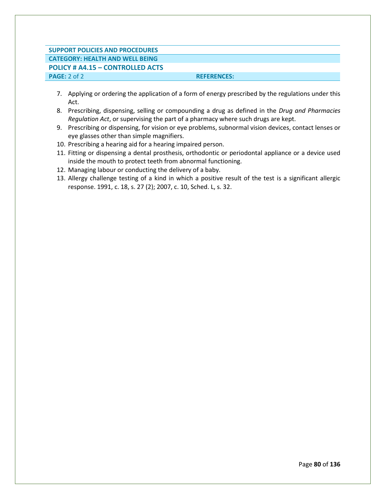## **SUPPORT POLICIES AND PROCEDURES CATEGORY: HEALTH AND WELL BEING POLICY # A4.15 – CONTROLLED ACTS**

**PAGE:** 2 of 2 **REFERENCES: REFERENCES:** 

- 7. Applying or ordering the application of a form of energy prescribed by the regulations under this Act.
- 8. Prescribing, dispensing, selling or compounding a drug as defined in the *Drug and Pharmacies Regulation Act*, or supervising the part of a pharmacy where such drugs are kept.
- 9. Prescribing or dispensing, for vision or eye problems, subnormal vision devices, contact lenses or eye glasses other than simple magnifiers.
- 10. Prescribing a hearing aid for a hearing impaired person.
- 11. Fitting or dispensing a dental prosthesis, orthodontic or periodontal appliance or a device used inside the mouth to protect teeth from abnormal functioning.
- 12. Managing labour or conducting the delivery of a baby.
- 13. Allergy challenge testing of a kind in which a positive result of the test is a significant allergic response. 1991, c. 18, s. 27 (2); 2007, c. 10, Sched. L, s. 32.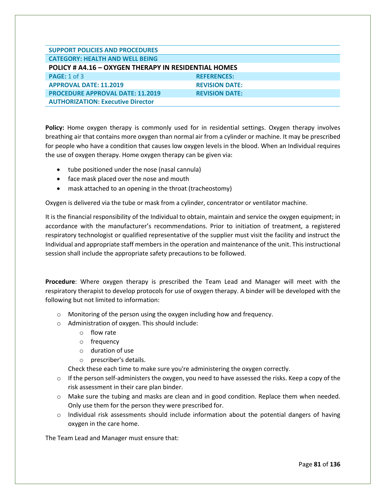| <b>SUPPORT POLICIES AND PROCEDURES</b>               |                       |  |
|------------------------------------------------------|-----------------------|--|
| <b>CATEGORY: HEALTH AND WELL BEING</b>               |                       |  |
| POLICY # A4.16 - OXYGEN THERAPY IN RESIDENTIAL HOMES |                       |  |
| PAGE: 1 of 3                                         | <b>REFERENCES:</b>    |  |
| <b>APPROVAL DATE: 11.2019</b>                        | <b>REVISION DATE:</b> |  |
| <b>PROCEDURE APPROVAL DATE: 11.2019</b>              | <b>REVISION DATE:</b> |  |
| <b>AUTHORIZATION: Executive Director</b>             |                       |  |

**Policy:** Home oxygen therapy is commonly used for in residential settings. Oxygen therapy involves breathing air that contains more oxygen than normal air from a cylinder or machine. It may be prescribed for people who have a condition that causes low oxygen levels in the blood. When an Individual requires the use of oxygen therapy. Home oxygen therapy can be given via:

- tube positioned under the nose (nasal cannula)
- face mask placed over the nose and mouth
- mask attached to an opening in the throat (tracheostomy)

Oxygen is delivered via the tube or mask from a cylinder, concentrator or ventilator machine.

It is the financial responsibility of the Individual to obtain, maintain and service the oxygen equipment; in accordance with the manufacturer's recommendations. Prior to initiation of treatment, a registered respiratory technologist or qualified representative of the supplier must visit the facility and instruct the Individual and appropriate staff members in the operation and maintenance of the unit. This instructional session shall include the appropriate safety precautions to be followed.

**Procedure**: Where oxygen therapy is prescribed the Team Lead and Manager will meet with the respiratory therapist to develop protocols for use of oxygen therapy. A binder will be developed with the following but not limited to information:

- o Monitoring of the person using the oxygen including how and frequency.
- o Administration of oxygen. This should include:
	- o flow rate
	- o frequency
	- o duration of use
	- o prescriber's details.

Check these each time to make sure you're administering the oxygen correctly.

- $\circ$  If the person self-administers the oxygen, you need to have assessed the risks. Keep a copy of the risk assessment in their care plan binder.
- o Make sure the tubing and masks are clean and in good condition. Replace them when needed. Only use them for the person they were prescribed for.
- $\circ$  Individual risk assessments should include information about the potential dangers of having oxygen in the care home.

The Team Lead and Manager must ensure that: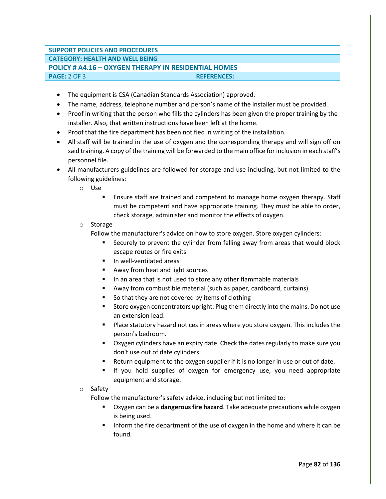## **SUPPORT POLICIES AND PROCEDURES CATEGORY: HEALTH AND WELL BEING POLICY # A4.16 – OXYGEN THERAPY IN RESIDENTIAL HOMES PAGE:** 2 OF 3 **REFERENCES:**

- The equipment is CSA (Canadian Standards Association) approved.
- The name, address, telephone number and person's name of the installer must be provided.
- Proof in writing that the person who fills the cylinders has been given the proper training by the installer. Also, that written instructions have been left at the home.
- Proof that the fire department has been notified in writing of the installation.
- All staff will be trained in the use of oxygen and the corresponding therapy and will sign off on said training. A copy of the training will be forwarded to the main office for inclusion in each staff's personnel file.
- All manufacturers guidelines are followed for storage and use including, but not limited to the following guidelines:
	- o Use
		- **Ensure staff are trained and competent to manage home oxygen therapy. Staff** must be competent and have appropriate training. They must be able to order, check storage, administer and monitor the effects of oxygen.
	- o Storage

Follow the manufacturer's advice on how to store oxygen. Store oxygen cylinders:

- Securely to prevent the cylinder from falling away from areas that would block escape routes or fire exits
- In well-ventilated areas
- Away from heat and light sources
- In an area that is not used to store any other flammable materials
- Away from combustible material (such as paper, cardboard, curtains)
- So that they are not covered by items of clothing
- Store oxygen concentrators upright. Plug them directly into the mains. Do not use an extension lead.
- Place statutory hazard notices in areas where you store oxygen. This includes the person's bedroom.
- Oxygen cylinders have an expiry date. Check the dates regularly to make sure you don't use out of date cylinders.
- Return equipment to the oxygen supplier if it is no longer in use or out of date.
- If you hold supplies of oxygen for emergency use, you need appropriate equipment and storage.

#### o Safety

Follow the manufacturer's safety advice, including but not limited to:

- Oxygen can be a **dangerous fire hazard**. Take adequate precautions while oxygen is being used.
- Inform the fire department of the use of oxygen in the home and where it can be found.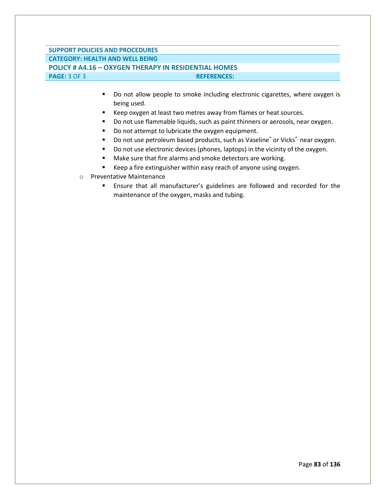## **SUPPORT POLICIES AND PROCEDURES CATEGORY: HEALTH AND WELL BEING POLICY # A4.16 – OXYGEN THERAPY IN RESIDENTIAL HOMES PAGE:** 3 OF 3 **REFERENCES: REFERENCES:**

- Do not allow people to smoke including electronic cigarettes, where oxygen is being used.
- Keep oxygen at least two metres away from flames or heat sources.
- Do not use flammable liquids, such as paint thinners or aerosols, near oxygen.
- Do not attempt to lubricate the oxygen equipment.
- Do not use petroleum based products, such as Vaseline® or Vicks® near oxygen.
- Do not use electronic devices (phones, laptops) in the vicinity of the oxygen.
- Make sure that fire alarms and smoke detectors are working.
- Keep a fire extinguisher within easy reach of anyone using oxygen.
- o Preventative Maintenance
	- Ensure that all manufacturer's guidelines are followed and recorded for the maintenance of the oxygen, masks and tubing.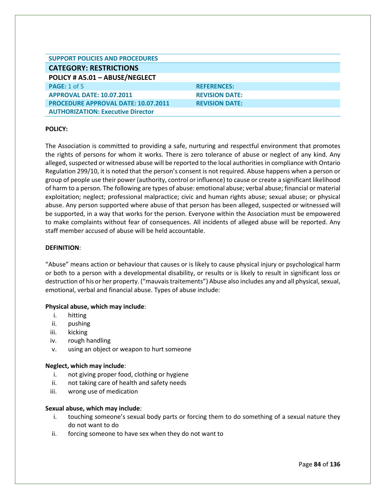| <b>SUPPORT POLICIES AND PROCEDURES</b>     |                       |
|--------------------------------------------|-----------------------|
| <b>CATEGORY: RESTRICTIONS</b>              |                       |
| POLICY # A5.01 - ABUSE/NEGLECT             |                       |
| <b>PAGE: 1 of 5</b>                        | <b>REFERENCES:</b>    |
| <b>APPROVAL DATE: 10.07.2011</b>           | <b>REVISION DATE:</b> |
| <b>PROCEDURE APPROVAL DATE: 10.07.2011</b> | <b>REVISION DATE:</b> |
| <b>AUTHORIZATION: Executive Director</b>   |                       |

The Association is committed to providing a safe, nurturing and respectful environment that promotes the rights of persons for whom it works. There is zero tolerance of abuse or neglect of any kind. Any alleged, suspected or witnessed abuse will be reported to the local authorities in compliance with Ontario Regulation 299/10, it is noted that the person's consent is not required. Abuse happens when a person or group of people use their power (authority, control or influence) to cause or create a significant likelihood of harm to a person. The following are types of abuse: emotional abuse; verbal abuse; financial or material exploitation; neglect; professional malpractice; civic and human rights abuse; sexual abuse; or physical abuse. Any person supported where abuse of that person has been alleged, suspected or witnessed will be supported, in a way that works for the person. Everyone within the Association must be empowered to make complaints without fear of consequences. All incidents of alleged abuse will be reported. Any staff member accused of abuse will be held accountable.

#### **DEFINITION**:

"Abuse" means action or behaviour that causes or is likely to cause physical injury or psychological harm or both to a person with a developmental disability, or results or is likely to result in significant loss or destruction of his or her property. ("mauvais traitements") Abuse also includes any and all physical, sexual, emotional, verbal and financial abuse. Types of abuse include:

#### **Physical abuse, which may include**:

- i. hitting
- ii. pushing
- iii. kicking
- iv. rough handling
- v. using an object or weapon to hurt someone

#### **Neglect, which may include**:

- i. not giving proper food, clothing or hygiene
- ii. not taking care of health and safety needs
- iii. wrong use of medication

#### **Sexual abuse, which may include**:

- i. touching someone's sexual body parts or forcing them to do something of a sexual nature they do not want to do
- ii. forcing someone to have sex when they do not want to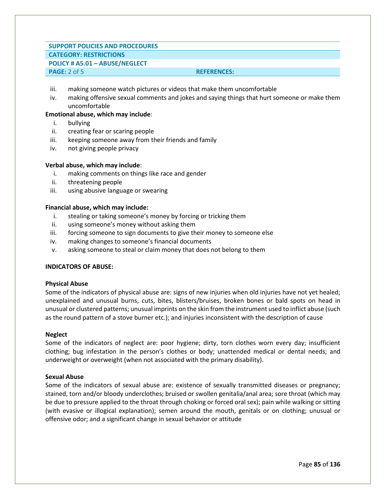### **SUPPORT POLICIES AND PROCEDURES**

## **CATEGORY: RESTRICTIONS**

#### **POLICY # A5.01 – ABUSE/NEGLECT**

## **PAGE:** 2 of 5 **REFERENCES:**

- iii. making someone watch pictures or videos that make them uncomfortable
- iv. making offensive sexual comments and jokes and saying things that hurt someone or make them uncomfortable

#### **Emotional abuse, which may include**:

- i. bullying
- ii. creating fear or scaring people
- iii. keeping someone away from their friends and family
- iv. not giving people privacy
- **Verbal abuse, which may include**:
	- i. making comments on things like race and gender
	- ii. threatening people
	- iii. using abusive language or swearing

#### **Financial abuse, which may include:**

- i. stealing or taking someone's money by forcing or tricking them
- ii. using someone's money without asking them
- iii. forcing someone to sign documents to give their money to someone else
- iv. making changes to someone's financial documents
- v. asking someone to steal or claim money that does not belong to them

### **INDICATORS OF ABUSE:**

#### **Physical Abuse**

Some of the indicators of physical abuse are: signs of new injuries when old injuries have not yet healed; unexplained and unusual burns, cuts, bites, blisters/bruises, broken bones or bald spots on head in unusual or clustered patterns; unusual imprints on the skin from the instrument used to inflict abuse (such as the round pattern of a stove burner etc.); and injuries inconsistent with the description of cause

#### **Neglect**

Some of the indicators of neglect are: poor hygiene; dirty, torn clothes worn every day; insufficient clothing; bug infestation in the person's clothes or body; unattended medical or dental needs; and underweight or overweight (when not associated with the primary disability).

#### **Sexual Abuse**

Some of the indicators of sexual abuse are: existence of sexually transmitted diseases or pregnancy; stained, torn and/or bloody underclothes; bruised or swollen genitalia/anal area; sore throat (which may be due to pressure applied to the throat through choking or forced oral sex); pain while walking or sitting (with evasive or illogical explanation); semen around the mouth, genitals or on clothing; unusual or offensive odor; and a significant change in sexual behavior or attitude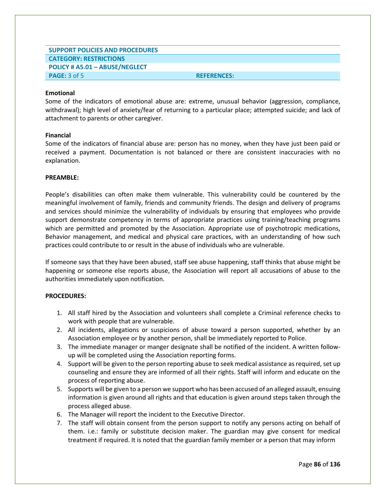## **SUPPORT POLICIES AND PROCEDURES CATEGORY: RESTRICTIONS POLICY # A5.01 – ABUSE/NEGLECT PAGE:** 3 of 5 **REFERENCES:**

#### **Emotional**

Some of the indicators of emotional abuse are: extreme, unusual behavior (aggression, compliance, withdrawal); high level of anxiety/fear of returning to a particular place; attempted suicide; and lack of attachment to parents or other caregiver.

#### **Financial**

Some of the indicators of financial abuse are: person has no money, when they have just been paid or received a payment. Documentation is not balanced or there are consistent inaccuracies with no explanation.

#### **PREAMBLE:**

People's disabilities can often make them vulnerable. This vulnerability could be countered by the meaningful involvement of family, friends and community friends. The design and delivery of programs and services should minimize the vulnerability of individuals by ensuring that employees who provide support demonstrate competency in terms of appropriate practices using training/teaching programs which are permitted and promoted by the Association. Appropriate use of psychotropic medications, Behavior management, and medical and physical care practices, with an understanding of how such practices could contribute to or result in the abuse of individuals who are vulnerable.

If someone says that they have been abused, staff see abuse happening, staff thinks that abuse might be happening or someone else reports abuse, the Association will report all accusations of abuse to the authorities immediately upon notification.

- 1. All staff hired by the Association and volunteers shall complete a Criminal reference checks to work with people that are vulnerable.
- 2. All incidents, allegations or suspicions of abuse toward a person supported, whether by an Association employee or by another person, shall be immediately reported to Police.
- 3. The immediate manager or manger designate shall be notified of the incident. A written followup will be completed using the Association reporting forms.
- 4. Support will be given to the person reporting abuse to seek medical assistance as required, set up counseling and ensure they are informed of all their rights. Staff will inform and educate on the process of reporting abuse.
- 5. Supports will be given to a person we support who has been accused of an alleged assault, ensuing information is given around all rights and that education is given around steps taken through the process alleged abuse.
- 6. The Manager will report the incident to the Executive Director.
- 7. The staff will obtain consent from the person support to notify any persons acting on behalf of them. i.e.: family or substitute decision maker. The guardian may give consent for medical treatment if required. It is noted that the guardian family member or a person that may inform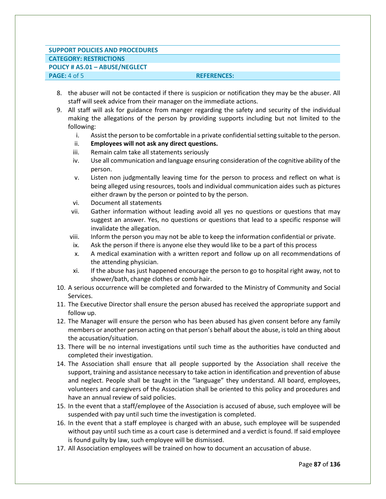## **SUPPORT POLICIES AND PROCEDURES CATEGORY: RESTRICTIONS POLICY # A5.01 – ABUSE/NEGLECT PAGE:** 4 of 5 **REFERENCES:**

- 8. the abuser will not be contacted if there is suspicion or notification they may be the abuser. All staff will seek advice from their manager on the immediate actions.
- 9. All staff will ask for guidance from manger regarding the safety and security of the individual making the allegations of the person by providing supports including but not limited to the following:
	- i. Assist the person to be comfortable in a private confidential setting suitable to the person.
	- ii. **Employees will not ask any direct questions.**
	- iii. Remain calm take all statements seriously
	- iv. Use all communication and language ensuring consideration of the cognitive ability of the person.
	- v. Listen non judgmentally leaving time for the person to process and reflect on what is being alleged using resources, tools and individual communication aides such as pictures either drawn by the person or pointed to by the person.
	- vi. Document all statements
	- vii. Gather information without leading avoid all yes no questions or questions that may suggest an answer. Yes, no questions or questions that lead to a specific response will invalidate the allegation.
	- viii. Inform the person you may not be able to keep the information confidential or private.
	- ix. Ask the person if there is anyone else they would like to be a part of this process
	- x. A medical examination with a written report and follow up on all recommendations of the attending physician.
	- xi. If the abuse has just happened encourage the person to go to hospital right away, not to shower/bath, change clothes or comb hair.
- 10. A serious occurrence will be completed and forwarded to the Ministry of Community and Social Services.
- 11. The Executive Director shall ensure the person abused has received the appropriate support and follow up.
- 12. The Manager will ensure the person who has been abused has given consent before any family members or another person acting on that person's behalf about the abuse, is told an thing about the accusation/situation.
- 13. There will be no internal investigations until such time as the authorities have conducted and completed their investigation.
- 14. The Association shall ensure that all people supported by the Association shall receive the support, training and assistance necessary to take action in identification and prevention of abuse and neglect. People shall be taught in the "language" they understand. All board, employees, volunteers and caregivers of the Association shall be oriented to this policy and procedures and have an annual review of said policies.
- 15. In the event that a staff/employee of the Association is accused of abuse, such employee will be suspended with pay until such time the investigation is completed.
- 16. In the event that a staff employee is charged with an abuse, such employee will be suspended without pay until such time as a court case is determined and a verdict is found. If said employee is found guilty by law, such employee will be dismissed.
- 17. All Association employees will be trained on how to document an accusation of abuse.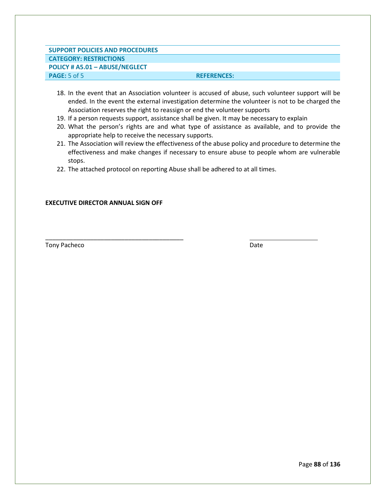## **SUPPORT POLICIES AND PROCEDURES CATEGORY: RESTRICTIONS POLICY # A5.01 – ABUSE/NEGLECT PAGE:** 5 of 5 **REFERENCES:**

- 18. In the event that an Association volunteer is accused of abuse, such volunteer support will be ended. In the event the external investigation determine the volunteer is not to be charged the Association reserves the right to reassign or end the volunteer supports
- 19. If a person requests support, assistance shall be given. It may be necessary to explain
- 20. What the person's rights are and what type of assistance as available, and to provide the appropriate help to receive the necessary supports.
- 21. The Association will review the effectiveness of the abuse policy and procedure to determine the effectiveness and make changes if necessary to ensure abuse to people whom are vulnerable stops.
- 22. The attached protocol on reporting Abuse shall be adhered to at all times.

#### **EXECUTIVE DIRECTOR ANNUAL SIGN OFF**

\_\_\_\_\_\_\_\_\_\_\_\_\_\_\_\_\_\_\_\_\_\_\_\_\_\_\_\_\_\_\_\_\_\_\_\_\_\_\_\_

Tony Pacheco Date **Date**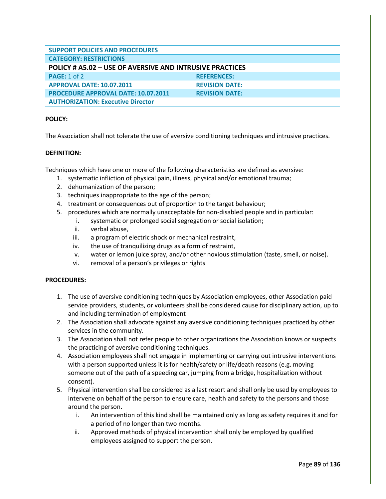| <b>SUPPORT POLICIES AND PROCEDURES</b>                   |                       |  |
|----------------------------------------------------------|-----------------------|--|
| <b>CATEGORY: RESTRICTIONS</b>                            |                       |  |
| POLICY # A5.02 - USE OF AVERSIVE AND INTRUSIVE PRACTICES |                       |  |
| <b>PAGE: 1 of 2</b>                                      | <b>REFERENCES:</b>    |  |
| <b>APPROVAL DATE: 10.07.2011</b>                         | <b>REVISION DATE:</b> |  |
| <b>PROCEDURE APPROVAL DATE: 10.07.2011</b>               | <b>REVISION DATE:</b> |  |
| <b>AUTHORIZATION: Executive Director</b>                 |                       |  |

The Association shall not tolerate the use of aversive conditioning techniques and intrusive practices.

#### **DEFINITION:**

Techniques which have one or more of the following characteristics are defined as aversive:

- 1. systematic infliction of physical pain, illness, physical and/or emotional trauma;
- 2. dehumanization of the person;
- 3. techniques inappropriate to the age of the person;
- 4. treatment or consequences out of proportion to the target behaviour;
- 5. procedures which are normally unacceptable for non-disabled people and in particular:
	- i. systematic or prolonged social segregation or social isolation;
	- ii. verbal abuse,
	- iii. a program of electric shock or mechanical restraint,
	- iv. the use of tranquilizing drugs as a form of restraint,
	- v. water or lemon juice spray, and/or other noxious stimulation (taste, smell, or noise).
	- vi. removal of a person's privileges or rights

- 1. The use of aversive conditioning techniques by Association employees, other Association paid service providers, students, or volunteers shall be considered cause for disciplinary action, up to and including termination of employment
- 2. The Association shall advocate against any aversive conditioning techniques practiced by other services in the community.
- 3. The Association shall not refer people to other organizations the Association knows or suspects the practicing of aversive conditioning techniques.
- 4. Association employees shall not engage in implementing or carrying out intrusive interventions with a person supported unless it is for health/safety or life/death reasons (e.g. moving someone out of the path of a speeding car, jumping from a bridge, hospitalization without consent).
- 5. Physical intervention shall be considered as a last resort and shall only be used by employees to intervene on behalf of the person to ensure care, health and safety to the persons and those around the person.
	- i. An intervention of this kind shall be maintained only as long as safety requires it and for a period of no longer than two months.
	- ii. Approved methods of physical intervention shall only be employed by qualified employees assigned to support the person.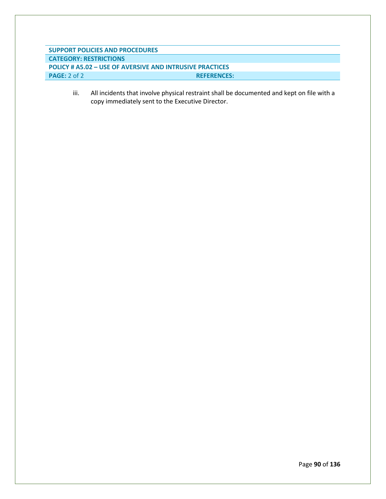**SUPPORT POLICIES AND PROCEDURES CATEGORY: RESTRICTIONS POLICY # A5.02 – USE OF AVERSIVE AND INTRUSIVE PRACTICES PAGE:** 2 of 2 **REFERENCES:** 

> iii. All incidents that involve physical restraint shall be documented and kept on file with a copy immediately sent to the Executive Director.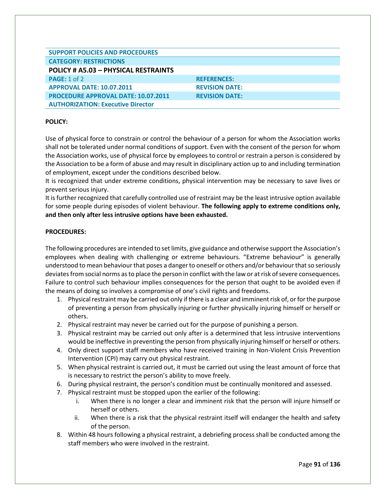| <b>SUPPORT POLICIES AND PROCEDURES</b>     |                       |
|--------------------------------------------|-----------------------|
| <b>CATEGORY: RESTRICTIONS</b>              |                       |
| POLICY # A5.03 - PHYSICAL RESTRAINTS       |                       |
| <b>PAGE: 1 of 2</b>                        | <b>REFERENCES:</b>    |
| <b>APPROVAL DATE: 10.07.2011</b>           | <b>REVISION DATE:</b> |
| <b>PROCEDURE APPROVAL DATE: 10.07.2011</b> | <b>REVISION DATE:</b> |
| <b>AUTHORIZATION: Executive Director</b>   |                       |

Use of physical force to constrain or control the behaviour of a person for whom the Association works shall not be tolerated under normal conditions of support. Even with the consent of the person for whom the Association works, use of physical force by employees to control or restrain a person is considered by the Association to be a form of abuse and may result in disciplinary action up to and including termination of employment, except under the conditions described below.

It is recognized that under extreme conditions, physical intervention may be necessary to save lives or prevent serious injury.

It is further recognized that carefully controlled use of restraint may be the least intrusive option available for some people during episodes of violent behaviour. **The following apply to extreme conditions only, and then only after less intrusive options have been exhausted.** 

## **PROCEDURES:**

The following procedures are intended to set limits, give guidance and otherwise support the Association's employees when dealing with challenging or extreme behaviours. "Extreme behaviour" is generally understood to mean behaviour that poses a danger to oneself or others and/or behaviour that so seriously deviates from social norms as to place the person in conflict with the law or at risk of severe consequences. Failure to control such behaviour implies consequences for the person that ought to be avoided even if the means of doing so involves a compromise of one's civil rights and freedoms.

- 1. Physical restraint may be carried out only if there is a clear and imminent risk of, or for the purpose of preventing a person from physically injuring or further physically injuring himself or herself or others.
- 2. Physical restraint may never be carried out for the purpose of punishing a person.
- 3. Physical restraint may be carried out only after is a determined that less intrusive interventions would be ineffective in preventing the person from physically injuring himself or herself or others.
- 4. Only direct support staff members who have received training in Non-Violent Crisis Prevention Intervention (CPI) may carry out physical restraint.
- 5. When physical restraint is carried out, it must be carried out using the least amount of force that is necessary to restrict the person's ability to move freely.
- 6. During physical restraint, the person's condition must be continually monitored and assessed.
- 7. Physical restraint must be stopped upon the earlier of the following:
	- i. When there is no longer a clear and imminent risk that the person will injure himself or herself or others.
	- ii. When there is a risk that the physical restraint itself will endanger the health and safety of the person.
- 8. Within 48 hours following a physical restraint, a debriefing process shall be conducted among the staff members who were involved in the restraint.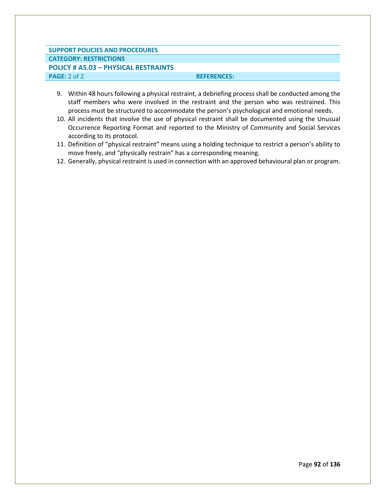## **SUPPORT POLICIES AND PROCEDURES CATEGORY: RESTRICTIONS POLICY # A5.03 – PHYSICAL RESTRAINTS PAGE:** 2 of 2 **REFERENCES:**

- 9. Within 48 hours following a physical restraint, a debriefing process shall be conducted among the staff members who were involved in the restraint and the person who was restrained. This process must be structured to accommodate the person's psychological and emotional needs.
- 10. All incidents that involve the use of physical restraint shall be documented using the Unusual Occurrence Reporting Format and reported to the Ministry of Community and Social Services according to its protocol.
- 11. Definition of "physical restraint" means using a holding technique to restrict a person's ability to move freely, and "physically restrain" has a corresponding meaning.
- 12. Generally, physical restraint is used in connection with an approved behavioural plan or program.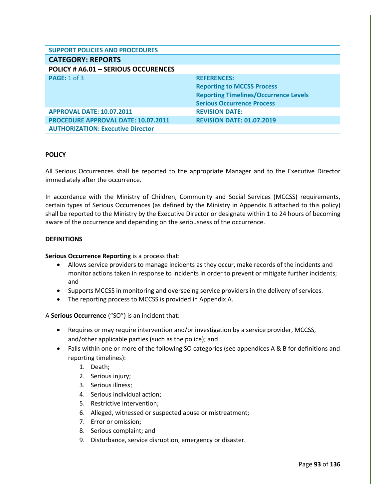| <b>SUPPORT POLICIES AND PROCEDURES</b>     |                                              |
|--------------------------------------------|----------------------------------------------|
| <b>CATEGORY: REPORTS</b>                   |                                              |
| POLICY # A6.01 - SERIOUS OCCURENCES        |                                              |
| PAGE: 1 of 3                               | <b>REFERENCES:</b>                           |
|                                            | <b>Reporting to MCCSS Process</b>            |
|                                            | <b>Reporting Timelines/Occurrence Levels</b> |
|                                            | <b>Serious Occurrence Process</b>            |
| <b>APPROVAL DATE: 10.07.2011</b>           | <b>REVISION DATE:</b>                        |
| <b>PROCEDURE APPROVAL DATE: 10.07.2011</b> | <b>REVISION DATE: 01.07.2019</b>             |
| <b>AUTHORIZATION: Executive Director</b>   |                                              |

All Serious Occurrences shall be reported to the appropriate Manager and to the Executive Director immediately after the occurrence.

In accordance with the Ministry of Children, Community and Social Services (MCCSS) requirements, certain types of Serious Occurrences (as defined by the Ministry in Appendix B attached to this policy) shall be reported to the Ministry by the Executive Director or designate within 1 to 24 hours of becoming aware of the occurrence and depending on the seriousness of the occurrence.

#### **DEFINITIONS**

#### **Serious Occurrence Reporting** is a process that:

- Allows service providers to manage incidents as they occur, make records of the incidents and monitor actions taken in response to incidents in order to prevent or mitigate further incidents; and
- Supports MCCSS in monitoring and overseeing service providers in the delivery of services.
- The reporting process to MCCSS is provided in Appendix A.

## A **Serious Occurrence** ("SO") is an incident that:

- Requires or may require intervention and/or investigation by a service provider, MCCSS, and/other applicable parties (such as the police); and
- Falls within one or more of the following SO categories (see appendices A & B for definitions and reporting timelines):
	- 1. Death;
	- 2. Serious injury;
	- 3. Serious illness;
	- 4. Serious individual action;
	- 5. Restrictive intervention;
	- 6. Alleged, witnessed or suspected abuse or mistreatment;
	- 7. Error or omission;
	- 8. Serious complaint; and
	- 9. Disturbance, service disruption, emergency or disaster.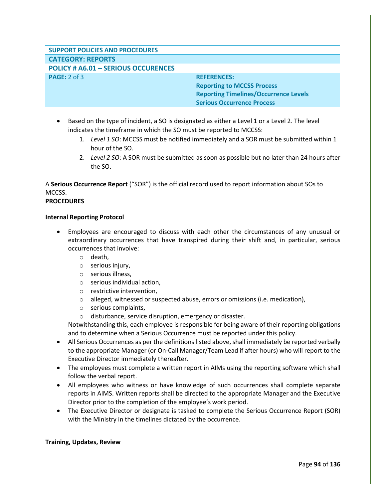# **SUPPORT POLICIES AND PROCEDURES CATEGORY: REPORTS**

**POLICY # A6.01 – SERIOUS OCCURENCES PAGE:** 2 of 3 **REFERENCES: REFERENCES:** 

**Reporting to MCCSS Process Reporting Timelines/Occurrence Levels Serious Occurrence Process**

- Based on the type of incident, a SO is designated as either a Level 1 or a Level 2. The level indicates the timeframe in which the SO must be reported to MCCSS:
	- 1. *Level 1 SO*: MCCSS must be notified immediately and a SOR must be submitted within 1 hour of the SO.
	- 2. *Level 2 SO*: A SOR must be submitted as soon as possible but no later than 24 hours after the SO.

A **Serious Occurrence Report** ("SOR") is the official record used to report information about SOs to MCCSS.

## **PROCEDURES**

#### **Internal Reporting Protocol**

- Employees are encouraged to discuss with each other the circumstances of any unusual or extraordinary occurrences that have transpired during their shift and, in particular, serious occurrences that involve:
	- o death,
	- o serious injury,
	- o serious illness,
	- o serious individual action,
	- o restrictive intervention,
	- $\circ$  alleged, witnessed or suspected abuse, errors or omissions (i.e. medication),
	- o serious complaints,
	- o disturbance, service disruption, emergency or disaster.

Notwithstanding this, each employee is responsible for being aware of their reporting obligations and to determine when a Serious Occurrence must be reported under this policy.

- All Serious Occurrences as per the definitions listed above, shall immediately be reported verbally to the appropriate Manager (or On-Call Manager/Team Lead if after hours) who will report to the Executive Director immediately thereafter.
- The employees must complete a written report in AIMs using the reporting software which shall follow the verbal report.
- All employees who witness or have knowledge of such occurrences shall complete separate reports in AIMS. Written reports shall be directed to the appropriate Manager and the Executive Director prior to the completion of the employee's work period.
- The Executive Director or designate is tasked to complete the Serious Occurrence Report (SOR) with the Ministry in the timelines dictated by the occurrence.

## **Training, Updates, Review**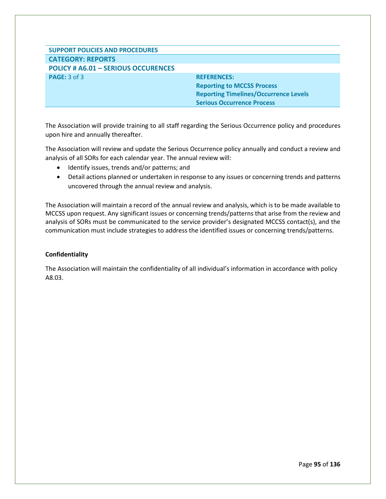# **SUPPORT POLICIES AND PROCEDURES CATEGORY: REPORTS POLICY # A6.01 – SERIOUS OCCURENCES PAGE:** 3 of 3 **REFERENCES: REFERENCES: Reporting to MCCSS Process Reporting Timelines/Occurrence Levels Serious Occurrence Process**

The Association will provide training to all staff regarding the Serious Occurrence policy and procedures upon hire and annually thereafter.

The Association will review and update the Serious Occurrence policy annually and conduct a review and analysis of all SORs for each calendar year. The annual review will:

- Identify issues, trends and/or patterns; and
- Detail actions planned or undertaken in response to any issues or concerning trends and patterns uncovered through the annual review and analysis.

The Association will maintain a record of the annual review and analysis, which is to be made available to MCCSS upon request. Any significant issues or concerning trends/patterns that arise from the review and analysis of SORs must be communicated to the service provider's designated MCCSS contact(s), and the communication must include strategies to address the identified issues or concerning trends/patterns.

## **Confidentiality**

The Association will maintain the confidentiality of all individual's information in accordance with policy A8.03.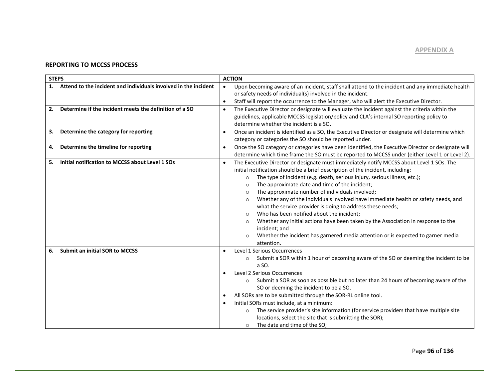#### **REPORTING TO MCCSS PROCESS**

| <b>STEPS</b>                                                          | <b>ACTION</b>                                                                                                                                                                                                                                                                                                                                                                                                                                                                                                                                                                                                                                                                                                                                                                                                                                        |
|-----------------------------------------------------------------------|------------------------------------------------------------------------------------------------------------------------------------------------------------------------------------------------------------------------------------------------------------------------------------------------------------------------------------------------------------------------------------------------------------------------------------------------------------------------------------------------------------------------------------------------------------------------------------------------------------------------------------------------------------------------------------------------------------------------------------------------------------------------------------------------------------------------------------------------------|
| Attend to the incident and individuals involved in the incident<br>1. | Upon becoming aware of an incident, staff shall attend to the incident and any immediate health<br>$\bullet$<br>or safety needs of individual(s) involved in the incident.<br>Staff will report the occurrence to the Manager, who will alert the Executive Director.<br>$\bullet$                                                                                                                                                                                                                                                                                                                                                                                                                                                                                                                                                                   |
| Determine if the incident meets the definition of a SO<br>2.          | The Executive Director or designate will evaluate the incident against the criteria within the<br>$\bullet$<br>guidelines, applicable MCCSS legislation/policy and CLA's internal SO reporting policy to<br>determine whether the incident is a SO.                                                                                                                                                                                                                                                                                                                                                                                                                                                                                                                                                                                                  |
| Determine the category for reporting<br>3.                            | Once an incident is identified as a SO, the Executive Director or designate will determine which<br>$\bullet$<br>category or categories the SO should be reported under.                                                                                                                                                                                                                                                                                                                                                                                                                                                                                                                                                                                                                                                                             |
| Determine the timeline for reporting<br>4.                            | Once the SO category or categories have been identified, the Executive Director or designate will<br>$\bullet$<br>determine which time frame the SO must be reported to MCCSS under (either Level 1 or Level 2).                                                                                                                                                                                                                                                                                                                                                                                                                                                                                                                                                                                                                                     |
| Initial notification to MCCSS about Level 1 SOs<br>5.                 | The Executive Director or designate must immediately notify MCCSS about Level 1 SOs. The<br>$\bullet$<br>initial notification should be a brief description of the incident, including:<br>The type of incident (e.g. death, serious injury, serious illness, etc.);<br>$\circ$<br>The approximate date and time of the incident;<br>$\circ$<br>The approximate number of individuals involved;<br>$\circ$<br>Whether any of the Individuals involved have immediate health or safety needs, and<br>$\circ$<br>what the service provider is doing to address these needs;<br>Who has been notified about the incident;<br>Whether any initial actions have been taken by the Association in response to the<br>$\circ$<br>incident; and<br>Whether the incident has garnered media attention or is expected to garner media<br>$\circ$<br>attention. |
| <b>Submit an initial SOR to MCCSS</b><br>6.                           | Level 1 Serious Occurrences<br>Submit a SOR within 1 hour of becoming aware of the SO or deeming the incident to be<br>$\circ$<br>a SO.<br>Level 2 Serious Occurrences<br>٠<br>Submit a SOR as soon as possible but no later than 24 hours of becoming aware of the<br>SO or deeming the incident to be a SO.<br>All SORs are to be submitted through the SOR-RL online tool.<br>٠<br>Initial SORs must include, at a minimum:<br>٠<br>The service provider's site information (for service providers that have multiple site<br>$\circ$<br>locations, select the site that is submitting the SOR);<br>The date and time of the SO:<br>$\circ$                                                                                                                                                                                                       |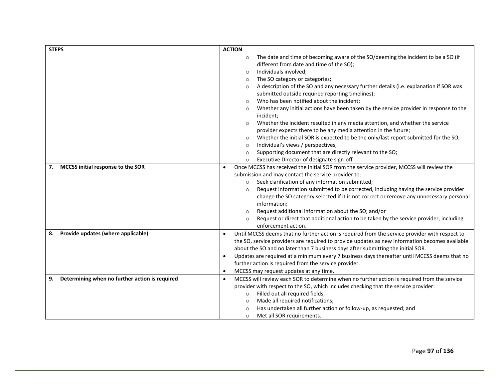| <b>STEPS</b>                                         | <b>ACTION</b>                                                                                                                                                                                                                                                                                                                                                                                                                                                                                                                                                                                                                                                                                                                                                                                                                                                                                                                                                                                             |
|------------------------------------------------------|-----------------------------------------------------------------------------------------------------------------------------------------------------------------------------------------------------------------------------------------------------------------------------------------------------------------------------------------------------------------------------------------------------------------------------------------------------------------------------------------------------------------------------------------------------------------------------------------------------------------------------------------------------------------------------------------------------------------------------------------------------------------------------------------------------------------------------------------------------------------------------------------------------------------------------------------------------------------------------------------------------------|
|                                                      | The date and time of becoming aware of the SO/deeming the incident to be a SO (if<br>$\circ$<br>different from date and time of the SO);<br>Individuals involved;<br>O<br>The SO category or categories;<br>$\circ$<br>A description of the SO and any necessary further details (i.e. explanation if SOR was<br>$\circ$<br>submitted outside required reporting timelines);<br>Who has been notified about the incident;<br>$\Omega$<br>Whether any initial actions have been taken by the service provider in response to the<br>$\circ$<br>incident;<br>Whether the incident resulted in any media attention, and whether the service<br>$\circ$<br>provider expects there to be any media attention in the future;<br>Whether the initial SOR is expected to be the only/last report submitted for the SO;<br>$\circ$<br>Individual's views / perspectives;<br>$\circ$<br>Supporting document that are directly relevant to the SO;<br>$\circ$<br>Executive Director of designate sign-off<br>$\circ$ |
| MCCSS initial response to the SOR<br>7.              | Once MCCSS has received the initial SOR from the service provider, MCCSS will review the<br>$\bullet$<br>submission and may contact the service provider to:<br>Seek clarification of any information submitted;<br>$\circ$<br>Request information submitted to be corrected, including having the service provider<br>$\circ$<br>change the SO category selected if it is not correct or remove any unnecessary personal<br>information;<br>Request additional information about the SO; and/or<br>$\circ$<br>Request or direct that additional action to be taken by the service provider, including<br>$\circ$<br>enforcement action.                                                                                                                                                                                                                                                                                                                                                                  |
| Provide updates (where applicable)<br>8.             | Until MCCSS deems that no further action is required from the service provider with respect to<br>$\bullet$<br>the SO, service providers are required to provide updates as new information becomes available<br>about the SO and no later than 7 business days after submitting the initial SOR.<br>Updates are required at a minimum every 7 business days thereafter until MCCSS deems that no<br>$\bullet$<br>further action is required from the service provider.<br>MCCSS may request updates at any time.<br>$\bullet$                                                                                                                                                                                                                                                                                                                                                                                                                                                                            |
| Determining when no further action is required<br>9. | MCCSS will review each SOR to determine when no further action is required from the service<br>$\bullet$<br>provider with respect to the SO, which includes checking that the service provider:<br>Filled out all required fields;<br>$\circ$<br>Made all required notifications;<br>$\circ$<br>Has undertaken all further action or follow-up, as requested; and<br>$\circ$<br>Met all SOR requirements.<br>$\circ$                                                                                                                                                                                                                                                                                                                                                                                                                                                                                                                                                                                      |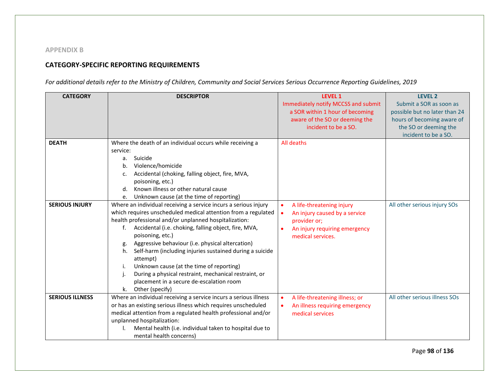## **APPENDIX B**

## **CATEGORY-SPECIFIC REPORTING REQUIREMENTS**

*For additional details refer to the Ministry of Children, Community and Social Services Serious Occurrence Reporting Guidelines, 2019*

| <b>CATEGORY</b>        | <b>DESCRIPTOR</b>                                                | <b>LEVEL 1</b>                             | <b>LEVEL 2</b>                |
|------------------------|------------------------------------------------------------------|--------------------------------------------|-------------------------------|
|                        |                                                                  | Immediately notify MCCSS and submit        | Submit a SOR as soon as       |
|                        |                                                                  | a SOR within 1 hour of becoming            | possible but no later than 24 |
|                        |                                                                  | aware of the SO or deeming the             | hours of becoming aware of    |
|                        |                                                                  | incident to be a SO.                       | the SO or deeming the         |
|                        |                                                                  |                                            | incident to be a SO.          |
| <b>DEATH</b>           | Where the death of an individual occurs while receiving a        | All deaths                                 |                               |
|                        | service:                                                         |                                            |                               |
|                        | Suicide<br>а.                                                    |                                            |                               |
|                        | Violence/homicide<br>b.                                          |                                            |                               |
|                        | Accidental (choking, falling object, fire, MVA,<br>c.            |                                            |                               |
|                        | poisoning, etc.)                                                 |                                            |                               |
|                        | Known illness or other natural cause<br>d.                       |                                            |                               |
|                        | Unknown cause (at the time of reporting)<br>e.                   |                                            |                               |
| <b>SERIOUS INJURY</b>  | Where an individual receiving a service incurs a serious injury  | A life-threatening injury<br>$\bullet$     | All other serious injury SOs  |
|                        | which requires unscheduled medical attention from a regulated    | An injury caused by a service<br>$\bullet$ |                               |
|                        | health professional and/or unplanned hospitalization:            | provider or;                               |                               |
|                        | Accidental (i.e. choking, falling object, fire, MVA,<br>f.       | An injury requiring emergency              |                               |
|                        | poisoning, etc.)                                                 | medical services.                          |                               |
|                        | Aggressive behaviour (i.e. physical altercation)<br>g.           |                                            |                               |
|                        | Self-harm (including injuries sustained during a suicide<br>h.   |                                            |                               |
|                        | attempt)                                                         |                                            |                               |
|                        | Unknown cause (at the time of reporting)<br>i.                   |                                            |                               |
|                        | During a physical restraint, mechanical restraint, or            |                                            |                               |
|                        | placement in a secure de-escalation room                         |                                            |                               |
|                        | Other (specify)<br>k.                                            |                                            |                               |
| <b>SERIOUS ILLNESS</b> | Where an individual receiving a service incurs a serious illness | A life-threatening illness; or             | All other serious illness SOs |
|                        | or has an existing serious illness which requires unscheduled    | An illness requiring emergency             |                               |
|                        | medical attention from a regulated health professional and/or    | medical services                           |                               |
|                        | unplanned hospitalization:                                       |                                            |                               |
|                        | Mental health (i.e. individual taken to hospital due to          |                                            |                               |
|                        | mental health concerns)                                          |                                            |                               |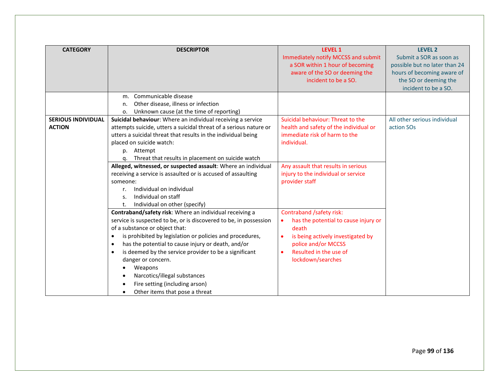| <b>CATEGORY</b>           | <b>DESCRIPTOR</b>                                                                                                        | <b>LEVEL 1</b><br>Immediately notify MCCSS and submit | <b>LEVEL 2</b><br>Submit a SOR as soon as |
|---------------------------|--------------------------------------------------------------------------------------------------------------------------|-------------------------------------------------------|-------------------------------------------|
|                           |                                                                                                                          | a SOR within 1 hour of becoming                       | possible but no later than 24             |
|                           |                                                                                                                          | aware of the SO or deeming the                        | hours of becoming aware of                |
|                           |                                                                                                                          | incident to be a SO.                                  | the SO or deeming the                     |
|                           | m. Communicable disease                                                                                                  |                                                       | incident to be a SO.                      |
|                           | Other disease, illness or infection<br>n.                                                                                |                                                       |                                           |
|                           | Unknown cause (at the time of reporting)<br>о.                                                                           |                                                       |                                           |
| <b>SERIOUS INDIVIDUAL</b> | Suicidal behaviour: Where an individual receiving a service                                                              | Suicidal behaviour: Threat to the                     | All other serious individual              |
| <b>ACTION</b>             | attempts suicide, utters a suicidal threat of a serious nature or                                                        | health and safety of the individual or                | action SO <sub>s</sub>                    |
|                           | utters a suicidal threat that results in the individual being                                                            | immediate risk of harm to the                         |                                           |
|                           | placed on suicide watch:                                                                                                 | individual.                                           |                                           |
|                           | Attempt<br>p.                                                                                                            |                                                       |                                           |
|                           | Threat that results in placement on suicide watch<br>q.                                                                  |                                                       |                                           |
|                           | Alleged, witnessed, or suspected assault: Where an individual                                                            | Any assault that results in serious                   |                                           |
|                           | receiving a service is assaulted or is accused of assaulting                                                             | injury to the individual or service                   |                                           |
|                           | someone:                                                                                                                 | provider staff                                        |                                           |
|                           | Individual on individual<br>r.                                                                                           |                                                       |                                           |
|                           | Individual on staff<br>S.                                                                                                |                                                       |                                           |
|                           | Individual on other (specify)<br>t.                                                                                      |                                                       |                                           |
|                           | Contraband/safety risk: Where an individual receiving a                                                                  | Contraband /safety risk:                              |                                           |
|                           | service is suspected to be, or is discovered to be, in possession                                                        | has the potential to cause injury or<br>$\bullet$     |                                           |
|                           | of a substance or object that:                                                                                           | death                                                 |                                           |
|                           | is prohibited by legislation or policies and procedures,<br>$\bullet$                                                    | is being actively investigated by<br>$\bullet$        |                                           |
|                           | has the potential to cause injury or death, and/or<br>$\bullet$<br>is deemed by the service provider to be a significant | police and/or MCCSS<br>Resulted in the use of         |                                           |
|                           | $\bullet$<br>danger or concern.                                                                                          | lockdown/searches                                     |                                           |
|                           | Weapons                                                                                                                  |                                                       |                                           |
|                           | Narcotics/illegal substances                                                                                             |                                                       |                                           |
|                           | Fire setting (including arson)                                                                                           |                                                       |                                           |
|                           | Other items that pose a threat                                                                                           |                                                       |                                           |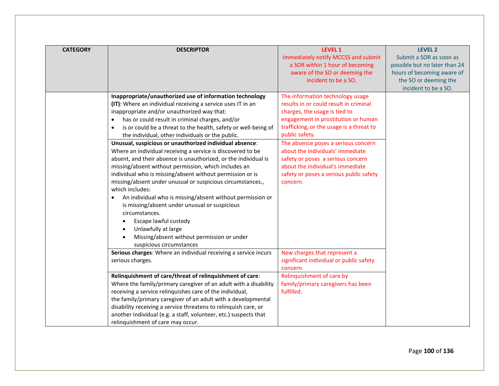| <b>CATEGORY</b> | <b>DESCRIPTOR</b>                                                                                                                                                                                                                                                                                                                                                                                                                                                                                                                                                                                                                                                                                                                                                                                                                                                                                                                                                                                                       | <b>LEVEL 1</b><br>Immediately notify MCCSS and submit<br>a SOR within 1 hour of becoming<br>aware of the SO or deeming the<br>incident to be a SO.                                                                                                                                                                                                                                                                          | LEVEL 2<br>Submit a SOR as soon as<br>possible but no later than 24<br>hours of becoming aware of<br>the SO or deeming the |
|-----------------|-------------------------------------------------------------------------------------------------------------------------------------------------------------------------------------------------------------------------------------------------------------------------------------------------------------------------------------------------------------------------------------------------------------------------------------------------------------------------------------------------------------------------------------------------------------------------------------------------------------------------------------------------------------------------------------------------------------------------------------------------------------------------------------------------------------------------------------------------------------------------------------------------------------------------------------------------------------------------------------------------------------------------|-----------------------------------------------------------------------------------------------------------------------------------------------------------------------------------------------------------------------------------------------------------------------------------------------------------------------------------------------------------------------------------------------------------------------------|----------------------------------------------------------------------------------------------------------------------------|
|                 | Inappropriate/unauthorized use of information technology<br>(IT): Where an individual receiving a service uses IT in an<br>inappropriate and/or unauthorized way that:<br>has or could result in criminal charges, and/or<br>$\bullet$<br>is or could be a threat to the health, safety or well-being of<br>$\bullet$<br>the individual, other individuals or the public.<br>Unusual, suspicious or unauthorized individual absence:<br>Where an individual receiving a service is discovered to be<br>absent, and their absence is unauthorized, or the individual is<br>missing/absent without permission, which includes an<br>individual who is missing/absent without permission or is<br>missing/absent under unusual or suspicious circumstances.,<br>which includes:<br>An individual who is missing/absent without permission or<br>$\bullet$<br>is missing/absent under unusual or suspicious<br>circumstances.<br>Escape lawful custody<br>Unlawfully at large<br>Missing/absent without permission or under | The information technology usage<br>results in or could result in criminal<br>charges, the usage is tied to<br>engagement in prostitution or human<br>trafficking, or the usage is a threat to<br>public safety.<br>The absence poses a serious concern<br>about the individuals' immediate<br>safety or poses a serious concern<br>about the individual's immediate<br>safety or poses a serious public safety<br>concern. | incident to be a SO.                                                                                                       |
|                 | suspicious circumstances<br>Serious charges: Where an individual receiving a service incurs<br>serious charges.<br>Relinquishment of care/threat of relinquishment of care:<br>Where the family/primary caregiver of an adult with a disability<br>receiving a service relinquishes care of the individual,<br>the family/primary caregiver of an adult with a developmental<br>disability receiving a service threatens to relinquish care, or<br>another individual (e.g. a staff, volunteer, etc.) suspects that<br>relinquishment of care may occur.                                                                                                                                                                                                                                                                                                                                                                                                                                                                | New charges that represent a<br>significant individual or public safety<br>concern.<br>Relinquishment of care by<br>family/primary caregivers has been<br>fulfilled.                                                                                                                                                                                                                                                        |                                                                                                                            |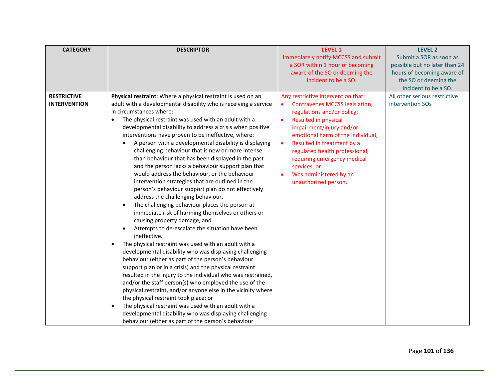| <b>CATEGORY</b>                           | <b>DESCRIPTOR</b>                                                                                                                                                                                                                                                                                                                                                                                                                                                                                                                                                                                                                                                                                                                                                                                                                                                                                                                                                                                                                                                                                                                                                                                                                                                                                                                                                                                                                                                                                                                                                                                                                | <b>LEVEL 1</b><br>Immediately notify MCCSS and submit<br>a SOR within 1 hour of becoming<br>aware of the SO or deeming the<br>incident to be a SO.                                                                                                                                                                                                                               | <b>LEVEL 2</b><br>Submit a SOR as soon as<br>possible but no later than 24<br>hours of becoming aware of<br>the SO or deeming the<br>incident to be a SO. |
|-------------------------------------------|----------------------------------------------------------------------------------------------------------------------------------------------------------------------------------------------------------------------------------------------------------------------------------------------------------------------------------------------------------------------------------------------------------------------------------------------------------------------------------------------------------------------------------------------------------------------------------------------------------------------------------------------------------------------------------------------------------------------------------------------------------------------------------------------------------------------------------------------------------------------------------------------------------------------------------------------------------------------------------------------------------------------------------------------------------------------------------------------------------------------------------------------------------------------------------------------------------------------------------------------------------------------------------------------------------------------------------------------------------------------------------------------------------------------------------------------------------------------------------------------------------------------------------------------------------------------------------------------------------------------------------|----------------------------------------------------------------------------------------------------------------------------------------------------------------------------------------------------------------------------------------------------------------------------------------------------------------------------------------------------------------------------------|-----------------------------------------------------------------------------------------------------------------------------------------------------------|
| <b>RESTRICTIVE</b><br><b>INTERVENTION</b> | Physical restraint: Where a physical restraint is used on an<br>adult with a developmental disability who is receiving a service<br>in circumstances where:<br>The physical restraint was used with an adult with a<br>developmental disability to address a crisis when positive<br>interventions have proven to be ineffective, where:<br>A person with a developmental disability is displaying<br>challenging behaviour that is new or more intense<br>than behaviour that has been displayed in the past<br>and the person lacks a behaviour support plan that<br>would address the behaviour, or the behaviour<br>intervention strategies that are outlined in the<br>person's behaviour support plan do not effectively<br>address the challenging behaviour,<br>The challenging behaviour places the person at<br>immediate risk of harming themselves or others or<br>causing property damage, and<br>Attempts to de-escalate the situation have been<br>ineffective.<br>The physical restraint was used with an adult with a<br>developmental disability who was displaying challenging<br>behaviour (either as part of the person's behaviour<br>support plan or in a crisis) and the physical restraint<br>resulted in the injury to the individual who was restrained,<br>and/or the staff person(s) who employed the use of the<br>physical restraint, and/or anyone else in the vicinity where<br>the physical restraint took place; or<br>The physical restraint was used with an adult with a<br>developmental disability who was displaying challenging<br>behaviour (either as part of the person's behaviour | Any restrictive intervention that:<br>Contravenes MCCSS legislation,<br>regulations and/or policy;<br><b>Resulted in physical</b><br>impairment/injury and/or<br>emotional harm of the individual;<br>Resulted in treatment by a<br>$\bullet$<br>regulated health professional,<br>requiring emergency medical<br>services; or<br>Was administered by an<br>unauthorized person. | All other serious restrictive<br>intervention SOs                                                                                                         |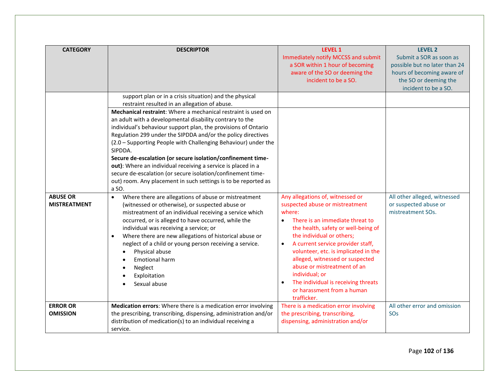| <b>CATEGORY</b>                        | <b>DESCRIPTOR</b>                                                                                                                                                                                                                                                                                                                                                                                                                                                                                                                                                                                                                                                                                                             | <b>LEVEL 1</b><br>Immediately notify MCCSS and submit<br>a SOR within 1 hour of becoming                                                                                                                                                                                                                                                                                                                                                                            | <b>LEVEL 2</b><br>Submit a SOR as soon as<br>possible but no later than 24  |
|----------------------------------------|-------------------------------------------------------------------------------------------------------------------------------------------------------------------------------------------------------------------------------------------------------------------------------------------------------------------------------------------------------------------------------------------------------------------------------------------------------------------------------------------------------------------------------------------------------------------------------------------------------------------------------------------------------------------------------------------------------------------------------|---------------------------------------------------------------------------------------------------------------------------------------------------------------------------------------------------------------------------------------------------------------------------------------------------------------------------------------------------------------------------------------------------------------------------------------------------------------------|-----------------------------------------------------------------------------|
|                                        |                                                                                                                                                                                                                                                                                                                                                                                                                                                                                                                                                                                                                                                                                                                               | aware of the SO or deeming the<br>incident to be a SO.                                                                                                                                                                                                                                                                                                                                                                                                              | hours of becoming aware of<br>the SO or deeming the<br>incident to be a SO. |
|                                        | support plan or in a crisis situation) and the physical<br>restraint resulted in an allegation of abuse.<br>Mechanical restraint: Where a mechanical restraint is used on<br>an adult with a developmental disability contrary to the<br>individual's behaviour support plan, the provisions of Ontario<br>Regulation 299 under the SIPDDA and/or the policy directives<br>(2.0 - Supporting People with Challenging Behaviour) under the<br>SIPDDA.<br>Secure de-escalation (or secure isolation/confinement time-<br>out): Where an individual receiving a service is placed in a<br>secure de-escalation (or secure isolation/confinement time-<br>out) room. Any placement in such settings is to be reported as<br>a SO. |                                                                                                                                                                                                                                                                                                                                                                                                                                                                     |                                                                             |
| <b>ABUSE OR</b><br><b>MISTREATMENT</b> | Where there are allegations of abuse or mistreatment<br>$\bullet$<br>(witnessed or otherwise), or suspected abuse or<br>mistreatment of an individual receiving a service which<br>occurred, or is alleged to have occurred, while the<br>individual was receiving a service; or<br>Where there are new allegations of historical abuse or<br>neglect of a child or young person receiving a service.<br>Physical abuse<br>$\bullet$<br><b>Emotional harm</b><br>Neglect<br>Exploitation<br>Sexual abuse                                                                                                                                                                                                                      | Any allegations of, witnessed or<br>suspected abuse or mistreatment<br>where:<br>There is an immediate threat to<br>$\bullet$<br>the health, safety or well-being of<br>the individual or others;<br>A current service provider staff,<br>$\bullet$<br>volunteer, etc. is implicated in the<br>alleged, witnessed or suspected<br>abuse or mistreatment of an<br>individual; or<br>The individual is receiving threats<br>or harassment from a human<br>trafficker. | All other alleged, witnessed<br>or suspected abuse or<br>mistreatment SOs.  |
| <b>ERROR OR</b><br><b>OMISSION</b>     | Medication errors: Where there is a medication error involving<br>the prescribing, transcribing, dispensing, administration and/or<br>distribution of medication(s) to an individual receiving a<br>service.                                                                                                                                                                                                                                                                                                                                                                                                                                                                                                                  | There is a medication error involving<br>the prescribing, transcribing,<br>dispensing, administration and/or                                                                                                                                                                                                                                                                                                                                                        | All other error and omission<br>SOs                                         |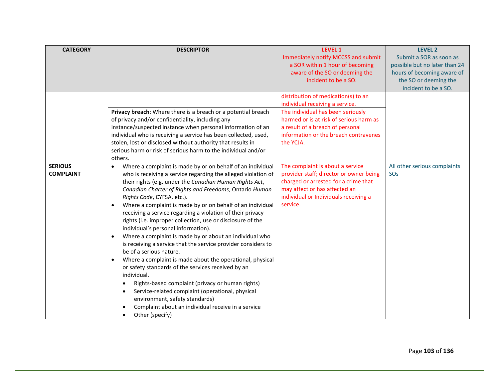| <b>CATEGORY</b>                    | <b>DESCRIPTOR</b>                                                                                                                                                                                                                                                                                                                                                                                                                                                                                                                                                                                                                                                                                                                                                                                                                                                                                                                                                                                                                                                                                                           | <b>LEVEL 1</b><br>Immediately notify MCCSS and submit<br>a SOR within 1 hour of becoming                                                                                                                                                         | <b>LEVEL 2</b><br>Submit a SOR as soon as<br>possible but no later than 24  |
|------------------------------------|-----------------------------------------------------------------------------------------------------------------------------------------------------------------------------------------------------------------------------------------------------------------------------------------------------------------------------------------------------------------------------------------------------------------------------------------------------------------------------------------------------------------------------------------------------------------------------------------------------------------------------------------------------------------------------------------------------------------------------------------------------------------------------------------------------------------------------------------------------------------------------------------------------------------------------------------------------------------------------------------------------------------------------------------------------------------------------------------------------------------------------|--------------------------------------------------------------------------------------------------------------------------------------------------------------------------------------------------------------------------------------------------|-----------------------------------------------------------------------------|
|                                    |                                                                                                                                                                                                                                                                                                                                                                                                                                                                                                                                                                                                                                                                                                                                                                                                                                                                                                                                                                                                                                                                                                                             | aware of the SO or deeming the<br>incident to be a SO.                                                                                                                                                                                           | hours of becoming aware of<br>the SO or deeming the<br>incident to be a SO. |
|                                    | Privacy breach: Where there is a breach or a potential breach<br>of privacy and/or confidentiality, including any<br>instance/suspected instance when personal information of an<br>individual who is receiving a service has been collected, used,<br>stolen, lost or disclosed without authority that results in                                                                                                                                                                                                                                                                                                                                                                                                                                                                                                                                                                                                                                                                                                                                                                                                          | distribution of medication(s) to an<br>individual receiving a service.<br>The individual has been seriously<br>harmed or is at risk of serious harm as<br>a result of a breach of personal<br>information or the breach contravenes<br>the YCJA. |                                                                             |
| <b>SERIOUS</b><br><b>COMPLAINT</b> | serious harm or risk of serious harm to the individual and/or<br>others.<br>Where a complaint is made by or on behalf of an individual<br>$\bullet$<br>who is receiving a service regarding the alleged violation of<br>their rights (e.g. under the Canadian Human Rights Act,<br>Canadian Charter of Rights and Freedoms, Ontario Human<br>Rights Code, CYFSA, etc.).<br>Where a complaint is made by or on behalf of an individual<br>receiving a service regarding a violation of their privacy<br>rights (i.e. improper collection, use or disclosure of the<br>individual's personal information).<br>Where a complaint is made by or about an individual who<br>$\bullet$<br>is receiving a service that the service provider considers to<br>be of a serious nature.<br>Where a complaint is made about the operational, physical<br>$\bullet$<br>or safety standards of the services received by an<br>individual.<br>Rights-based complaint (privacy or human rights)<br>Service-related complaint (operational, physical<br>environment, safety standards)<br>Complaint about an individual receive in a service | The complaint is about a service<br>provider staff; director or owner being<br>charged or arrested for a crime that<br>may affect or has affected an<br>individual or Individuals receiving a<br>service.                                        | All other serious complaints<br>SO <sub>S</sub>                             |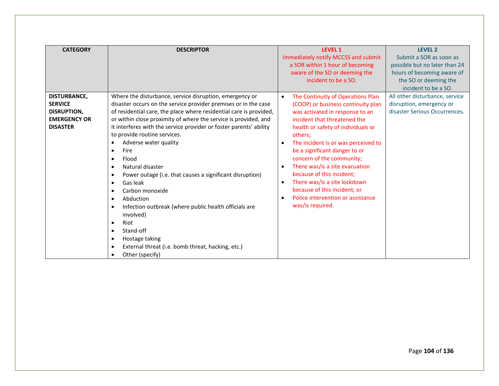| <b>CATEGORY</b>     | <b>DESCRIPTOR</b>                                                  | <b>LEVEL 1</b>                                   | <b>LEVEL 2</b>                 |
|---------------------|--------------------------------------------------------------------|--------------------------------------------------|--------------------------------|
|                     |                                                                    | Immediately notify MCCSS and submit              | Submit a SOR as soon as        |
|                     |                                                                    | a SOR within 1 hour of becoming                  | possible but no later than 24  |
|                     |                                                                    | aware of the SO or deeming the                   | hours of becoming aware of     |
|                     |                                                                    | incident to be a SO.                             | the SO or deeming the          |
|                     |                                                                    |                                                  | incident to be a SO.           |
| <b>DISTURBANCE,</b> | Where the disturbance, service disruption, emergency or            | The Continuity of Operations Plan<br>$\bullet$   | All other disturbance, service |
| <b>SERVICE</b>      | disaster occurs on the service provider premises or in the case    | (COOP) or business continuity plan               | disruption, emergency or       |
| <b>DISRUPTION,</b>  | of residential care, the place where residential care is provided, | was activated in response to an                  | disaster Serious Occurrences.  |
| <b>EMERGENCY OR</b> | or within close proximity of where the service is provided, and    | incident that threatened the                     |                                |
| <b>DISASTER</b>     | it interferes with the service provider or foster parents' ability | health or safety of individuals or               |                                |
|                     | to provide routine services.                                       | others;                                          |                                |
|                     | Adverse water quality<br>$\bullet$                                 | The incident is or was perceived to<br>$\bullet$ |                                |
|                     | Fire<br>$\bullet$                                                  | be a significant danger to or                    |                                |
|                     | Flood<br>٠                                                         | concern of the community;                        |                                |
|                     | Natural disaster<br>$\bullet$                                      | There was/is a site evacuation<br>$\bullet$      |                                |
|                     | Power outage (i.e. that causes a significant disruption)<br>٠      | because of this incident;                        |                                |
|                     | Gas leak<br>$\bullet$                                              | There was/is a site lockdown<br>$\bullet$        |                                |
|                     | Carbon monoxide<br>$\bullet$                                       | because of this incident; or                     |                                |
|                     | Abduction<br>٠                                                     | Police intervention or assistance<br>$\bullet$   |                                |
|                     | Infection outbreak (where public health officials are<br>$\bullet$ | was/is required.                                 |                                |
|                     | involved)                                                          |                                                  |                                |
|                     | Riot<br>$\bullet$                                                  |                                                  |                                |
|                     | Stand-off<br>$\bullet$                                             |                                                  |                                |
|                     | Hostage taking<br>٠                                                |                                                  |                                |
|                     | External threat (i.e. bomb threat, hacking, etc.)<br>٠             |                                                  |                                |
|                     | Other (specify)<br>$\bullet$                                       |                                                  |                                |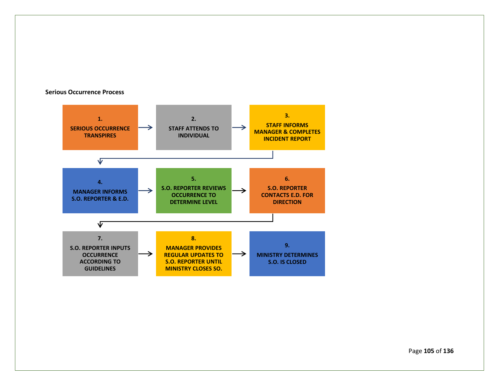#### **Serious Occurrence Process**



Page **105** of **136**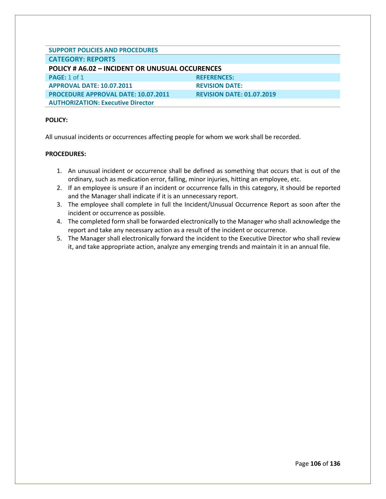| <b>SUPPORT POLICIES AND PROCEDURES</b>                 |                                  |
|--------------------------------------------------------|----------------------------------|
| <b>CATEGORY: REPORTS</b>                               |                                  |
| <b>POLICY # A6.02 - INCIDENT OR UNUSUAL OCCURENCES</b> |                                  |
| <b>PAGE: 1 of 1</b>                                    | <b>REFERENCES:</b>               |
| <b>APPROVAL DATE: 10.07.2011</b>                       | <b>REVISION DATE:</b>            |
| <b>PROCEDURE APPROVAL DATE: 10.07.2011</b>             | <b>REVISION DATE: 01.07.2019</b> |
| <b>AUTHORIZATION: Executive Director</b>               |                                  |

All unusual incidents or occurrences affecting people for whom we work shall be recorded.

- 1. An unusual incident or occurrence shall be defined as something that occurs that is out of the ordinary, such as medication error, falling, minor injuries, hitting an employee, etc.
- 2. If an employee is unsure if an incident or occurrence falls in this category, it should be reported and the Manager shall indicate if it is an unnecessary report.
- 3. The employee shall complete in full the Incident/Unusual Occurrence Report as soon after the incident or occurrence as possible.
- 4. The completed form shall be forwarded electronically to the Manager who shall acknowledge the report and take any necessary action as a result of the incident or occurrence.
- 5. The Manager shall electronically forward the incident to the Executive Director who shall review it, and take appropriate action, analyze any emerging trends and maintain it in an annual file.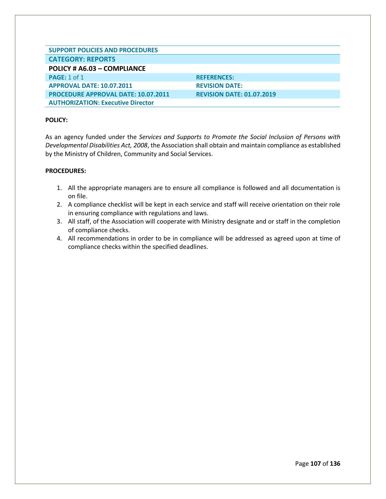| <b>SUPPORT POLICIES AND PROCEDURES</b>     |                                  |
|--------------------------------------------|----------------------------------|
| <b>CATEGORY: REPORTS</b>                   |                                  |
| POLICY # A6.03 - COMPLIANCE                |                                  |
| <b>PAGE: 1 of 1</b>                        | <b>REFERENCES:</b>               |
| <b>APPROVAL DATE: 10.07.2011</b>           | <b>REVISION DATE:</b>            |
| <b>PROCEDURE APPROVAL DATE: 10.07.2011</b> | <b>REVISION DATE: 01.07.2019</b> |
| <b>AUTHORIZATION: Executive Director</b>   |                                  |

As an agency funded under the *Services and Supports to Promote the Social Inclusion of Persons with Developmental Disabilities Act, 2008*, the Association shall obtain and maintain compliance as established by the Ministry of Children, Community and Social Services.

- 1. All the appropriate managers are to ensure all compliance is followed and all documentation is on file.
- 2. A compliance checklist will be kept in each service and staff will receive orientation on their role in ensuring compliance with regulations and laws.
- 3. All staff, of the Association will cooperate with Ministry designate and or staff in the completion of compliance checks.
- 4. All recommendations in order to be in compliance will be addressed as agreed upon at time of compliance checks within the specified deadlines.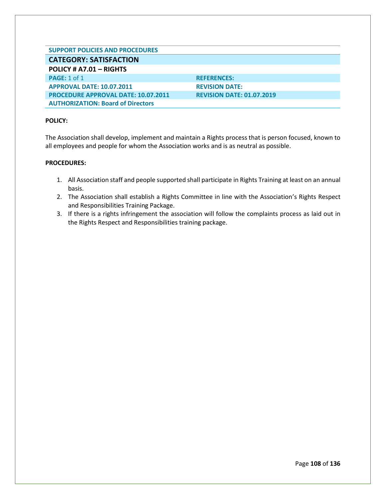| <b>SUPPORT POLICIES AND PROCEDURES</b>     |                                  |
|--------------------------------------------|----------------------------------|
| <b>CATEGORY: SATISFACTION</b>              |                                  |
| POLICY # A7.01 - RIGHTS                    |                                  |
| <b>PAGE: 1 of 1</b>                        | <b>REFERENCES:</b>               |
| <b>APPROVAL DATE: 10.07.2011</b>           | <b>REVISION DATE:</b>            |
| <b>PROCEDURE APPROVAL DATE: 10.07.2011</b> | <b>REVISION DATE: 01.07.2019</b> |
| <b>AUTHORIZATION: Board of Directors</b>   |                                  |

The Association shall develop, implement and maintain a Rights process that is person focused, known to all employees and people for whom the Association works and is as neutral as possible.

## **PROCEDURES:**

- 1. All Association staff and people supported shall participate in Rights Training at least on an annual basis.
- 2. The Association shall establish a Rights Committee in line with the Association's Rights Respect and Responsibilities Training Package.
- 3. If there is a rights infringement the association will follow the complaints process as laid out in the Rights Respect and Responsibilities training package.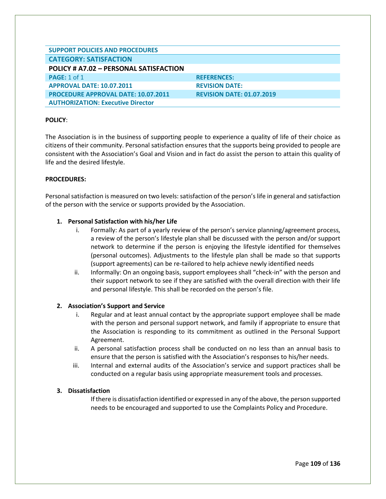| <b>SUPPORT POLICIES AND PROCEDURES</b>     |                                  |
|--------------------------------------------|----------------------------------|
| <b>CATEGORY: SATISFACTION</b>              |                                  |
| POLICY # A7.02 - PERSONAL SATISFACTION     |                                  |
| <b>PAGE: 1 of 1</b>                        | <b>REFERENCES:</b>               |
| <b>APPROVAL DATE: 10.07.2011</b>           | <b>REVISION DATE:</b>            |
| <b>PROCEDURE APPROVAL DATE: 10.07.2011</b> | <b>REVISION DATE: 01.07.2019</b> |
| <b>AUTHORIZATION: Executive Director</b>   |                                  |

The Association is in the business of supporting people to experience a quality of life of their choice as citizens of their community. Personal satisfaction ensures that the supports being provided to people are consistent with the Association's Goal and Vision and in fact do assist the person to attain this quality of life and the desired lifestyle.

## **PROCEDURES:**

Personal satisfaction is measured on two levels: satisfaction of the person's life in general and satisfaction of the person with the service or supports provided by the Association.

# **1. Personal Satisfaction with his/her Life**

- i. Formally: As part of a yearly review of the person's service planning/agreement process, a review of the person's lifestyle plan shall be discussed with the person and/or support network to determine if the person is enjoying the lifestyle identified for themselves (personal outcomes). Adjustments to the lifestyle plan shall be made so that supports (support agreements) can be re-tailored to help achieve newly identified needs
- ii. Informally: On an ongoing basis, support employees shall "check-in" with the person and their support network to see if they are satisfied with the overall direction with their life and personal lifestyle. This shall be recorded on the person's file.

# **2. Association's Support and Service**

- i. Regular and at least annual contact by the appropriate support employee shall be made with the person and personal support network, and family if appropriate to ensure that the Association is responding to its commitment as outlined in the Personal Support Agreement.
- ii. A personal satisfaction process shall be conducted on no less than an annual basis to ensure that the person is satisfied with the Association's responses to his/her needs.
- iii. Internal and external audits of the Association's service and support practices shall be conducted on a regular basis using appropriate measurement tools and processes.

#### **3. Dissatisfaction**

If there is dissatisfaction identified or expressed in any of the above, the person supported needs to be encouraged and supported to use the Complaints Policy and Procedure.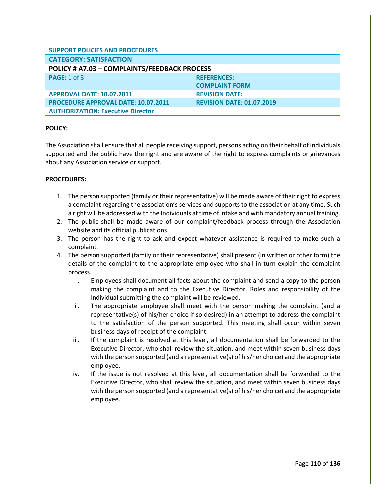| <b>SUPPORT POLICIES AND PROCEDURES</b>       |                                  |
|----------------------------------------------|----------------------------------|
| <b>CATEGORY: SATISFACTION</b>                |                                  |
| POLICY # A7.03 - COMPLAINTS/FEEDBACK PROCESS |                                  |
| <b>PAGE: 1 of 3</b>                          | <b>REFERENCES:</b>               |
|                                              | <b>COMPLAINT FORM</b>            |
| <b>APPROVAL DATE: 10.07.2011</b>             | <b>REVISION DATE:</b>            |
| <b>PROCEDURE APPROVAL DATE: 10.07.2011</b>   | <b>REVISION DATE: 01.07.2019</b> |
| <b>AUTHORIZATION: Executive Director</b>     |                                  |

The Association shall ensure that all people receiving support, persons acting on their behalf of Individuals supported and the public have the right and are aware of the right to express complaints or grievances about any Association service or support.

## **PROCEDURES:**

- 1. The person supported (family or their representative) will be made aware of their right to express a complaint regarding the association's services and supports to the association at any time. Such a right will be addressed with the Individuals at time of intake and with mandatory annual training.
- 2. The public shall be made aware of our complaint/feedback process through the Association website and its official publications.
- 3. The person has the right to ask and expect whatever assistance is required to make such a complaint.
- 4. The person supported (family or their representative) shall present (in written or other form) the details of the complaint to the appropriate employee who shall in turn explain the complaint process.
	- i. Employees shall document all facts about the complaint and send a copy to the person making the complaint and to the Executive Director. Roles and responsibility of the Individual submitting the complaint will be reviewed.
	- ii. The appropriate employee shall meet with the person making the complaint (and a representative(s) of his/her choice if so desired) in an attempt to address the complaint to the satisfaction of the person supported. This meeting shall occur within seven business days of receipt of the complaint.
	- iii. If the complaint is resolved at this level, all documentation shall be forwarded to the Executive Director, who shall review the situation, and meet within seven business days with the person supported (and a representative(s) of his/her choice) and the appropriate employee.
	- iv. If the issue is not resolved at this level, all documentation shall be forwarded to the Executive Director, who shall review the situation, and meet within seven business days with the person supported (and a representative(s) of his/her choice) and the appropriate employee.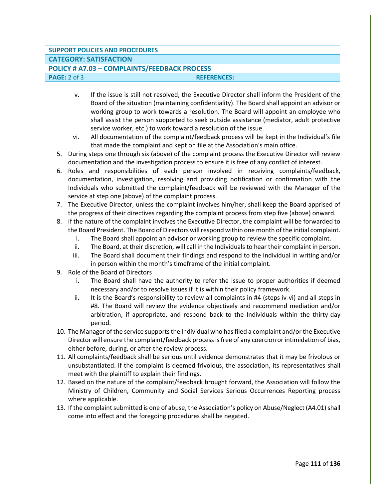## **SUPPORT POLICIES AND PROCEDURES**

## **CATEGORY: SATISFACTION**

## **POLICY # A7.03 – COMPLAINTS/FEEDBACK PROCESS PAGE:** 2 of 3 **REFERENCES:**

- v. If the issue is still not resolved, the Executive Director shall inform the President of the Board of the situation (maintaining confidentiality). The Board shall appoint an advisor or working group to work towards a resolution. The Board will appoint an employee who shall assist the person supported to seek outside assistance (mediator, adult protective service worker, etc.) to work toward a resolution of the issue.
- vi. All documentation of the complaint/feedback process will be kept in the Individual's file that made the complaint and kept on file at the Association's main office.
- 5. During steps one through six (above) of the complaint process the Executive Director will review documentation and the investigation process to ensure it is free of any conflict of interest.
- 6. Roles and responsibilities of each person involved in receiving complaints/feedback, documentation, investigation, resolving and providing notification or confirmation with the Individuals who submitted the complaint/feedback will be reviewed with the Manager of the service at step one (above) of the complaint process.
- 7. The Executive Director, unless the complaint involves him/her, shall keep the Board apprised of the progress of their directives regarding the complaint process from step five (above) onward.
- 8. If the nature of the complaint involves the Executive Director, the complaint will be forwarded to the Board President. The Board of Directors will respond within one month of the initial complaint.
	- i. The Board shall appoint an advisor or working group to review the specific complaint.
	- ii. The Board, at their discretion, will call in the Individuals to hear their complaint in person.
	- iii. The Board shall document their findings and respond to the Individual in writing and/or in person within the month's timeframe of the initial complaint.
- 9. Role of the Board of Directors
	- i. The Board shall have the authority to refer the issue to proper authorities if deemed necessary and/or to resolve issues if it is within their policy framework.
	- ii. It is the Board's responsibility to review all complaints in #4 (steps iv-vi) and all steps in #8. The Board will review the evidence objectively and recommend mediation and/or arbitration, if appropriate, and respond back to the Individuals within the thirty-day period.
- 10. The Manager of the service supports the Individual who has filed a complaint and/or the Executive Director will ensure the complaint/feedback process is free of any coercion or intimidation of bias, either before, during, or after the review process.
- 11. All complaints/feedback shall be serious until evidence demonstrates that it may be frivolous or unsubstantiated. If the complaint is deemed frivolous, the association, its representatives shall meet with the plaintiff to explain their findings.
- 12. Based on the nature of the complaint/feedback brought forward, the Association will follow the Ministry of Children, Community and Social Services Serious Occurrences Reporting process where applicable.
- 13. If the complaint submitted is one of abuse, the Association's policy on Abuse/Neglect (A4.01) shall come into effect and the foregoing procedures shall be negated.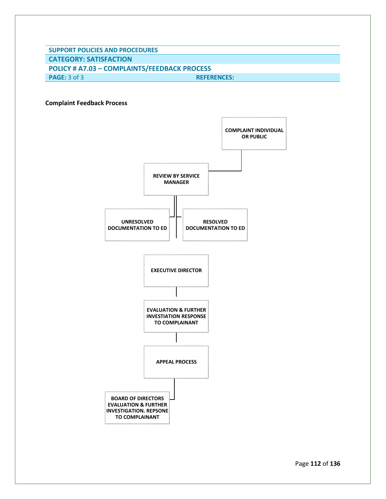**SUPPORT POLICIES AND PROCEDURES**

**CATEGORY: SATISFACTION**

**POLICY # A7.03 – COMPLAINTS/FEEDBACK PROCESS PAGE:** 3 of 3 **REFERENCES:**

**Complaint Feedback Process**



Page **112** of **136**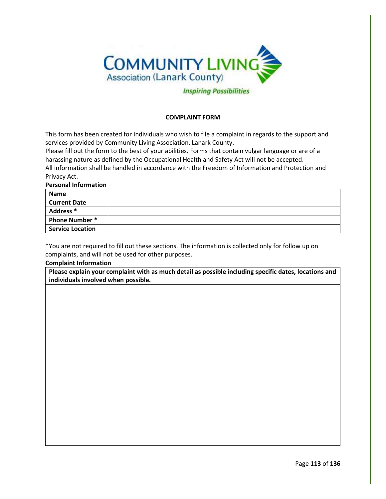

## **COMPLAINT FORM**

This form has been created for Individuals who wish to file a complaint in regards to the support and services provided by Community Living Association, Lanark County.

Please fill out the form to the best of your abilities. Forms that contain vulgar language or are of a harassing nature as defined by the Occupational Health and Safety Act will not be accepted. All information shall be handled in accordance with the Freedom of Information and Protection and Privacy Act.

**Personal Information**

| <b>Name</b>             |  |
|-------------------------|--|
| <b>Current Date</b>     |  |
| Address <sup>*</sup>    |  |
| <b>Phone Number*</b>    |  |
| <b>Service Location</b> |  |

\*You are not required to fill out these sections. The information is collected only for follow up on complaints, and will not be used for other purposes.

**Complaint Information**

**Please explain your complaint with as much detail as possible including specific dates, locations and individuals involved when possible.**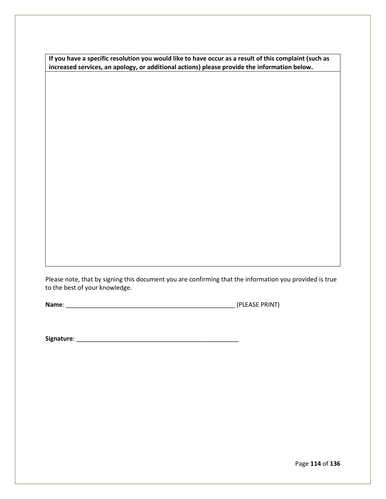**If you have a specific resolution you would like to have occur as a result of this complaint (such as increased services, an apology, or additional actions) please provide the information below.**

Please note, that by signing this document you are confirming that the information you provided is true to the best of your knowledge.

**Name**: \_\_\_\_\_\_\_\_\_\_\_\_\_\_\_\_\_\_\_\_\_\_\_\_\_\_\_\_\_\_\_\_\_\_\_\_\_\_\_\_\_\_\_\_\_\_\_\_\_ (PLEASE PRINT)

**Signature**: \_\_\_\_\_\_\_\_\_\_\_\_\_\_\_\_\_\_\_\_\_\_\_\_\_\_\_\_\_\_\_\_\_\_\_\_\_\_\_\_\_\_\_\_\_\_\_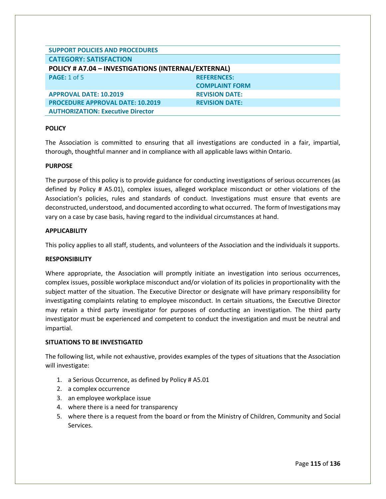| <b>SUPPORT POLICIES AND PROCEDURES</b>              |                       |
|-----------------------------------------------------|-----------------------|
| <b>CATEGORY: SATISFACTION</b>                       |                       |
| POLICY # A7.04 - INVESTIGATIONS (INTERNAL/EXTERNAL) |                       |
| <b>PAGE: 1 of 5</b>                                 | <b>REFERENCES:</b>    |
|                                                     | <b>COMPLAINT FORM</b> |
| <b>APPROVAL DATE: 10.2019</b>                       | <b>REVISION DATE:</b> |
| <b>PROCEDURE APPROVAL DATE: 10.2019</b>             | <b>REVISION DATE:</b> |
| <b>AUTHORIZATION: Executive Director</b>            |                       |

The Association is committed to ensuring that all investigations are conducted in a fair, impartial, thorough, thoughtful manner and in compliance with all applicable laws within Ontario.

## **PURPOSE**

The purpose of this policy is to provide guidance for conducting investigations of serious occurrences (as defined by Policy # A5.01), complex issues, alleged workplace misconduct or other violations of the Association's policies, rules and standards of conduct. Investigations must ensure that events are deconstructed, understood, and documented according to what occurred. The form of Investigations may vary on a case by case basis, having regard to the individual circumstances at hand.

#### **APPLICABILITY**

This policy applies to all staff, students, and volunteers of the Association and the individuals it supports.

#### **RESPONSIBILITY**

Where appropriate, the Association will promptly initiate an investigation into serious occurrences, complex issues, possible workplace misconduct and/or violation of its policies in proportionality with the subject matter of the situation. The Executive Director or designate will have primary responsibility for investigating complaints relating to employee misconduct. In certain situations, the Executive Director may retain a third party investigator for purposes of conducting an investigation. The third party investigator must be experienced and competent to conduct the investigation and must be neutral and impartial.

#### **SITUATIONS TO BE INVESTIGATED**

The following list, while not exhaustive, provides examples of the types of situations that the Association will investigate:

- 1. a Serious Occurrence, as defined by Policy # A5.01
- 2. a complex occurrence
- 3. an employee workplace issue
- 4. where there is a need for transparency
- 5. where there is a request from the board or from the Ministry of Children, Community and Social Services.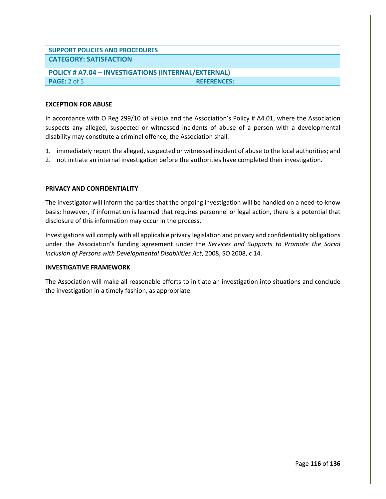# **SUPPORT POLICIES AND PROCEDURES CATEGORY: SATISFACTION**

# **POLICY # A7.04 – INVESTIGATIONS (INTERNAL/EXTERNAL) PAGE:** 2 of 5 **REFERENCES:**

## **EXCEPTION FOR ABUSE**

In accordance with O Reg 299/10 of SIPDDA and the Association's Policy # A4.01, where the Association suspects any alleged, suspected or witnessed incidents of abuse of a person with a developmental disability may constitute a criminal offence, the Association shall:

- 1. immediately report the alleged, suspected or witnessed incident of abuse to the local authorities; and
- 2. not initiate an internal investigation before the authorities have completed their investigation.

## **PRIVACY AND CONFIDENTIALITY**

The investigator will inform the parties that the ongoing investigation will be handled on a need-to-know basis; however, if information is learned that requires personnel or legal action, there is a potential that disclosure of this information may occur in the process.

Investigations will comply with all applicable privacy legislation and privacy and confidentiality obligations under the Association's funding agreement under the *Services and Supports to Promote the Social Inclusion of Persons with Developmental Disabilities Act*, 2008, SO 2008, c 14.

#### **INVESTIGATIVE FRAMEWORK**

The Association will make all reasonable efforts to initiate an investigation into situations and conclude the investigation in a timely fashion, as appropriate.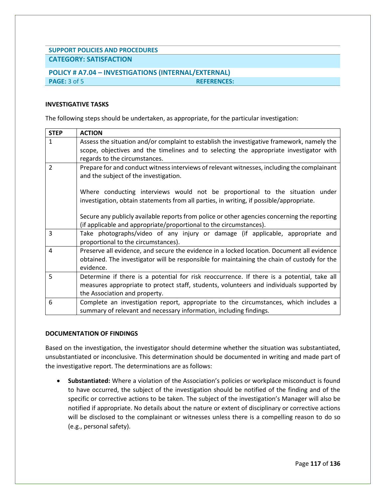# **SUPPORT POLICIES AND PROCEDURES**

# **CATEGORY: SATISFACTION**

# **POLICY # A7.04 – INVESTIGATIONS (INTERNAL/EXTERNAL) PAGE:** 3 of 5 **REFERENCES:**

## **INVESTIGATIVE TASKS**

The following steps should be undertaken, as appropriate, for the particular investigation:

| <b>STEP</b>   | <b>ACTION</b>                                                                                |
|---------------|----------------------------------------------------------------------------------------------|
| $\mathbf{1}$  | Assess the situation and/or complaint to establish the investigative framework, namely the   |
|               | scope, objectives and the timelines and to selecting the appropriate investigator with       |
|               | regards to the circumstances.                                                                |
| $\mathcal{P}$ | Prepare for and conduct witness interviews of relevant witnesses, including the complainant  |
|               | and the subject of the investigation.                                                        |
|               |                                                                                              |
|               | Where conducting interviews would not be proportional to the situation under                 |
|               | investigation, obtain statements from all parties, in writing, if possible/appropriate.      |
|               |                                                                                              |
|               | Secure any publicly available reports from police or other agencies concerning the reporting |
|               | (if applicable and appropriate/proportional to the circumstances).                           |
| 3             | Take photographs/video of any injury or damage (if applicable, appropriate and               |
|               | proportional to the circumstances).                                                          |
| 4             | Preserve all evidence, and secure the evidence in a locked location. Document all evidence   |
|               | obtained. The investigator will be responsible for maintaining the chain of custody for the  |
|               | evidence.                                                                                    |
| 5             | Determine if there is a potential for risk reoccurrence. If there is a potential, take all   |
|               | measures appropriate to protect staff, students, volunteers and individuals supported by     |
|               | the Association and property.                                                                |
| 6             | Complete an investigation report, appropriate to the circumstances, which includes a         |
|               | summary of relevant and necessary information, including findings.                           |

#### **DOCUMENTATION OF FINDINGS**

Based on the investigation, the investigator should determine whether the situation was substantiated, unsubstantiated or inconclusive. This determination should be documented in writing and made part of the investigative report. The determinations are as follows:

• **Substantiated:** Where a violation of the Association's policies or workplace misconduct is found to have occurred, the subject of the investigation should be notified of the finding and of the specific or corrective actions to be taken. The subject of the investigation's Manager will also be notified if appropriate. No details about the nature or extent of disciplinary or corrective actions will be disclosed to the complainant or witnesses unless there is a compelling reason to do so (e.g., personal safety).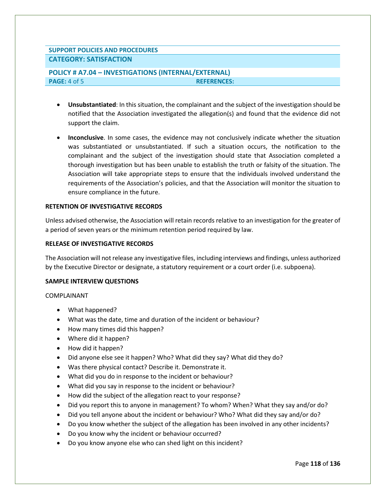# **SUPPORT POLICIES AND PROCEDURES CATEGORY: SATISFACTION**

# **POLICY # A7.04 – INVESTIGATIONS (INTERNAL/EXTERNAL) PAGE:** 4 of 5 **REFERENCES:**

- **Unsubstantiated**: In this situation, the complainant and the subject of the investigation should be notified that the Association investigated the allegation(s) and found that the evidence did not support the claim.
- **Inconclusive**. In some cases, the evidence may not conclusively indicate whether the situation was substantiated or unsubstantiated. If such a situation occurs, the notification to the complainant and the subject of the investigation should state that Association completed a thorough investigation but has been unable to establish the truth or falsity of the situation. The Association will take appropriate steps to ensure that the individuals involved understand the requirements of the Association's policies, and that the Association will monitor the situation to ensure compliance in the future.

## **RETENTION OF INVESTIGATIVE RECORDS**

Unless advised otherwise, the Association will retain records relative to an investigation for the greater of a period of seven years or the minimum retention period required by law.

# **RELEASE OF INVESTIGATIVE RECORDS**

The Association will not release any investigative files, including interviews and findings, unless authorized by the Executive Director or designate, a statutory requirement or a court order (i.e. subpoena).

#### **SAMPLE INTERVIEW QUESTIONS**

COMPLAINANT

- What happened?
- What was the date, time and duration of the incident or behaviour?
- How many times did this happen?
- Where did it happen?
- How did it happen?
- Did anyone else see it happen? Who? What did they say? What did they do?
- Was there physical contact? Describe it. Demonstrate it.
- What did you do in response to the incident or behaviour?
- What did you say in response to the incident or behaviour?
- How did the subject of the allegation react to your response?
- Did you report this to anyone in management? To whom? When? What they say and/or do?
- Did you tell anyone about the incident or behaviour? Who? What did they say and/or do?
- Do you know whether the subject of the allegation has been involved in any other incidents?
- Do you know why the incident or behaviour occurred?
- Do you know anyone else who can shed light on this incident?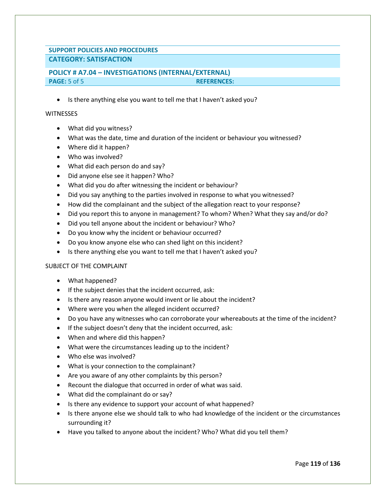# **SUPPORT POLICIES AND PROCEDURES CATEGORY: SATISFACTION**

# **POLICY # A7.04 – INVESTIGATIONS (INTERNAL/EXTERNAL) PAGE:** 5 of 5 **REFERENCES:**

• Is there anything else you want to tell me that I haven't asked you?

## **WITNESSES**

- What did you witness?
- What was the date, time and duration of the incident or behaviour you witnessed?
- Where did it happen?
- Who was involved?
- What did each person do and say?
- Did anyone else see it happen? Who?
- What did you do after witnessing the incident or behaviour?
- Did you say anything to the parties involved in response to what you witnessed?
- How did the complainant and the subject of the allegation react to your response?
- Did you report this to anyone in management? To whom? When? What they say and/or do?
- Did you tell anyone about the incident or behaviour? Who?
- Do you know why the incident or behaviour occurred?
- Do you know anyone else who can shed light on this incident?
- Is there anything else you want to tell me that I haven't asked you?

# SUBJECT OF THE COMPLAINT

- What happened?
- If the subject denies that the incident occurred, ask:
- Is there any reason anyone would invent or lie about the incident?
- Where were you when the alleged incident occurred?
- Do you have any witnesses who can corroborate your whereabouts at the time of the incident?
- If the subject doesn't deny that the incident occurred, ask:
- When and where did this happen?
- What were the circumstances leading up to the incident?
- Who else was involved?
- What is your connection to the complainant?
- Are you aware of any other complaints by this person?
- Recount the dialogue that occurred in order of what was said.
- What did the complainant do or say?
- Is there any evidence to support your account of what happened?
- Is there anyone else we should talk to who had knowledge of the incident or the circumstances surrounding it?
- Have you talked to anyone about the incident? Who? What did you tell them?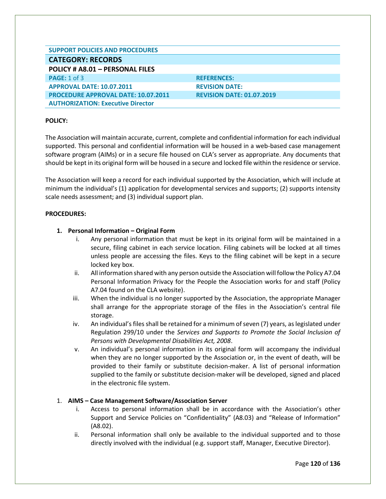| <b>SUPPORT POLICIES AND PROCEDURES</b>     |                                  |
|--------------------------------------------|----------------------------------|
| <b>CATEGORY: RECORDS</b>                   |                                  |
| POLICY # A8.01 - PERSONAL FILES            |                                  |
| <b>PAGE: 1 of 3</b>                        | <b>REFERENCES:</b>               |
| <b>APPROVAL DATE: 10.07.2011</b>           | <b>REVISION DATE:</b>            |
| <b>PROCEDURE APPROVAL DATE: 10.07.2011</b> | <b>REVISION DATE: 01.07.2019</b> |
| <b>AUTHORIZATION: Executive Director</b>   |                                  |

The Association will maintain accurate, current, complete and confidential information for each individual supported. This personal and confidential information will be housed in a web-based case management software program (AIMs) or in a secure file housed on CLA's server as appropriate. Any documents that should be kept in its original form will be housed in a secure and locked file within the residence or service.

The Association will keep a record for each individual supported by the Association, which will include at minimum the individual's (1) application for developmental services and supports; (2) supports intensity scale needs assessment; and (3) individual support plan.

# **PROCEDURES:**

# **1. Personal Information – Original Form**

- i. Any personal information that must be kept in its original form will be maintained in a secure, filing cabinet in each service location. Filing cabinets will be locked at all times unless people are accessing the files. Keys to the filing cabinet will be kept in a secure locked key box.
- ii. All information shared with any person outside the Association will follow the Policy A7.04 Personal Information Privacy for the People the Association works for and staff (Policy A7.04 found on the CLA website).
- iii. When the individual is no longer supported by the Association, the appropriate Manager shall arrange for the appropriate storage of the files in the Association's central file storage.
- iv. An individual's files shall be retained for a minimum of seven (7) years, as legislated under Regulation 299/10 under the *Services and Supports to Promote the Social Inclusion of Persons with Developmental Disabilities Act, 2008*.
- v. An individual's personal information in its original form will accompany the individual when they are no longer supported by the Association or, in the event of death, will be provided to their family or substitute decision-maker. A list of personal information supplied to the family or substitute decision-maker will be developed, signed and placed in the electronic file system.

# 1. **AIMS – Case Management Software/Association Server**

- i. Access to personal information shall be in accordance with the Association's other Support and Service Policies on "Confidentiality" (A8.03) and "Release of Information" (A8.02).
- ii. Personal information shall only be available to the individual supported and to those directly involved with the individual (e.g. support staff, Manager, Executive Director).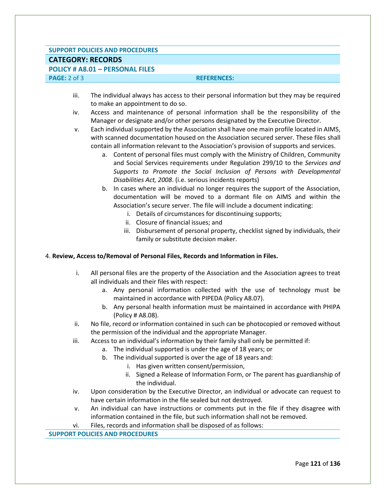#### **SUPPORT POLICIES AND PROCEDURES**

# **CATEGORY: RECORDS**

# **POLICY # A8.01 – PERSONAL FILES**

## **PAGE:** 2 of 3 **REFERENCES:**

- iii. The individual always has access to their personal information but they may be required to make an appointment to do so.
- iv. Access and maintenance of personal information shall be the responsibility of the Manager or designate and/or other persons designated by the Executive Director.
- v. Each individual supported by the Association shall have one main profile located in AIMS, with scanned documentation housed on the Association secured server. These files shall contain all information relevant to the Association's provision of supports and services.
	- a. Content of personal files must comply with the Ministry of Children, Community and Social Services requirements under Regulation 299/10 to the *Services and Supports to Promote the Social Inclusion of Persons with Developmental Disabilities Act, 2008*. (i.e. serious incidents reports)
	- b. In cases where an individual no longer requires the support of the Association, documentation will be moved to a dormant file on AIMS and within the Association's secure server. The file will include a document indicating:
		- i. Details of circumstances for discontinuing supports;
		- ii. Closure of financial issues; and
		- iii. Disbursement of personal property, checklist signed by individuals, their family or substitute decision maker.

# 4. **Review, Access to/Removal of Personal Files, Records and Information in Files.**

- i. All personal files are the property of the Association and the Association agrees to treat all individuals and their files with respect:
	- a. Any personal information collected with the use of technology must be maintained in accordance with PIPEDA (Policy A8.07).
	- b. Any personal health information must be maintained in accordance with PHIPA (Policy # A8.08).
- ii. No file, record or information contained in such can be photocopied or removed without the permission of the individual and the appropriate Manager.
- iii. Access to an individual's information by their family shall only be permitted if:
	- a. The individual supported is under the age of 18 years; or
		- b. The individual supported is over the age of 18 years and:
			- i. Has given written consent/permission,
			- ii. Signed a Release of Information Form, or The parent has guardianship of the individual.
- iv. Upon consideration by the Executive Director, an individual or advocate can request to have certain information in the file sealed but not destroyed.
- v. An individual can have instructions or comments put in the file if they disagree with information contained in the file, but such information shall not be removed.
- vi. Files, records and information shall be disposed of as follows:

**SUPPORT POLICIES AND PROCEDURES**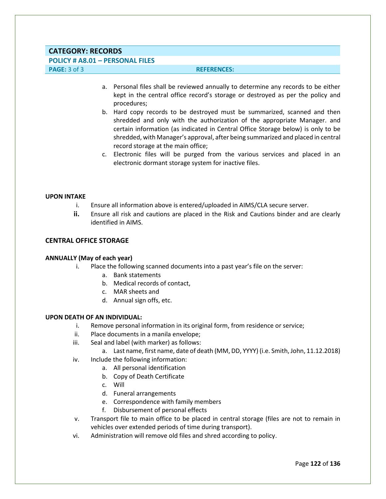# **CATEGORY: RECORDS**

# **POLICY # A8.01 – PERSONAL FILES**

## **PAGE:** 3 of 3 **REFERENCES:**

- a. Personal files shall be reviewed annually to determine any records to be either kept in the central office record's storage or destroyed as per the policy and procedures;
- b. Hard copy records to be destroyed must be summarized, scanned and then shredded and only with the authorization of the appropriate Manager. and certain information (as indicated in Central Office Storage below) is only to be shredded, with Manager's approval, after being summarized and placed in central record storage at the main office;
- c. Electronic files will be purged from the various services and placed in an electronic dormant storage system for inactive files.

#### **UPON INTAKE**

- i. Ensure all information above is entered/uploaded in AIMS/CLA secure server.
- **ii.** Ensure all risk and cautions are placed in the Risk and Cautions binder and are clearly identified in AIMS.

## **CENTRAL OFFICE STORAGE**

#### **ANNUALLY (May of each year)**

- i. Place the following scanned documents into a past year's file on the server:
	- a. Bank statements
	- b. Medical records of contact,
	- c. MAR sheets and
	- d. Annual sign offs, etc.

#### **UPON DEATH OF AN INDIVIDUAL:**

- i. Remove personal information in its original form, from residence or service;
- ii. Place documents in a manila envelope;
- iii. Seal and label (with marker) as follows:
	- a. Last name, first name, date of death (MM, DD, YYYY) (i.e. Smith, John, 11.12.2018)
- iv. Include the following information:
	- a. All personal identification
	- b. Copy of Death Certificate
	- c. Will
	- d. Funeral arrangements
	- e. Correspondence with family members
	- f. Disbursement of personal effects
- v. Transport file to main office to be placed in central storage (files are not to remain in vehicles over extended periods of time during transport).
- vi. Administration will remove old files and shred according to policy.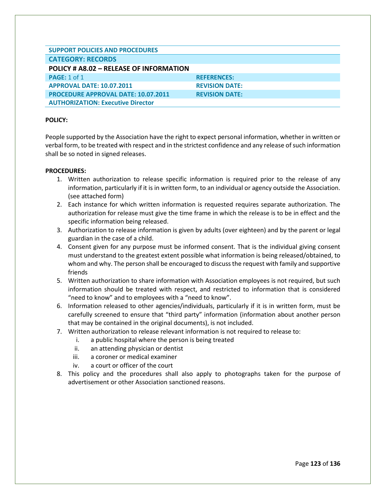| <b>SUPPORT POLICIES AND PROCEDURES</b>     |                       |
|--------------------------------------------|-----------------------|
| <b>CATEGORY: RECORDS</b>                   |                       |
| POLICY # A8.02 - RELEASE OF INFORMATION    |                       |
| <b>PAGE: 1 of 1</b>                        | <b>REFERENCES:</b>    |
| <b>APPROVAL DATE: 10.07.2011</b>           | <b>REVISION DATE:</b> |
| <b>PROCEDURE APPROVAL DATE: 10.07.2011</b> | <b>REVISION DATE:</b> |
| <b>AUTHORIZATION: Executive Director</b>   |                       |

People supported by the Association have the right to expect personal information, whether in written or verbal form, to be treated with respect and in the strictest confidence and any release of such information shall be so noted in signed releases.

## **PROCEDURES:**

- 1. Written authorization to release specific information is required prior to the release of any information, particularly if it is in written form, to an individual or agency outside the Association. (see attached form)
- 2. Each instance for which written information is requested requires separate authorization. The authorization for release must give the time frame in which the release is to be in effect and the specific information being released.
- 3. Authorization to release information is given by adults (over eighteen) and by the parent or legal guardian in the case of a child.
- 4. Consent given for any purpose must be informed consent. That is the individual giving consent must understand to the greatest extent possible what information is being released/obtained, to whom and why. The person shall be encouraged to discuss the request with family and supportive friends
- 5. Written authorization to share information with Association employees is not required, but such information should be treated with respect, and restricted to information that is considered "need to know" and to employees with a "need to know".
- 6. Information released to other agencies/individuals, particularly if it is in written form, must be carefully screened to ensure that "third party" information (information about another person that may be contained in the original documents), is not included.
- 7. Written authorization to release relevant information is not required to release to:
	- i. a public hospital where the person is being treated
	- ii. an attending physician or dentist
	- iii. a coroner or medical examiner
	- iv. a court or officer of the court
- 8. This policy and the procedures shall also apply to photographs taken for the purpose of advertisement or other Association sanctioned reasons.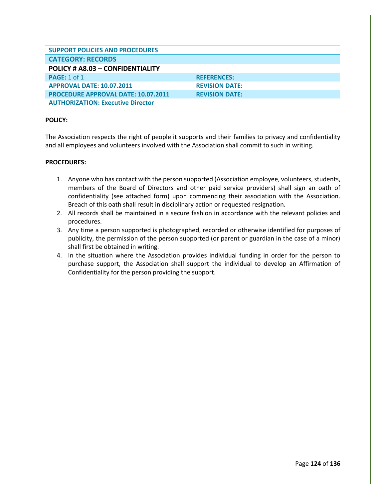| <b>SUPPORT POLICIES AND PROCEDURES</b>     |                       |
|--------------------------------------------|-----------------------|
| <b>CATEGORY: RECORDS</b>                   |                       |
| POLICY # A8.03 - CONFIDENTIALITY           |                       |
| <b>PAGE: 1 of 1</b>                        | <b>REFERENCES:</b>    |
| <b>APPROVAL DATE: 10.07.2011</b>           | <b>REVISION DATE:</b> |
| <b>PROCEDURE APPROVAL DATE: 10.07.2011</b> | <b>REVISION DATE:</b> |
| <b>AUTHORIZATION: Executive Director</b>   |                       |

The Association respects the right of people it supports and their families to privacy and confidentiality and all employees and volunteers involved with the Association shall commit to such in writing.

## **PROCEDURES:**

- 1. Anyone who has contact with the person supported (Association employee, volunteers, students, members of the Board of Directors and other paid service providers) shall sign an oath of confidentiality (see attached form) upon commencing their association with the Association. Breach of this oath shall result in disciplinary action or requested resignation.
- 2. All records shall be maintained in a secure fashion in accordance with the relevant policies and procedures.
- 3. Any time a person supported is photographed, recorded or otherwise identified for purposes of publicity, the permission of the person supported (or parent or guardian in the case of a minor) shall first be obtained in writing.
- 4. In the situation where the Association provides individual funding in order for the person to purchase support, the Association shall support the individual to develop an Affirmation of Confidentiality for the person providing the support.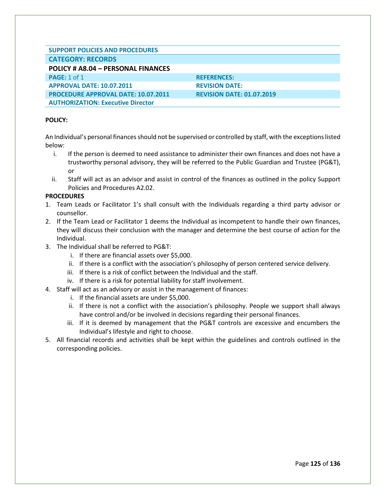| <b>SUPPORT POLICIES AND PROCEDURES</b>     |                                  |
|--------------------------------------------|----------------------------------|
| <b>CATEGORY: RECORDS</b>                   |                                  |
| POLICY # A8.04 - PERSONAL FINANCES         |                                  |
| <b>PAGE: 1 of 1</b>                        | <b>REFERENCES:</b>               |
| <b>APPROVAL DATE: 10.07.2011</b>           | <b>REVISION DATE:</b>            |
| <b>PROCEDURE APPROVAL DATE: 10.07.2011</b> | <b>REVISION DATE: 01.07.2019</b> |
| <b>AUTHORIZATION: Executive Director</b>   |                                  |

An Individual's personal finances should not be supervised or controlled by staff, with the exceptions listed below:

- i. If the person is deemed to need assistance to administer their own finances and does not have a trustworthy personal advisory, they will be referred to the Public Guardian and Trustee (PG&T), or
- ii. Staff will act as an advisor and assist in control of the finances as outlined in the policy Support Policies and Procedures A2.02.

## **PROCEDURES**

- 1. Team Leads or Facilitator 1's shall consult with the Individuals regarding a third party advisor or counsellor.
- 2. If the Team Lead or Facilitator 1 deems the Individual as incompetent to handle their own finances, they will discuss their conclusion with the manager and determine the best course of action for the Individual.
- 3. The Individual shall be referred to PG&T:
	- i. If there are financial assets over \$5,000.
	- ii. If there is a conflict with the association's philosophy of person centered service delivery.
	- iii. If there is a risk of conflict between the Individual and the staff.
	- iv. If there is a risk for potential liability for staff involvement.
- 4. Staff will act as an advisory or assist in the management of finances:
	- i. If the financial assets are under \$5,000.
	- ii. If there is not a conflict with the association's philosophy. People we support shall always have control and/or be involved in decisions regarding their personal finances.
	- iii. If it is deemed by management that the PG&T controls are excessive and encumbers the Individual's lifestyle and right to choose.
- 5. All financial records and activities shall be kept within the guidelines and controls outlined in the corresponding policies.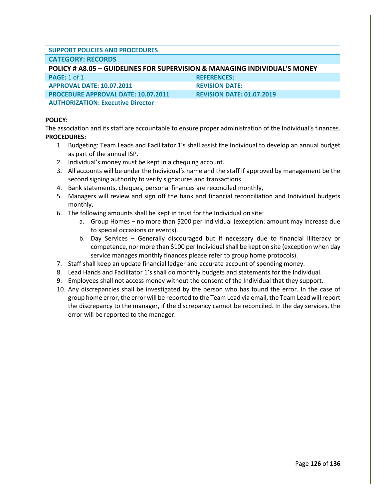| <b>SUPPORT POLICIES AND PROCEDURES</b> |  |
|----------------------------------------|--|
| CATECODY, BECODDC                      |  |

# **CATEGORY: RECORDS POLICY # A8.05 – GUIDELINES FOR SUPERVISION & MANAGING INDIVIDUAL'S MONEY PAGE:** 1 of 1 **REFERENCES: APPROVAL DATE: 10.07.2011 REVISION DATE: PROCEDURE APPROVAL DATE: 10.07.2011 REVISION DATE: 01.07.2019 AUTHORIZATION: Executive Director**

## **POLICY:**

The association and its staff are accountable to ensure proper administration of the Individual's finances. **PROCEDURES:**

- 1. Budgeting: Team Leads and Facilitator 1's shall assist the Individual to develop an annual budget as part of the annual ISP.
- 2. Individual's money must be kept in a chequing account.
- 3. All accounts will be under the Individual's name and the staff if approved by management be the second signing authority to verify signatures and transactions.
- 4. Bank statements, cheques, personal finances are reconciled monthly,
- 5. Managers will review and sign off the bank and financial reconciliation and Individual budgets monthly.
- 6. The following amounts shall be kept in trust for the Individual on site:
	- a. Group Homes no more than \$200 per Individual (exception: amount may increase due to special occasions or events).
	- b. Day Services Generally discouraged but if necessary due to financial illiteracy or competence, nor more than \$100 per Individual shall be kept on site (exception when day service manages monthly finances please refer to group home protocols).
- 7. Staff shall keep an update financial ledger and accurate account of spending money.
- 8. Lead Hands and Facilitator 1's shall do monthly budgets and statements for the Individual.
- 9. Employees shall not access money without the consent of the Individual that they support.
- 10. Any discrepancies shall be investigated by the person who has found the error. In the case of group home error, the error will be reported to the Team Lead via email, the Team Lead will report the discrepancy to the manager, if the discrepancy cannot be reconciled. In the day services, the error will be reported to the manager.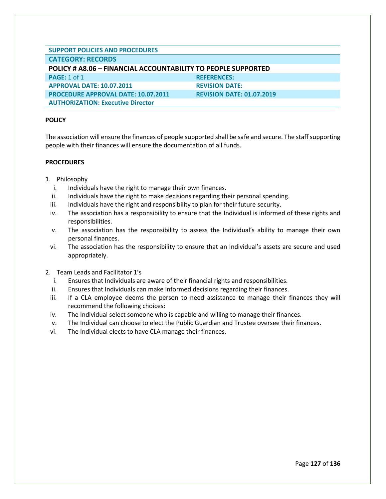| <b>SUPPORT POLICIES AND PROCEDURES</b>                               |                                  |
|----------------------------------------------------------------------|----------------------------------|
| <b>CATEGORY: RECORDS</b>                                             |                                  |
| <b>POLICY # A8.06 - FINANCIAL ACCOUNTABILITY TO PEOPLE SUPPORTED</b> |                                  |
| <b>PAGE: 1 of 1</b>                                                  | <b>REFERENCES:</b>               |
| <b>APPROVAL DATE: 10.07.2011</b>                                     | <b>REVISION DATE:</b>            |
| <b>PROCEDURE APPROVAL DATE: 10.07.2011</b>                           | <b>REVISION DATE: 01.07.2019</b> |
| <b>AUTHORIZATION: Executive Director</b>                             |                                  |

The association will ensure the finances of people supported shall be safe and secure. The staff supporting people with their finances will ensure the documentation of all funds.

#### **PROCEDURES**

- 1. Philosophy
	- i. Individuals have the right to manage their own finances.
	- ii. Individuals have the right to make decisions regarding their personal spending.
	- iii. Individuals have the right and responsibility to plan for their future security.
	- iv. The association has a responsibility to ensure that the Individual is informed of these rights and responsibilities.
	- v. The association has the responsibility to assess the Individual's ability to manage their own personal finances.
	- vi. The association has the responsibility to ensure that an Individual's assets are secure and used appropriately.
- 2. Team Leads and Facilitator 1's
	- i. Ensures that Individuals are aware of their financial rights and responsibilities.
	- ii. Ensures that Individuals can make informed decisions regarding their finances.
	- iii. If a CLA employee deems the person to need assistance to manage their finances they will recommend the following choices:
	- iv. The Individual select someone who is capable and willing to manage their finances.
	- v. The Individual can choose to elect the Public Guardian and Trustee oversee their finances.
	- vi. The Individual elects to have CLA manage their finances.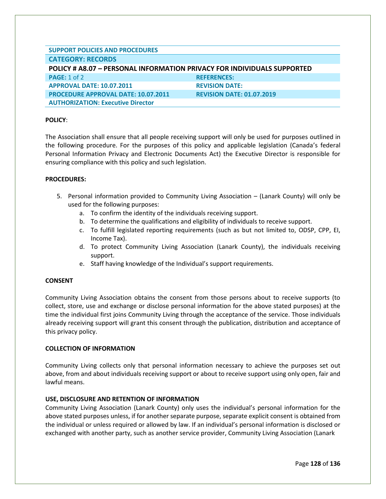| <b>SUPPORT POLICIES AND PROCEDURES</b>                                         |                                  |  |
|--------------------------------------------------------------------------------|----------------------------------|--|
| <b>CATEGORY: RECORDS</b>                                                       |                                  |  |
| <b>POLICY # A8.07 - PERSONAL INFORMATION PRIVACY FOR INDIVIDUALS SUPPORTED</b> |                                  |  |
| <b>PAGE: 1 of 2</b>                                                            | <b>REFERENCES:</b>               |  |
| <b>APPROVAL DATE: 10.07.2011</b>                                               | <b>REVISION DATE:</b>            |  |
| <b>PROCEDURE APPROVAL DATE: 10.07.2011</b>                                     | <b>REVISION DATE: 01.07.2019</b> |  |
| <b>AUTHORIZATION: Executive Director</b>                                       |                                  |  |

The Association shall ensure that all people receiving support will only be used for purposes outlined in the following procedure. For the purposes of this policy and applicable legislation (Canada's federal Personal Information Privacy and Electronic Documents Act) the Executive Director is responsible for ensuring compliance with this policy and such legislation.

#### **PROCEDURES:**

- 5. Personal information provided to Community Living Association (Lanark County) will only be used for the following purposes:
	- a. To confirm the identity of the individuals receiving support.
	- b. To determine the qualifications and eligibility of individuals to receive support.
	- c. To fulfill legislated reporting requirements (such as but not limited to, ODSP, CPP, EI, Income Tax).
	- d. To protect Community Living Association (Lanark County), the individuals receiving support.
	- e. Staff having knowledge of the Individual's support requirements.

# **CONSENT**

Community Living Association obtains the consent from those persons about to receive supports (to collect, store, use and exchange or disclose personal information for the above stated purposes) at the time the individual first joins Community Living through the acceptance of the service. Those individuals already receiving support will grant this consent through the publication, distribution and acceptance of this privacy policy.

# **COLLECTION OF INFORMATION**

Community Living collects only that personal information necessary to achieve the purposes set out above, from and about individuals receiving support or about to receive support using only open, fair and lawful means.

# **USE, DISCLOSURE AND RETENTION OF INFORMATION**

Community Living Association (Lanark County) only uses the individual's personal information for the above stated purposes unless, if for another separate purpose, separate explicit consent is obtained from the individual or unless required or allowed by law. If an individual's personal information is disclosed or exchanged with another party, such as another service provider, Community Living Association (Lanark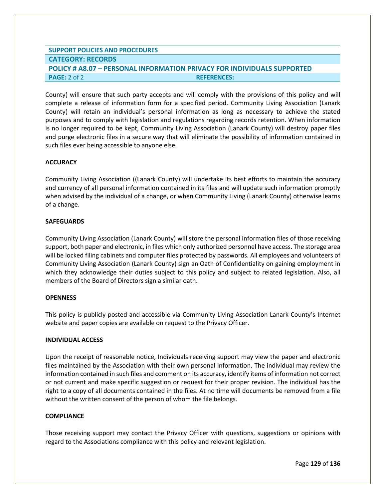# **SUPPORT POLICIES AND PROCEDURES CATEGORY: RECORDS POLICY # A8.07 – PERSONAL INFORMATION PRIVACY FOR INDIVIDUALS SUPPORTED PAGE:** 2 of 2 **REFERENCES:**

County) will ensure that such party accepts and will comply with the provisions of this policy and will complete a release of information form for a specified period. Community Living Association (Lanark County) will retain an individual's personal information as long as necessary to achieve the stated purposes and to comply with legislation and regulations regarding records retention. When information is no longer required to be kept, Community Living Association (Lanark County) will destroy paper files and purge electronic files in a secure way that will eliminate the possibility of information contained in such files ever being accessible to anyone else.

## **ACCURACY**

Community Living Association ((Lanark County) will undertake its best efforts to maintain the accuracy and currency of all personal information contained in its files and will update such information promptly when advised by the individual of a change, or when Community Living (Lanark County) otherwise learns of a change.

## **SAFEGUARDS**

Community Living Association (Lanark County) will store the personal information files of those receiving support, both paper and electronic, in files which only authorized personnel have access. The storage area will be locked filing cabinets and computer files protected by passwords. All employees and volunteers of Community Living Association (Lanark County) sign an Oath of Confidentiality on gaining employment in which they acknowledge their duties subject to this policy and subject to related legislation. Also, all members of the Board of Directors sign a similar oath.

# **OPENNESS**

This policy is publicly posted and accessible via Community Living Association Lanark County's Internet website and paper copies are available on request to the Privacy Officer.

#### **INDIVIDUAL ACCESS**

Upon the receipt of reasonable notice, Individuals receiving support may view the paper and electronic files maintained by the Association with their own personal information. The individual may review the information contained in such files and comment on its accuracy, identify items of information not correct or not current and make specific suggestion or request for their proper revision. The individual has the right to a copy of all documents contained in the files. At no time will documents be removed from a file without the written consent of the person of whom the file belongs.

#### **COMPLIANCE**

Those receiving support may contact the Privacy Officer with questions, suggestions or opinions with regard to the Associations compliance with this policy and relevant legislation.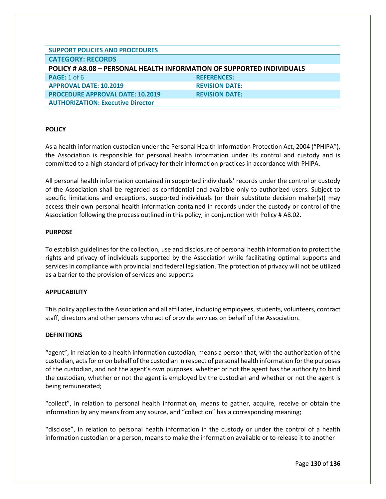| <b>SUPPORT POLICIES AND PROCEDURES</b>                                |                       |  |
|-----------------------------------------------------------------------|-----------------------|--|
| <b>CATEGORY: RECORDS</b>                                              |                       |  |
| POLICY # A8.08 - PERSONAL HEALTH INFORMATION OF SUPPORTED INDIVIDUALS |                       |  |
| <b>PAGE: 1 of 6</b>                                                   | <b>REFERENCES:</b>    |  |
| <b>APPROVAL DATE: 10.2019</b>                                         | <b>REVISION DATE:</b> |  |
| <b>PROCEDURE APPROVAL DATE: 10.2019</b>                               | <b>REVISION DATE:</b> |  |
| <b>AUTHORIZATION: Executive Director</b>                              |                       |  |

As a health information custodian under the Personal Health Information Protection Act, 2004 ("PHIPA"), the Association is responsible for personal health information under its control and custody and is committed to a high standard of privacy for their information practices in accordance with PHIPA.

All personal health information contained in supported individuals' records under the control or custody of the Association shall be regarded as confidential and available only to authorized users. Subject to specific limitations and exceptions, supported individuals (or their substitute decision maker(s)) may access their own personal health information contained in records under the custody or control of the Association following the process outlined in this policy, in conjunction with Policy # A8.02.

## **PURPOSE**

To establish guidelines for the collection, use and disclosure of personal health information to protect the rights and privacy of individuals supported by the Association while facilitating optimal supports and services in compliance with provincial and federal legislation. The protection of privacy will not be utilized as a barrier to the provision of services and supports.

#### **APPLICABILITY**

This policy applies to the Association and all affiliates, including employees, students, volunteers, contract staff, directors and other persons who act of provide services on behalf of the Association.

#### **DEFINITIONS**

"agent", in relation to a health information custodian, means a person that, with the authorization of the custodian, acts for or on behalf of the custodian in respect of personal health information for the purposes of the custodian, and not the agent's own purposes, whether or not the agent has the authority to bind the custodian, whether or not the agent is employed by the custodian and whether or not the agent is being remunerated;

"collect", in relation to personal health information, means to gather, acquire, receive or obtain the information by any means from any source, and "collection" has a corresponding meaning;

"disclose", in relation to personal health information in the custody or under the control of a health information custodian or a person, means to make the information available or to release it to another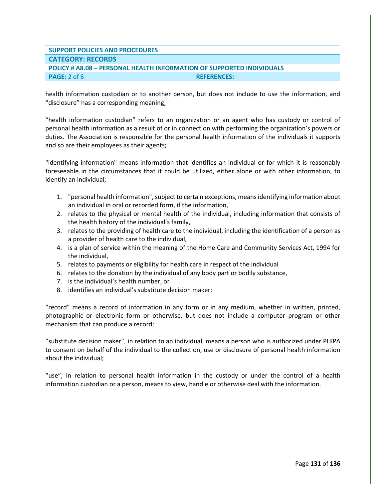# **SUPPORT POLICIES AND PROCEDURES CATEGORY: RECORDS POLICY # A8.08 – PERSONAL HEALTH INFORMATION OF SUPPORTED INDIVIDUALS PAGE:** 2 of 6 **REFERENCES:**

health information custodian or to another person, but does not include to use the information, and "disclosure" has a corresponding meaning;

"health information custodian" refers to an organization or an agent who has custody or control of personal health information as a result of or in connection with performing the organization's powers or duties. The Association is responsible for the personal health information of the individuals it supports and so are their employees as their agents;

"identifying information" means information that identifies an individual or for which it is reasonably foreseeable in the circumstances that it could be utilized, either alone or with other information, to identify an individual;

- 1. "personal health information", subject to certain exceptions, means identifying information about an individual in oral or recorded form, if the information,
- 2. relates to the physical or mental health of the individual, including information that consists of the health history of the individual's family,
- 3. relates to the providing of health care to the individual, including the identification of a person as a provider of health care to the individual,
- 4. is a plan of service within the meaning of the Home Care and Community Services Act, 1994 for the individual,
- 5. relates to payments or eligibility for health care in respect of the individual
- 6. relates to the donation by the individual of any body part or bodily substance,
- 7. is the individual's health number, or
- 8. identifies an individual's substitute decision maker;

"record" means a record of information in any form or in any medium, whether in written, printed, photographic or electronic form or otherwise, but does not include a computer program or other mechanism that can produce a record;

"substitute decision maker", in relation to an individual, means a person who is authorized under PHIPA to consent on behalf of the individual to the collection, use or disclosure of personal health information about the individual;

"use", in relation to personal health information in the custody or under the control of a health information custodian or a person, means to view, handle or otherwise deal with the information.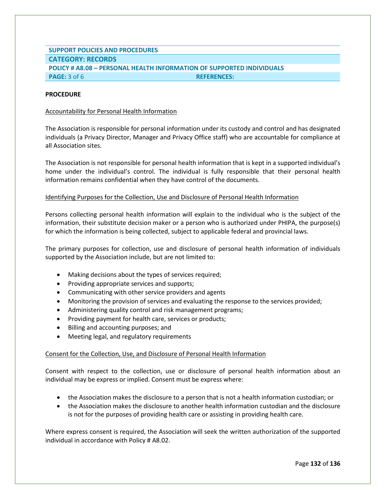# **SUPPORT POLICIES AND PROCEDURES CATEGORY: RECORDS POLICY # A8.08 – PERSONAL HEALTH INFORMATION OF SUPPORTED INDIVIDUALS PAGE:** 3 of 6 **REFERENCES:**

# **PROCEDURE**

#### Accountability for Personal Health Information

The Association is responsible for personal information under its custody and control and has designated individuals (a Privacy Director, Manager and Privacy Office staff) who are accountable for compliance at all Association sites.

The Association is not responsible for personal health information that is kept in a supported individual's home under the individual's control. The individual is fully responsible that their personal health information remains confidential when they have control of the documents.

## Identifying Purposes for the Collection, Use and Disclosure of Personal Health Information

Persons collecting personal health information will explain to the individual who is the subject of the information, their substitute decision maker or a person who is authorized under PHIPA, the purpose(s) for which the information is being collected, subject to applicable federal and provincial laws.

The primary purposes for collection, use and disclosure of personal health information of individuals supported by the Association include, but are not limited to:

- Making decisions about the types of services required;
- Providing appropriate services and supports;
- Communicating with other service providers and agents
- Monitoring the provision of services and evaluating the response to the services provided;
- Administering quality control and risk management programs;
- Providing payment for health care, services or products;
- Billing and accounting purposes; and
- Meeting legal, and regulatory requirements

#### Consent for the Collection, Use, and Disclosure of Personal Health Information

Consent with respect to the collection, use or disclosure of personal health information about an individual may be express or implied. Consent must be express where:

- the Association makes the disclosure to a person that is not a health information custodian; or
- the Association makes the disclosure to another health information custodian and the disclosure is not for the purposes of providing health care or assisting in providing health care.

Where express consent is required, the Association will seek the written authorization of the supported individual in accordance with Policy # A8.02.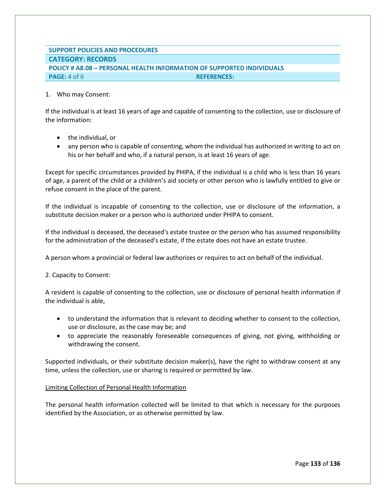# **SUPPORT POLICIES AND PROCEDURES CATEGORY: RECORDS POLICY # A8.08 – PERSONAL HEALTH INFORMATION OF SUPPORTED INDIVIDUALS PAGE:** 4 of 6 **REFERENCES:**

#### 1. Who may Consent:

If the individual is at least 16 years of age and capable of consenting to the collection, use or disclosure of the information:

- the individual, or
- any person who is capable of consenting, whom the individual has authorized in writing to act on his or her behalf and who, if a natural person, is at least 16 years of age.

Except for specific circumstances provided by PHIPA, if the individual is a child who is less than 16 years of age, a parent of the child or a children's aid society or other person who is lawfully entitled to give or refuse consent in the place of the parent.

If the individual is incapable of consenting to the collection, use or disclosure of the information, a substitute decision maker or a person who is authorized under PHIPA to consent.

If the individual is deceased, the deceased's estate trustee or the person who has assumed responsibility for the administration of the deceased's estate, if the estate does not have an estate trustee.

A person whom a provincial or federal law authorizes or requires to act on behalf of the individual.

2. Capacity to Consent:

A resident is capable of consenting to the collection, use or disclosure of personal health information if the individual is able,

- to understand the information that is relevant to deciding whether to consent to the collection, use or disclosure, as the case may be; and
- to appreciate the reasonably foreseeable consequences of giving, not giving, withholding or withdrawing the consent.

Supported individuals, or their substitute decision maker(s), have the right to withdraw consent at any time, unless the collection, use or sharing is required or permitted by law.

# Limiting Collection of Personal Health Information

The personal health information collected will be limited to that which is necessary for the purposes identified by the Association, or as otherwise permitted by law.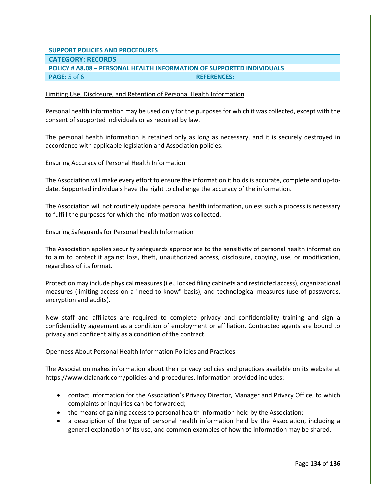# **SUPPORT POLICIES AND PROCEDURES CATEGORY: RECORDS POLICY # A8.08 – PERSONAL HEALTH INFORMATION OF SUPPORTED INDIVIDUALS PAGE:**  $5$  of 6 **REFERENCES:**

#### Limiting Use, Disclosure, and Retention of Personal Health Information

Personal health information may be used only for the purposes for which it was collected, except with the consent of supported individuals or as required by law.

The personal health information is retained only as long as necessary, and it is securely destroyed in accordance with applicable legislation and Association policies.

#### Ensuring Accuracy of Personal Health Information

The Association will make every effort to ensure the information it holds is accurate, complete and up-todate. Supported individuals have the right to challenge the accuracy of the information.

The Association will not routinely update personal health information, unless such a process is necessary to fulfill the purposes for which the information was collected.

#### Ensuring Safeguards for Personal Health Information

The Association applies security safeguards appropriate to the sensitivity of personal health information to aim to protect it against loss, theft, unauthorized access, disclosure, copying, use, or modification, regardless of its format.

Protection may include physical measures (i.e., locked filing cabinets and restricted access), organizational measures (limiting access on a "need-to-know" basis), and technological measures (use of passwords, encryption and audits).

New staff and affiliates are required to complete privacy and confidentiality training and sign a confidentiality agreement as a condition of employment or affiliation. Contracted agents are bound to privacy and confidentiality as a condition of the contract.

#### Openness About Personal Health Information Policies and Practices

The Association makes information about their privacy policies and practices available on its website at https://www.clalanark.com/policies-and-procedures. Information provided includes:

- contact information for the Association's Privacy Director, Manager and Privacy Office, to which complaints or inquiries can be forwarded;
- the means of gaining access to personal health information held by the Association;
- a description of the type of personal health information held by the Association, including a general explanation of its use, and common examples of how the information may be shared.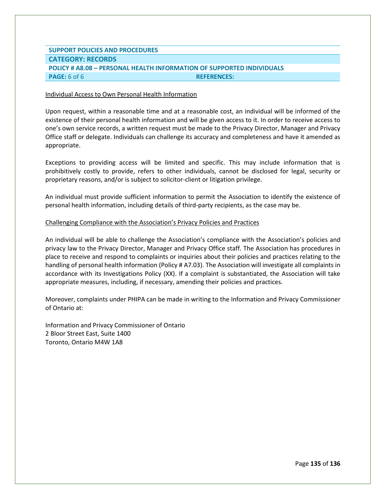# **SUPPORT POLICIES AND PROCEDURES CATEGORY: RECORDS POLICY # A8.08 – PERSONAL HEALTH INFORMATION OF SUPPORTED INDIVIDUALS PAGE:** 6 of 6 **REFERENCES:**

#### Individual Access to Own Personal Health Information

Upon request, within a reasonable time and at a reasonable cost, an individual will be informed of the existence of their personal health information and will be given access to it. In order to receive access to one's own service records, a written request must be made to the Privacy Director, Manager and Privacy Office staff or delegate. Individuals can challenge its accuracy and completeness and have it amended as appropriate.

Exceptions to providing access will be limited and specific. This may include information that is prohibitively costly to provide, refers to other individuals, cannot be disclosed for legal, security or proprietary reasons, and/or is subject to solicitor-client or litigation privilege.

An individual must provide sufficient information to permit the Association to identify the existence of personal health information, including details of third-party recipients, as the case may be.

#### Challenging Compliance with the Association's Privacy Policies and Practices

An individual will be able to challenge the Association's compliance with the Association's policies and privacy law to the Privacy Director, Manager and Privacy Office staff. The Association has procedures in place to receive and respond to complaints or inquiries about their policies and practices relating to the handling of personal health information (Policy # A7.03). The Association will investigate all complaints in accordance with its Investigations Policy (XX). If a complaint is substantiated, the Association will take appropriate measures, including, if necessary, amending their policies and practices.

Moreover, complaints under PHIPA can be made in writing to the Information and Privacy Commissioner of Ontario at:

Information and Privacy Commissioner of Ontario 2 Bloor Street East, Suite 1400 Toronto, Ontario M4W 1A8